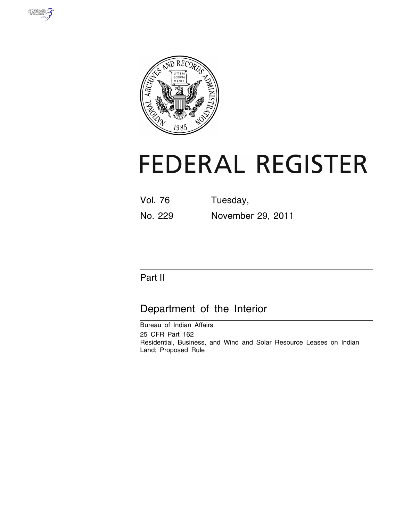



# **FEDERAL REGISTER**

Vol. 76 Tuesday, No. 229 November 29, 2011

## Part II

## Department of the Interior

Bureau of Indian Affairs 25 CFR Part 162 Residential, Business, and Wind and Solar Resource Leases on Indian Land; Proposed Rule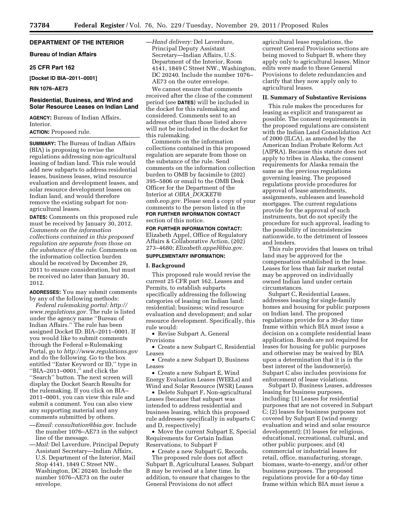#### **DEPARTMENT OF THE INTERIOR**

**Bureau of Indian Affairs** 

#### **25 CFR Part 162**

**[Docket ID BIA–2011–0001]** 

#### **RIN 1076–AE73**

#### **Residential, Business, and Wind and Solar Resource Leases on Indian Land**

**AGENCY:** Bureau of Indian Affairs, Interior.

#### **ACTION:** Proposed rule.

**SUMMARY:** The Bureau of Indian Affairs (BIA) is proposing to revise the regulations addressing non-agricultural leasing of Indian land. This rule would add new subparts to address residential leases, business leases, wind resource evaluation and development leases, and solar resource development leases on Indian land, and would therefore remove the existing subpart for nonagricultural leases.

**DATES:** Comments on this proposed rule must be received by January 30, 2012. *Comments on the information collections contained in this proposed regulation are separate from those on the substance of the rule.* Comments on the information collection burden should be received by December 29, 2011 to ensure consideration, but must be received no later than January 30, 2012.

**ADDRESSES:** You may submit comments by any of the following methods:

*Federal rulemaking portal: [http://](http://www.regulations.gov)  [www.regulations.gov.](http://www.regulations.gov)* The rule is listed under the agency name ''Bureau of Indian Affairs.'' The rule has been assigned Docket ID: BIA–2011–0001. If you would like to submit comments through the Federal e-Rulemaking Portal, go to *<http://www.regulations.gov>*  and do the following. Go to the box entitled ''Enter Keyword or ID,'' type in "BIA-2011-0001," and click the ''Search'' button. The next screen will display the Docket Search Results for the rulemaking. If you click on BIA– 2011–0001, you can view this rule and submit a comment. You can also view any supporting material and any comments submitted by others.

- —*Email: [consultation@bia.gov.](mailto:consultation@bia.gov)* Include the number 1076–AE73 in the subject line of the message.
- —*Mail:* Del Laverdure, Principal Deputy Assistant Secretary—Indian Affairs, U.S. Department of the Interior, Mail Stop 4141, 1849 C Street NW., Washington, DC 20240. Include the number 1076–AE73 on the outer envelope.

—*Hand delivery:* Del Laverdure, Principal Deputy Assistant Secretary—Indian Affairs, U.S. Department of the Interior, Room 4141, 1849 C Street NW., Washington, DC 20240. Include the number 1076– AE73 on the outer envelope.

We cannot ensure that comments received after the close of the comment period (see **DATES**) will be included in the docket for this rulemaking and considered. Comments sent to an address other than those listed above will not be included in the docket for this rulemaking.

Comments on the information collections contained in this proposed regulation are separate from those on the substance of the rule. Send comments on the information collection burden to OMB by facsimile to (202) 395–5806 or email to the OMB Desk Officer for the Department of the Interior at *OIRA*\_*[DOCKET@](mailto:OIRA_DOCKET@omb.eop.gov) [omb.eop.gov.](mailto:OIRA_DOCKET@omb.eop.gov)* Please send a copy of your comments to the person listed in the **FOR FURTHER INFORMATION CONTACT** section of this notice.

**FOR FURTHER INFORMATION CONTACT:**  Elizabeth Appel, Office of Regulatory Affairs & Collaborative Action, (202) 273–4680; *[Elizabeth.appel@bia.gov.](mailto:Elizabeth.appel@bia.gov)*  **SUPPLEMENTARY INFORMATION:** 

#### **I. Background**

This proposed rule would revise the current 25 CFR part 162, Leases and Permits, to establish subparts specifically addressing the following categories of leasing on Indian land: residential; business; wind resource evaluation and development; and solar resource development. Specifically, this rule would:

• Revise Subpart A, General Provisions

• Create a new Subpart C, Residential Leases

• Create a new Subpart D, Business Leases

• Create a new Subpart E, Wind Energy Evaluation Leases (WEELs) and Wind and Solar Resource (WSR) Leases

• Delete Subpart F, Non-agricultural Leases (because that subpart was intended to address residential and business leasing, which this proposed rule addresses specifically in subparts C and D, respectively)

• Move the current Subpart E, Special Requirements for Certain Indian Reservations, to Subpart F

• Create a new Subpart G, Records. The proposed rule does not affect Subpart B, Agricultural Leases. Subpart B may be revised at a later time. In addition, to ensure that changes to the General Provisions do not affect

agricultural lease regulations, the current General Provisions sections are being moved to Subpart B, where they apply only to agricultural leases. Minor edits were made to these General Provisions to delete redundancies and clarify that they now apply only to agricultural leases.

#### **II. Summary of Substantive Revisions**

This rule makes the procedures for leasing as explicit and transparent as possible. The consent requirements in the proposed regulations are consistent with the Indian Land Consolidation Act of 2000 (ILCA), as amended by the American Indian Probate Reform Act (AIPRA). Because this statute does not apply to tribes in Alaska, the consent requirements for Alaska remain the same as the previous regulations governing leasing. The proposed regulations provide procedures for approval of lease amendments, assignments, subleases and leasehold mortgages. The current regulations provide for the approval of such instruments, but do not specify the procedure for such approval, leading to the possibility of inconsistencies nationwide, to the detriment of lessees and lenders.

This rule provides that leases on tribal land may be approved for the compensation established in the lease. Leases for less than fair market rental may be approved on individually owned Indian land under certain circumstances.

Subpart C, Residential Leases, addresses leasing for single-family homes and housing for public purposes on Indian land. The proposed regulations provide for a 30-day time frame within which BIA must issue a decision on a complete residential lease application. Bonds are not required for leases for housing for public purposes and otherwise may be waived by BIA upon a determination that it is in the best interest of the landowner(s). Subpart C also includes provisions for enforcement of lease violations.

Subpart D, Business Leases, addresses leasing for business purposes, including: (1) Leases for residential purposes that are not covered in Subpart C; (2) leases for business purposes not covered by Subpart E (wind energy evaluation and wind and solar resource development); (3) leases for religious, educational, recreational, cultural, and other public purposes; and (4) commercial or industrial leases for retail, office, manufacturing, storage, biomass, waste-to-energy, and/or other business purposes. The proposed regulations provide for a 60-day time frame within which BIA must issue a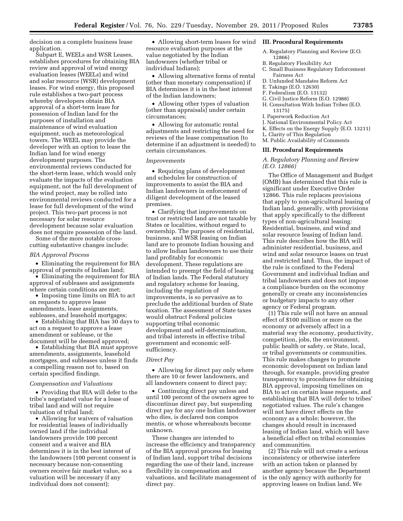decision on a complete business lease application.

Subpart E, WEELs and WSR Leases, establishes procedures for obtaining BIA review and approval of wind energy evaluation leases (WEELs) and wind and solar resource (WSR) development leases. For wind energy, this proposed rule establishes a two-part process whereby developers obtain BIA approval of a short-term lease for possession of Indian land for the purposes of installation and maintenance of wind evaluation equipment, such as meteorological towers. The WEEL may provide the developer with an option to lease the Indian land for wind energy development purposes. The environmental reviews conducted for the short-term lease, which would only evaluate the impacts of the evaluation equipment, not the full development of the wind project, may be rolled into environmental reviews conducted for a lease for full development of the wind project. This two-part process is not necessary for solar resource development because solar evaluation does not require possession of the land.

Some of the more notable crosscutting substantive changes include:

#### *BIA Approval Process*

• Eliminating the requirement for BIA approval of permits of Indian land;

• Eliminating the requirement for BIA approval of subleases and assignments where certain conditions are met;

• Imposing time limits on BIA to act on requests to approve lease amendments, lease assignments, subleases, and leasehold mortgages;

• Establishing that BIA has 30 days to act on a request to approve a lease amendment or sublease, or the document will be deemed approved;

• Establishing that BIA must approve amendments, assignments, leasehold mortgages, and subleases unless it finds a compelling reason not to, based on certain specified findings.

#### *Compensation and Valuations*

• Providing that BIA will defer to the tribe's negotiated value for a lease of tribal land and will not require valuation of tribal land;

• Allowing for waivers of valuation for residential leases of individually owned land if the individual landowners provide 100 percent consent and a waiver and BIA determines it is in the best interest of the landowners (100 percent consent is necessary because non-consenting owners receive fair market value, so a valuation will be necessary if any individual does not consent);

• Allowing short-term leases for wind resource evaluation purposes at the value negotiated by the Indian landowners (whether tribal or individual Indians);

• Allowing alternative forms of rental (other than monetary compensation) if BIA determines it is in the best interest of the Indian landowners;

• Allowing other types of valuation (other than appraisals) under certain circumstances;

• Allowing for automatic rental adjustments and restricting the need for reviews of the lease compensation (to determine if an adjustment is needed) to certain circumstances.

#### *Improvements*

• Requiring plans of development and schedules for construction of improvements to assist the BIA and Indian landowners in enforcement of diligent development of the leased premises.

• Clarifying that improvements on trust or restricted land are not taxable by States or localities, without regard to ownership. The purposes of residential, business, and WSR leasing on Indian land are to promote Indian housing and to allow Indian landowners to use their land profitably for economic development. These regulations are intended to preempt the field of leasing of Indian lands. The Federal statutory and regulatory scheme for leasing, including the regulation of improvements, is so pervasive as to preclude the additional burden of State taxation. The assessment of State taxes would obstruct Federal policies supporting tribal economic development and self-determination, and tribal interests in effective tribal government and economic selfsufficiency.

#### *Direct Pay*

• Allowing for direct pay only where there are 10 or fewer landowners, and all landowners consent to direct pay;

• Continuing direct pay unless and until 100 percent of the owners agree to discontinue direct pay, but suspending direct pay for any one Indian landowner who dies, is declared non compos mentis, or whose whereabouts become unknown.

These changes are intended to increase the efficiency and transparency of the BIA approval process for leasing of Indian land, support tribal decisions regarding the use of their land, increase flexibility in compensation and valuations, and facilitate management of direct pay.

#### **III. Procedural Requirements**

- A. Regulatory Planning and Review (E.O. 12866)
- B. Regulatory Flexibility Act
- C. Small Business Regulatory Enforcement Fairness Act
- D. Unfunded Mandates Reform Act
- E. Takings (E.O. 12630)
- F. Federalism (E.O. 13132)
- G. Civil Justice Reform (E.O. 12988)
- H. Consultation With Indian Tribes (E.O. 13175)
- I. Paperwork Reduction Act
- J. National Environmental Policy Act
- K. Effects on the Energy Supply (E.O. 13211)
- L. Clarity of This Regulation
- M. Public Availability of Comments

#### **III. Procedural Requirements**

#### *A. Regulatory Planning and Review (E.O. 12866)*

The Office of Management and Budget (OMB) has determined that this rule is significant under Executive Order 12866. This rule replaces provisions that apply to non-agricultural leasing of Indian land, generally, with provisions that apply specifically to the different types of non-agricultural leasing: Residential, business, and wind and solar resource leasing of Indian land. This rule describes how the BIA will administer residential, business, and wind and solar resource leases on trust and restricted land. Thus, the impact of the rule is confined to the Federal Government and individual Indian and tribal landowners and does not impose a compliance burden on the economy generally or create any inconsistencies or budgetary impacts to any other agency or Federal program.

(1) This rule will not have an annual effect of \$100 million or more on the economy or adversely affect in a material way the economy, productivity, competition, jobs, the environment, public health or safety, or State, local, or tribal governments or communities. This rule makes changes to promote economic development on Indian land through, for example, providing greater transparency to procedures for obtaining BIA approval, imposing timelines on BIA to act on certain lease requests, and establishing that BIA will defer to tribes' negotiated values. The rule's changes will not have direct effects on the economy as a whole; however, the changes should result in increased leasing of Indian land, which will have a beneficial effect on tribal economies and communities.

(2) This rule will not create a serious inconsistency or otherwise interfere with an action taken or planned by another agency because the Department is the only agency with authority for approving leases on Indian land. We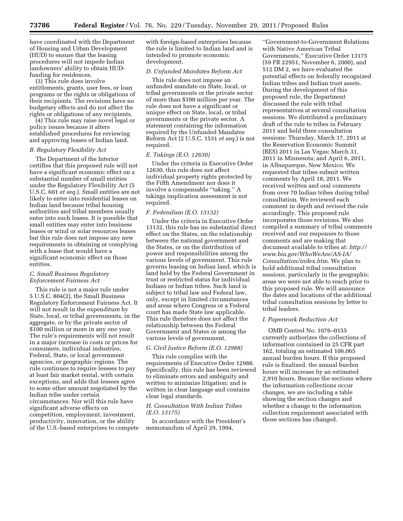have coordinated with the Department of Housing and Urban Development (HUD) to ensure that the leasing procedures will not impede Indian landowners' ability to obtain HUDfunding for residences.

(3) This rule does involve entitlements, grants, user fees, or loan programs or the rights or obligations of their recipients. The revisions have no budgetary effects and do not affect the rights or obligations of any recipients.

(4) This rule may raise novel legal or policy issues because it alters established procedures for reviewing and approving leases of Indian land.

#### *B. Regulatory Flexibility Act*

The Department of the Interior certifies that this proposed rule will not have a significant economic effect on a substantial number of small entities under the Regulatory Flexibility Act (5 U.S.C. 601 *et seq.*). Small entities are not likely to enter into residential leases on Indian land because tribal housing authorities and tribal members usually enter into such leases. It is possible that small entities may enter into business leases or wind or solar resources leases but this rule does not impose any new requirements in obtaining or complying with a lease that would have a significant economic effect on those entities.

#### *C. Small Business Regulatory Enforcement Fairness Act*

This rule is not a major rule under 5 U.S.C. 804(2), the Small Business Regulatory Enforcement Fairness Act. It will not result in the expenditure by State, local, or tribal governments, in the aggregate, or by the private sector of \$100 million or more in any one year. The rule's requirements will not result in a major increase in costs or prices for consumers, individual industries, Federal, State, or local government agencies, or geographic regions. The rule continues to require lessees to pay at least fair market rental, with certain exceptions, and adds that lessees agree to some other amount negotiated by the Indian tribe under certain circumstances. Nor will this rule have significant adverse effects on competition, employment, investment, productivity, innovation, or the ability of the U.S.-based enterprises to compete

with foreign-based enterprises because the rule is limited to Indian land and is intended to promote economic development.

#### *D. Unfunded Mandates Reform Act*

This rule does not impose an unfunded mandate on State, local, or tribal governments or the private sector of more than \$100 million per year. The rule does not have a significant or unique effect on State, local, or tribal governments or the private sector. A statement containing the information required by the Unfunded Mandates Reform Act (2 U.S.C. 1531 *et seq.*) is not required.

#### *E. Takings (E.O. 12630)*

Under the criteria in Executive Order 12630, this rule does not affect individual property rights protected by the Fifth Amendment nor does it involve a compensable ''taking.'' A takings implication assessment is not required.

#### *F. Federalism (E.O. 13132)*

Under the criteria in Executive Order 13132, this rule has no substantial direct effect on the States, on the relationship between the national government and the States, or on the distribution of power and responsibilities among the various levels of government. This rule governs leasing on Indian land, which is land held by the Federal Government in trust or restricted status for individual Indians or Indian tribes. Such land is subject to tribal law and Federal law, only, except in limited circumstances and areas where Congress or a Federal court has made State law applicable. This rule therefore does not affect the relationship between the Federal Government and States or among the various levels of government.

#### *G. Civil Justice Reform (E.O. 12988)*

This rule complies with the requirements of Executive Order 12988. Specifically, this rule has been reviewed to eliminate errors and ambiguity and written to minimize litigation; and is written in clear language and contains clear legal standards.

#### *H. Consultation With Indian Tribes (E.O. 13175)*

In accordance with the President's memorandum of April 29, 1994,

''Government-to-Government Relations with Native American Tribal Governments,'' Executive Order 13175 (59 FR 22951, November 6, 2000), and 512 DM 2, we have evaluated the potential effects on federally recognized Indian tribes and Indian trust assets. During the development of this proposed rule, the Department discussed the rule with tribal representatives at several consultation sessions. We distributed a preliminary draft of the rule to tribes in February 2011 and held three consultation sessions: Thursday, March 17, 2011 at the Reservation Economic Summit (RES) 2011 in Las Vegas; March 31, 2011 in Minnesota; and April 6, 2011, in Albuquerque, New Mexico. We requested that tribes submit written comments by April 18, 2011. We received written and oral comments from over 70 Indian tribes during tribal consultation. We reviewed each comment in depth and revised the rule accordingly. This proposed rule incorporates those revisions. We also compiled a summary of tribal comments received and our responses to those comments and are making that document available to tribes at: *[http://](http://www.bia.gov/WhoWeAre/AS-IA/Consultation/index.htm) [www.bia.gov/WhoWeAre/AS-IA/](http://www.bia.gov/WhoWeAre/AS-IA/Consultation/index.htm) [Consultation/index.htm.](http://www.bia.gov/WhoWeAre/AS-IA/Consultation/index.htm)* We plan to hold additional tribal consultation sessions, particularly in the geographic areas we were not able to reach prior to this proposed rule. We will announce the dates and locations of the additional tribal consultation sessions by letter to tribal leaders.

#### *I. Paperwork Reduction Act*

OMB Control No. 1076–0155 currently authorizes the collections of information contained in 25 CFR part 162, totaling an estimated 106,065 annual burden hours. If this proposed rule is finalized, the annual burden hours will increase by an estimated 2,910 hours. Because the sections where the information collections occur changes, we are including a table showing the section changes and whether a change to the information collection requirement associated with those sections has changed.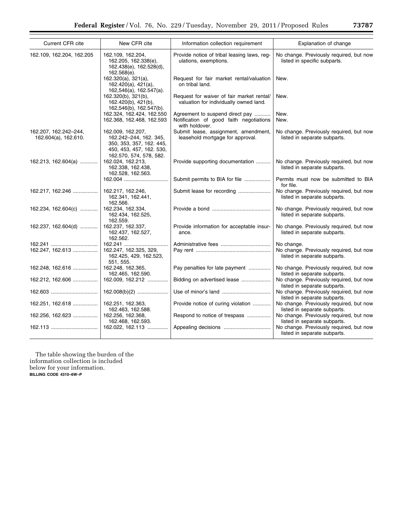|  | J | .78 | , |
|--|---|-----|---|
|  |   |     |   |
|  |   |     |   |

| Current CFR cite                              | New CFR cite                                                                                                                   | Information collection requirement                                                           | Explanation of change                                                   |
|-----------------------------------------------|--------------------------------------------------------------------------------------------------------------------------------|----------------------------------------------------------------------------------------------|-------------------------------------------------------------------------|
| 162.109, 162.204, 162.205                     | 162.109, 162.204,<br>162.205, 162.338(e),<br>162.438(e), 162.528(d),<br>162.568(e).                                            | Provide notice of tribal leasing laws, reg-<br>ulations, exemptions.                         | No change. Previously required, but now<br>listed in specific subparts. |
|                                               | $162.320(a)$ , $321(a)$ ,<br>162.420(a), 421(a),<br>162,546(a), 162.547(a).                                                    | Request for fair market rental/valuation<br>on tribal land.                                  | New.                                                                    |
|                                               | 162.320(b), 321(b),<br>$162.420(b)$ , $421(b)$ ,<br>162,546(b), 162.547(b).                                                    | Request for waiver of fair market rental/<br>valuation for individually owned land.          | New.                                                                    |
|                                               | 162.324, 162.424, 162.550<br>162.368, 162.468, 162.593                                                                         | Agreement to suspend direct pay<br>Notification of good faith negotiations<br>with holdover. | New.<br>New.                                                            |
| 162.207, 162.242-244,<br>162.604(a), 162.610. | 162.009, 162.207,<br>162.242-244, 162. 345,<br>350, 353, 357, 162, 445,<br>450, 453, 457, 162. 530,<br>162.570, 574, 578, 582. | Submit lease, assignment, amendment,<br>leasehold mortgage for approval.                     | No change. Previously required, but now<br>listed in separate subparts. |
| 162.213, 162.604(a)                           | 162.024, 162.213,<br>162.338, 162.438,<br>162.528, 162.563.                                                                    | Provide supporting documentation                                                             | No change. Previously required, but now<br>listed in separate subparts. |
|                                               | 162.004                                                                                                                        | Submit permits to BIA for file                                                               | Permits must now be submitted to BIA<br>for file.                       |
| 162.217, 162.246                              | 162.217, 162.246,<br>162.341, 162.441,<br>162.566.                                                                             | Submit lease for recording                                                                   | No change. Previously required, but now<br>listed in separate subparts. |
| 162.234, 162.604(c)                           | 162.234, 162.334,<br>162.434, 162.525,<br>162.559.                                                                             |                                                                                              | No change. Previously required, but now<br>listed in separate subparts. |
| 162.237, 162.604(d)                           | 162.237, 162.337,<br>162.437, 162.527,<br>162.562.                                                                             | Provide information for acceptable insur-<br>ance.                                           | No change. Previously required, but now<br>listed in separate subparts. |
|                                               | 162.241                                                                                                                        |                                                                                              | No change.                                                              |
| 162.247, 162.613                              | 162.247, 162.325, 329,<br>162.425, 429, 162.523,<br>551, 555.                                                                  |                                                                                              | No change. Previously required, but now<br>listed in separate subparts. |
| 162.248, 162.616                              | 162.248, 162.365,<br>162.465, 162.590.                                                                                         | Pay penalties for late payment                                                               | No change. Previously required, but now<br>listed in separate subparts. |
| 162.212, 162.606                              | 162.009, 162.212                                                                                                               | Bidding on advertised lease                                                                  | No change. Previously required, but now<br>listed in separate subparts. |
|                                               | $162.008(b)(2)$                                                                                                                |                                                                                              | No change. Previously required, but now<br>listed in separate subparts. |
| 162.251, 162.618                              | 162.251, 162.363,<br>162.463, 162.588.                                                                                         | Provide notice of curing violation                                                           | No change. Previously required, but now<br>listed in separate subparts. |
| 162.256, 162.623                              | 162.256, 162.368,<br>162.468, 162.593.                                                                                         | Respond to notice of trespass                                                                | No change. Previously required, but now<br>listed in separate subparts. |
|                                               | 162.022, 162.113                                                                                                               | Appealing decisions                                                                          | No change. Previously required, but now<br>listed in separate subparts. |
|                                               |                                                                                                                                |                                                                                              |                                                                         |

The table showing the burden of the information collection is included below for your information. **BILLING CODE 4310–6W–P**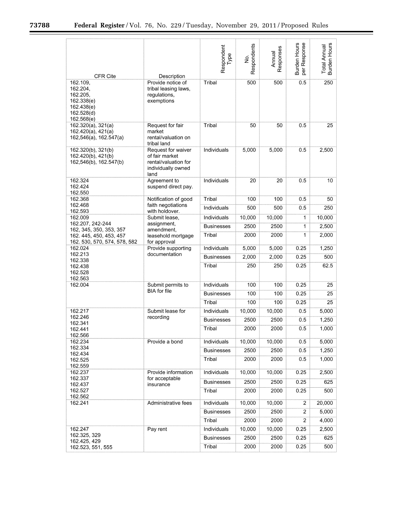▀

| <b>CFR Cite</b>                                                                          | Description                                                                                | Respondent<br>Type | Respondents<br>è, | Responses<br>Annual | Burden Hours<br>Response<br>per | Burden Hours<br>Total Annual |
|------------------------------------------------------------------------------------------|--------------------------------------------------------------------------------------------|--------------------|-------------------|---------------------|---------------------------------|------------------------------|
| 162.109,<br>162.204,<br>162.205,<br>162.338(e)<br>162.438(e)<br>162.528(d)<br>162.568(e) | Provide notice of<br>tribal leasing laws,<br>regulations,<br>exemptions                    | Tribal             | 500               | 500                 | 0.5                             | 250                          |
| 162.320(a), 321(a)<br>162.420(a), 421(a)<br>162,546(a), 162.547(a)                       | Request for fair<br>market<br>rental/valuation on<br>tribal land                           | Tribal             | 50                | 50                  | 0.5                             | 25                           |
| 162.320(b), 321(b)<br>162.420(b), 421(b)<br>162,546(b), 162.547(b)                       | Request for waiver<br>of fair market<br>rental/valuation for<br>individually owned<br>land | Individuals        | 5,000             | 5,000               | 0.5                             | 2,500                        |
| 162.324<br>162.424<br>162.550                                                            | Agreement to<br>suspend direct pay.                                                        | Individuals        | 20                | 20                  | 0.5                             | 10                           |
| 162.368                                                                                  | Notification of good                                                                       | Tribal             | 100               | 100                 | 0.5                             | 50                           |
| 162.468<br>162.593                                                                       | faith negotiations<br>with holdover.                                                       | Individuals        | 500               | 500                 | 0.5                             | 250                          |
| 162.009                                                                                  | Submit lease,                                                                              | Individuals        | 10,000            | 10,000              | 1                               | 10,000                       |
| 162.207, 242-244<br>162, 345, 350, 353, 357                                              | assignment,<br>amendment,                                                                  | <b>Businesses</b>  | 2500              | 2500                | 1                               | 2,500                        |
| 162. 445, 450, 453, 457<br>162. 530, 570, 574, 578, 582                                  | leasehold mortgage<br>for approval                                                         | Tribal             | 2000              | 2000                | 1                               | 2,000                        |
| 162.024                                                                                  | Provide supporting                                                                         | Individuals        | 5,000             | 5,000               | 0.25                            | 1,250                        |
| 162.213<br>162.338                                                                       | documentation                                                                              | <b>Businesses</b>  | 2,000             | 2,000               | 0.25                            | 500                          |
| 162.438<br>162.528<br>162.563                                                            |                                                                                            | Tribal             | 250               | 250                 | 0.25                            | 62.5                         |
| 162.004                                                                                  | Submit permits to                                                                          | Individuals        | 100               | 100                 | 0.25                            | 25                           |
|                                                                                          | <b>BIA</b> for file                                                                        | <b>Businesses</b>  | 100               | 100                 | 0.25                            | 25                           |
|                                                                                          |                                                                                            | Tribal             | 100               | 100                 | 0.25                            | 25                           |
| 162.217                                                                                  | Submit lease for                                                                           | Individuals        | 10,000            | 10,000              | 0.5                             | 5,000                        |
| 162.246<br>162.341                                                                       | recording                                                                                  | <b>Businesses</b>  | 2500              | 2500                | 0.5                             | 1,250                        |
| 162.441<br>162.566                                                                       |                                                                                            | Tribal             | 2000              | 2000                | 0.5                             | 1,000                        |
| 162.234<br>162.334                                                                       | Provide a bond                                                                             | Individuals        | 10,000            | 10,000              | 0.5                             | 5,000                        |
| 162.434                                                                                  |                                                                                            | <b>Businesses</b>  | 2500              | 2500                | 0.5                             | 1,250                        |
| 162.525<br>162.559                                                                       |                                                                                            | Tribal             | 2000              | 2000                | 0.5                             | 1,000                        |
| 162.237<br>162.337                                                                       | Provide information<br>for acceptable                                                      | Individuals        | 10,000            | 10,000              | 0.25                            | 2,500                        |
| 162.437                                                                                  | insurance                                                                                  | <b>Businesses</b>  | 2500              | 2500                | 0.25                            | 625                          |
| 162.527<br>162.562                                                                       |                                                                                            | Tribal             | 2000              | 2000                | 0.25                            | 500                          |
| 162.241                                                                                  | Administrative fees                                                                        | Individuals        | 10,000            | 10,000              | 2                               | 20,000                       |
|                                                                                          |                                                                                            | <b>Businesses</b>  | 2500              | 2500                | 2                               | 5,000                        |
|                                                                                          |                                                                                            | Tribal             | 2000              | 2000                | 2                               | 4,000                        |
| 162.247<br>162.325, 329                                                                  | Pay rent                                                                                   | Individuals        | 10,000            | 10,000              | 0.25                            | 2,500                        |
| 162.425, 429                                                                             |                                                                                            | <b>Businesses</b>  | 2500              | 2500                | 0.25                            | 625                          |
| 162.523, 551, 555                                                                        |                                                                                            | Tribal             | 2000              | 2000                | 0.25                            | 500                          |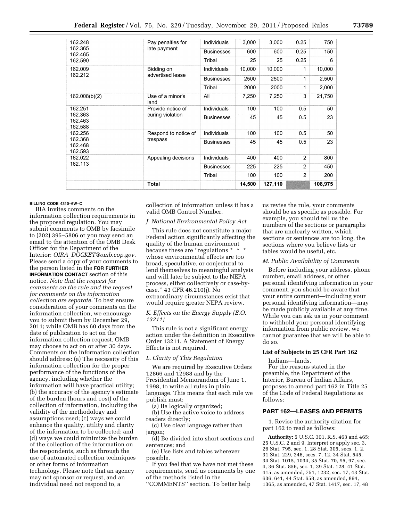| 780<br>. .<br>æ |
|-----------------|
|-----------------|

| 162.248                       | Pay penalties for              | Individuals       | 3,000  | 3,000   | 0.25           | 750     |
|-------------------------------|--------------------------------|-------------------|--------|---------|----------------|---------|
| 162.365<br>162.465            | late payment                   | <b>Businesses</b> | 600    | 600     | 0.25           | 150     |
| 162.590                       |                                | Tribal            | 25     | 25      | 0.25           | 6       |
| 162.009<br>162.212            | Bidding on<br>advertised lease | Individuals       | 10,000 | 10,000  | 1              | 10,000  |
|                               |                                | <b>Businesses</b> | 2500   | 2500    | 1              | 2,500   |
|                               |                                | Tribal            | 2000   | 2000    | 1              | 2,000   |
| 162.008(b)(2)                 | Use of a minor's<br>land       | All               | 7,250  | 7,250   | 3              | 21,750  |
| 162.251                       | Provide notice of              | Individuals       | 100    | 100     | 0.5            | 50      |
| 162.363<br>162.463<br>162.588 | curing violation               | <b>Businesses</b> | 45     | 45      | 0.5            | 23      |
| 162.256                       | Respond to notice of           | Individuals       | 100    | 100     | 0.5            | 50      |
| 162.368<br>162.468<br>162.593 | trespass                       | <b>Businesses</b> | 45     | 45      | 0.5            | 23      |
| 162.022                       | Appealing decisions            | Individuals       | 400    | 400     | $\overline{2}$ | 800     |
| 162.113                       |                                | <b>Businesses</b> | 225    | 225     | $\overline{2}$ | 450     |
|                               |                                | Tribal            | 100    | 100     | $\overline{2}$ | 200     |
|                               | <b>Total</b>                   |                   | 14,500 | 127,110 |                | 108,975 |

#### **BILLING CODE 4310–6W–C**

BIA invites comments on the information collection requirements in the proposed regulation. You may submit comments to OMB by facsimile to (202) 395–5806 or you may send an email to the attention of the OMB Desk Officer for the Department of the Interior: *OIRA*\_*[DOCKET@omb.eop.gov.](mailto:OIRA_DOCKET@omb.eop.gov)*  Please send a copy of your comments to the person listed in the **FOR FURTHER INFORMATION CONTACT** section of this notice. *Note that the request for comments on the rule and the request for comments on the information collection are separate.* To best ensure consideration of your comments on the information collection, we encourage you to submit them by December 29, 2011; while OMB has 60 days from the date of publication to act on the information collection request, OMB may choose to act on or after 30 days. Comments on the information collection should address: (a) The necessity of this information collection for the proper performance of the functions of the agency, including whether the information will have practical utility; (b) the accuracy of the agency's estimate of the burden (hours and cost) of the collection of information, including the validity of the methodology and assumptions used; (c) ways we could enhance the quality, utility and clarity of the information to be collected; and (d) ways we could minimize the burden of the collection of the information on the respondents, such as through the use of automated collection techniques or other forms of information technology. Please note that an agency may not sponsor or request, and an individual need not respond to, a

collection of information unless it has a valid OMB Control Number.

#### *J. National Environmental Policy Act*

This rule does not constitute a major Federal action significantly affecting the quality of the human environment because these are ''regulations \* \* \* whose environmental effects are too broad, speculative, or conjectural to lend themselves to meaningful analysis and will later be subject to the NEPA process, either collectively or case-bycase.'' 43 CFR 46.210(j). No extraordinary circumstances exist that would require greater NEPA review.

#### *K. Effects on the Energy Supply (E.O. 13211)*

This rule is not a significant energy action under the definition in Executive Order 13211. A Statement of Energy Effects is not required.

#### *L. Clarity of This Regulation*

We are required by Executive Orders 12866 and 12988 and by the Presidential Memorandum of June 1, 1998, to write all rules in plain language. This means that each rule we publish must:

(a) Be logically organized;

(b) Use the active voice to address readers directly;

(c) Use clear language rather than jargon;

(d) Be divided into short sections and sentences; and

(e) Use lists and tables wherever possible.

If you feel that we have not met these requirements, send us comments by one of the methods listed in the

''COMMENTS'' section. To better help

us revise the rule, your comments should be as specific as possible. For example, you should tell us the numbers of the sections or paragraphs that are unclearly written, which sections or sentences are too long, the sections where you believe lists or tables would be useful, etc.

#### *M. Public Availability of Comments*

Before including your address, phone number, email address, or other personal identifying information in your comment, you should be aware that your entire comment—including your personal identifying information—may be made publicly available at any time. While you can ask us in your comment to withhold your personal identifying information from public review, we cannot guarantee that we will be able to do so.

#### **List of Subjects in 25 CFR Part 162**

Indians—lands.

For the reasons stated in the preamble, the Department of the Interior, Bureau of Indian Affairs, proposes to amend part 162 in Title 25 of the Code of Federal Regulations as follows:

#### **PART 162—LEASES AND PERMITS**

1. Revise the authority citation for part 162 to read as follows:

**Authority:** 5 U.S.C. 301, R.S. 463 and 465; 25 U.S.C. 2 and 9. Interpret or apply sec. 3, 26 Stat. 795, sec. 1, 28 Stat. 305, secs. 1, 2, 31 Stat. 229, 246, secs. 7, 12, 34 Stat. 545, 34 Stat. 1015, 1034, 35 Stat. 70, 95, 97, sec. 4, 36 Stat. 856, sec. 1, 39 Stat. 128, 41 Stat. 415, as amended, 751, 1232, sec. 17, 43 Stat. 636, 641, 44 Stat. 658, as amended, 894, 1365, as amended, 47 Stat. 1417, sec. 17, 48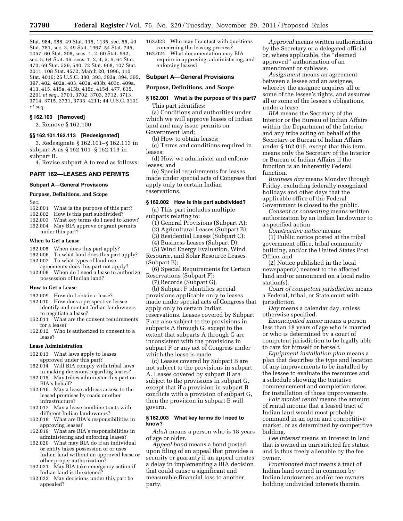Stat. 984, 988, 49 Stat. 115, 1135, sec. 55, 49 Stat. 781, sec. 3, 49 Stat. 1967, 54 Stat. 745, 1057, 60 Stat. 308, secs. 1, 2, 60 Stat. 962, sec. 5, 64 Stat. 46, secs. 1, 2, 4, 5, 6, 64 Stat. 470, 69 Stat. 539, 540, 72 Stat. 968, 107 Stat. 2011, 108 Stat. 4572, March 20, 1996, 110 Stat. 4016; 25 U.S.C. 380, 393, 393a, 394, 395, 397, 402, 402a, 403, 403a, 403b, 403c, 409a, 413, 415, 415a, 415b, 415c, 415d, 477, 635, 2201 *et seq.,* 3701, 3702, 3703, 3712, 3713, 3714, 3715, 3731, 3733, 4211; 44 U.S.C. 3101 *et seq.* 

#### **§ 162.100 [Removed]**

2. Remove § 162.100.

#### **§§ 162.101.162.113 [Redesignated]**

3. Redesignate § 162.101–§ 162.113 in subpart A as § 162.101–§ 162.113 in subpart B.

4. Revise subpart A to read as follows:

#### **PART 162—LEASES AND PERMITS**

#### **Subpart A—General Provisions**

#### **Purpose, Definitions, and Scope**

Sec.<br>162.001 What is the purpose of this part?

- 162.002 How is this part subdivided?<br>162.003 What key terms do I need to
- What key terms do I need to know?
- 162.004 May BIA approve or grant permits under this part?

#### **When to Get a Lease**

- 162.005 When does this part apply?
- 162.006 To what land does this part apply?
- 162.007 To what types of land use agreements does this part not apply?
- 162.008 When do I need a lease to authorize possession of Indian land?

#### **How to Get a Lease**

- 162.009 How do I obtain a lease?
- 162.010 How does a prospective lessee identify and contact Indian landowners to negotiate a lease?
- 162.011 What are the consent requirements for a lease?
- 162.012 Who is authorized to consent to a lease?

#### **Lease Administration**

- 162.013 What laws apply to leases approved under this part?
- 162.014 Will BIA comply with tribal laws in making decisions regarding leases? 162.015 May tribes administer this part on
- BIA's behalf? 162.016 May a lease address access to the
- leased premises by roads or other infrastructure?
- 162.017 May a lease combine tracts with different Indian landowners?
- 162.018 What are BIA's responsibilities in approving leases?
- 162.019 What are BIA's responsibilities in administering and enforcing leases?
- 162.020 What may BIA do if an individual or entity takes possession of or uses Indian land without an approved lease or other proper authorization?
- 162.021 May BIA take emergency action if Indian land is threatened?
- 162.022 May decisions under this part be appealed?

162.023 Who may I contact with questions concerning the leasing process?

162.024 What documentation may BIA require in approving, administering, and enforcing leases?

#### **Subpart A—General Provisions**

#### **Purpose, Definitions, and Scope**

#### **§ 162.001 What is the purpose of this part?**  This part identifies:

(a) Conditions and authorities under which we will approve leases of Indian land and may issue permits on Government land;

(b) How to obtain leases;

(c) Terms and conditions required in leases;

(d) How we administer and enforce leases; and

(e) Special requirements for leases made under special acts of Congress that apply only to certain Indian reservations.

#### **§ 162.002 How is this part subdivided?**

(a) This part includes multiple

subparts relating to:

- (1) General Provisions (Subpart A);
- (2) Agricultural Leases (Subpart B);
- (3) Residential Leases (Subpart C);
- (4) Business Leases (Subpart D);

(5) Wind Energy Evaluation, Wind Resource, and Solar Resource Leases

(Subpart E); (6) Special Requirements for Certain

Reservations (Subpart F);

(7) Records (Subpart G).

(b) Subpart F identifies special provisions applicable only to leases made under special acts of Congress that apply only to certain Indian reservations. Leases covered by Subpart F are also subject to the provisions in subparts A through G, except to the extent that subparts A through G are inconsistent with the provisions in subpart F or any act of Congress under which the lease is made.

(c) Leases covered by Subpart B are not subject to the provisions in subpart A. Leases covered by subpart B are subject to the provisions in subpart G, except that if a provision in subpart B conflicts with a provision of subpart G, then the provision in subpart B will govern.

#### **§ 162.003 What key terms do I need to know?**

*Adult* means a person who is 18 years of age or older.

*Appeal bond* means a bond posted upon filing of an appeal that provides a security or guaranty if an appeal creates a delay in implementing a BIA decision that could cause a significant and measurable financial loss to another party.

*Approval* means written authorization by the Secretary or a delegated official or, where applicable, the ''deemed approved'' authorization of an amendment or sublease.

*Assignment* means an agreement between a lessee and an assignee, whereby the assignee acquires all or some of the lessee's rights, and assumes all or some of the lessee's obligations, under a lease.

*BIA* means the Secretary of the Interior or the Bureau of Indian Affairs within the Department of the Interior and any tribe acting on behalf of the Secretary or Bureau of Indian Affairs under § 162.015, except that this term means only the Secretary of the Interior or Bureau of Indian Affairs if the function is an inherently Federal function.

*Business day* means Monday through Friday, excluding federally recognized holidays and other days that the applicable office of the Federal Government is closed to the public.

*Consent or consenting* means written authorization by an Indian landowner to a specified action.

*Constructive notice* means:

(1) Public notice posted at the tribal government office, tribal community building, and/or the United States Post Office; and

(2) Notice published in the local newspaper(s) nearest to the affected land and/or announced on a local radio station(s).

*Court of competent jurisdiction* means a Federal, tribal, or State court with jurisdiction.

*Day* means a calendar day, unless otherwise specified.

*Emancipated minor* means a person less than 18 years of age who is married or who is determined by a court of competent jurisdiction to be legally able to care for himself or herself.

*Equipment installation plan* means a plan that describes the type and location of any improvements to be installed by the lessee to evaluate the resources and a schedule showing the tentative commencement and completion dates for installation of those improvements.

*Fair market rental* means the amount of rental income that a leased tract of Indian land would most probably command in an open and competitive market, or as determined by competitive bidding.

*Fee interest* means an interest in land that is owned in unrestricted fee status, and is thus freely alienable by the fee owner.

*Fractionated tract* means a tract of Indian land owned in common by Indian landowners and/or fee owners holding undivided interests therein.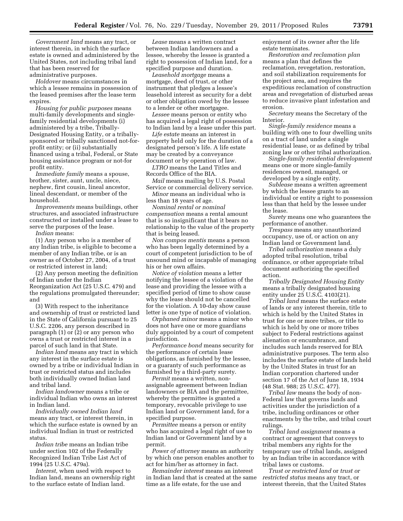*Government land* means any tract, or interest therein, in which the surface estate is owned and administered by the United States, not including tribal land that has been reserved for administrative purposes.

*Holdover* means circumstances in which a lessee remains in possession of the leased premises after the lease term expires.

*Housing for public purposes* means multi-family developments and singlefamily residential developments (i) administered by a tribe, Tribally-Designated Housing Entity, or a triballysponsored or tribally sanctioned not-forprofit entity; or (ii) substantially financed using a tribal, Federal, or State housing assistance program or not-for profit entity.

*Immediate family* means a spouse, brother, sister, aunt, uncle, niece, nephew, first cousin, lineal ancestor, lineal descendant, or member of the household.

*Improvements* means buildings, other structures, and associated infrastructure constructed or installed under a lease to serve the purposes of the lease.

*Indian* means:

(1) Any person who is a member of any Indian tribe, is eligible to become a member of any Indian tribe, or is an owner as of October 27, 2004, of a trust or restricted interest in land;

(2) Any person meeting the definition of Indian under the Indian Reorganization Act (25 U.S.C. 479) and the regulations promulgated thereunder; and

(3) With respect to the inheritance and ownership of trust or restricted land in the State of California pursuant to 25 U.S.C. 2206, any person described in paragraph (1) or (2) or any person who owns a trust or restricted interest in a parcel of such land in that State.

*Indian land* means any tract in which any interest in the surface estate is owned by a tribe or individual Indian in trust or restricted status and includes both individually owned Indian land and tribal land.

*Indian landowner* means a tribe or individual Indian who owns an interest in Indian land.

*Individually owned Indian land*  means any tract, or interest therein, in which the surface estate is owned by an individual Indian in trust or restricted status.

*Indian tribe* means an Indian tribe under section 102 of the Federally Recognized Indian Tribe List Act of 1994 (25 U.S.C. 479a).

*Interest,* when used with respect to Indian land, means an ownership right to the surface estate of Indian land.

*Lease* means a written contract between Indian landowners and a lessee, whereby the lessee is granted a right to possession of Indian land, for a specified purpose and duration.

*Leasehold mortgage* means a mortgage, deed of trust, or other instrument that pledges a lessee's leasehold interest as security for a debt or other obligation owed by the lessee to a lender or other mortgagee.

*Lessee* means person or entity who has acquired a legal right of possession to Indian land by a lease under this part.

*Life estate* means an interest in property held only for the duration of a designated person's life. A life estate may be created by a conveyance document or by operation of law.

*LTRO* means the Land Titles and Records Office of the BIA.

*Mail* means mailing by U.S. Postal Service or commercial delivery service.

*Minor* means an individual who is less than 18 years of age.

*Nominal rental or nominal compensation* means a rental amount that is so insignificant that it bears no relationship to the value of the property that is being leased.

*Non compos mentis* means a person who has been legally determined by a court of competent jurisdiction to be of unsound mind or incapable of managing his or her own affairs.

*Notice of violation* means a letter notifying the lessee of a violation of the lease and providing the lessee with a specified period of time to show cause why the lease should not be cancelled for the violation. A 10-day show cause letter is one type of notice of violation.

*Orphaned minor* means a minor who does not have one or more guardians duly appointed by a court of competent jurisdiction.

*Performance bond* means security for the performance of certain lease obligations, as furnished by the lessee, or a guaranty of such performance as furnished by a third-party surety.

*Permit* means a written, nonassignable agreement between Indian landowners or BIA and the permittee, whereby the permittee is granted a temporary, revocable privilege to use Indian land or Government land, for a specified purpose.

*Permittee* means a person or entity who has acquired a legal right of use to Indian land or Government land by a permit.

*Power of attorney* means an authority by which one person enables another to act for him/her as attorney in fact.

*Remainder interest* means an interest in Indian land that is created at the same time as a life estate, for the use and

enjoyment of its owner after the life estate terminates.

*Restoration and reclamation plan*  means a plan that defines the reclamation, revegetation, restoration, and soil stabilization requirements for the project area, and requires the expeditious reclamation of construction areas and revegetation of disturbed areas to reduce invasive plant infestation and erosion.

*Secretary* means the Secretary of the Interior.

*Single-family residence* means a building with one to four dwelling units on a tract of land under a single residential lease, or as defined by tribal zoning law or other tribal authorization.

*Single-family residential development*  means one or more single-family residences owned, managed, or developed by a single entity.

*Sublease* means a written agreement by which the lessee grants to an individual or entity a right to possession less than that held by the lessee under the lease.

*Surety* means one who guarantees the performance of another.

*Trespass* means any unauthorized occupancy, use of, or action on any Indian land or Government land.

*Tribal authorization* means a duly adopted tribal resolution, tribal ordinance, or other appropriate tribal document authorizing the specified action.

*Tribally Designated Housing Entity*  means a tribally designated housing entity under 25 U.S.C. 4103(21).

*Tribal land* means the surface estate of lands or any interest therein, title to which is held by the United States in trust for one or more tribes, or title to which is held by one or more tribes subject to Federal restrictions against alienation or encumbrance, and includes such lands reserved for BIA administrative purposes. The term also includes the surface estate of lands held by the United States in trust for an Indian corporation chartered under section 17 of the Act of June 18, 1934 (48 Stat. 988; 25 U.S.C. 477).

*Tribal law* means the body of non-Federal law that governs lands and activities under the jurisdiction of a tribe, including ordinances or other enactments by the tribe, and tribal court rulings.

*Tribal land assignment* means a contract or agreement that conveys to tribal members any rights for the temporary use of tribal lands, assigned by an Indian tribe in accordance with tribal laws or customs.

*Trust or restricted land* or *trust or restricted status* means any tract, or interest therein, that the United States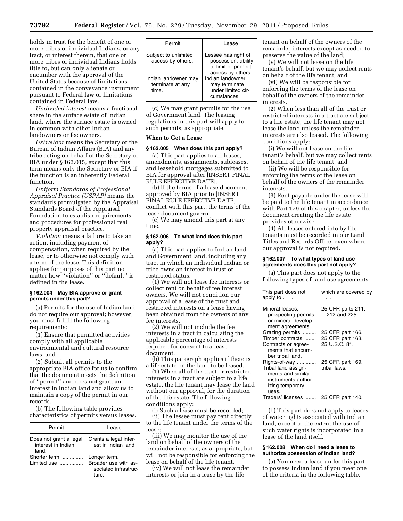holds in trust for the benefit of one or more tribes or individual Indians, or any tract, or interest therein, that one or more tribes or individual Indians holds title to, but can only alienate or encumber with the approval of the United States because of limitations contained in the conveyance instrument pursuant to Federal law or limitations contained in Federal law.

*Undivided interest* means a fractional share in the surface estate of Indian land, where the surface estate is owned in common with other Indian landowners or fee owners.

*Us/we/our* means the Secretary or the Bureau of Indian Affairs (BIA) and any tribe acting on behalf of the Secretary or BIA under § 162.015, except that this term means only the Secretary or BIA if the function is an inherently Federal function.

*Uniform Standards of Professional Appraisal Practice (USPAP)* means the standards promulgated by the Appraisal Standards Board of the Appraisal Foundation to establish requirements and procedures for professional real property appraisal practice.

*Violation* means a failure to take an action, including payment of compensation, when required by the lease, or to otherwise not comply with a term of the lease. This definition applies for purposes of this part no matter how ''violation'' or ''default'' is defined in the lease.

#### **§ 162.004 May BIA approve or grant permits under this part?**

(a) Permits for the use of Indian land do not require our approval; however, you must fulfill the following requirements:

(1) Ensure that permitted activities comply with all applicable environmental and cultural resource laws; and

(2) Submit all permits to the appropriate BIA office for us to confirm that the document meets the definition of ''permit'' and does not grant an interest in Indian land and allow us to maintain a copy of the permit in our records.

(b) The following table provides characteristics of permits versus leases.

| Permit                                                | l ease                                                               |
|-------------------------------------------------------|----------------------------------------------------------------------|
| Does not grant a legal<br>interest in Indian<br>land. | Grants a legal inter-<br>est in Indian land.                         |
| Shorter term<br>Limited use                           | Longer term.<br>Broader use with as-<br>sociated infrastruc-<br>ture |

| Permit                                            | I ease                                                                                  |
|---------------------------------------------------|-----------------------------------------------------------------------------------------|
| Subject to unlimited<br>access by others.         | Lessee has right of<br>possession, ability<br>to limit or prohibit<br>access by others. |
| Indian landowner may<br>terminate at any<br>time. | Indian landowner<br>may terminate<br>under limited cir-<br>cumstances.                  |

(c) We may grant permits for the use of Government land. The leasing regulations in this part will apply to such permits, as appropriate.

#### **When to Get a Lease**

#### **§ 162.005 When does this part apply?**

(a) This part applies to all leases, amendments, assignments, subleases, and leasehold mortgages submitted to BIA for approval after [INSERT FINAL RULE EFFECTIVE DATE].

(b) If the terms of a lease document approved by BIA prior to [INSERT FINAL RULE EFFECTIVE DATE] conflict with this part, the terms of the lease document govern.

(c) We may amend this part at any time.

#### **§ 162.006 To what land does this part apply?**

(a) This part applies to Indian land and Government land, including any tract in which an individual Indian or tribe owns an interest in trust or restricted status.

(1) We will not lease fee interests or collect rent on behalf of fee interest owners. We will not condition our approval of a lease of the trust and restricted interests on a lease having been obtained from the owners of any fee interests.

(2) We will not include the fee interests in a tract in calculating the applicable percentage of interests required for consent to a lease document.

(b) This paragraph applies if there is a life estate on the land to be leased.

(1) When all of the trust or restricted interests in a tract are subject to a life estate, the life tenant may lease the land without our approval, for the duration of the life estate. The following conditions apply:

(i) Such a lease must be recorded;

(ii) The lessee must pay rent directly to the life tenant under the terms of the lease;

(iii) We may monitor the use of the land on behalf of the owners of the remainder interests, as appropriate, but will not be responsible for enforcing the lease on behalf of the life tenant.

(iv) We will not lease the remainder interests or join in a lease by the life

tenant on behalf of the owners of the remainder interests except as needed to preserve the value of the land;

(v) We will not lease on the life tenant's behalf, but we may collect rents on behalf of the life tenant; and

(vi) We will be responsible for enforcing the terms of the lease on behalf of the owners of the remainder interests.

(2) When less than all of the trust or restricted interests in a tract are subject to a life estate, the life tenant may not lease the land unless the remainder interests are also leased. The following conditions apply:

(i) We will not lease on the life tenant's behalf, but we may collect rents on behalf of the life tenant; and

(ii) We will be responsible for enforcing the terms of the lease on behalf of the owners of the remainder interests.

(3) Rent payable under the lease will be paid to the life tenant in accordance with Part 179 of this chapter, unless the document creating the life estate provides otherwise.

(4) All leases entered into by life tenants must be recorded in our Land Titles and Records Office, even where our approval is not required.

#### **§ 162.007 To what types of land use agreements does this part not apply?**

(a) This part does not apply to the following types of land use agreements:

| This part does not<br>apply to $.$                                                                           | which are covered by                                  |
|--------------------------------------------------------------------------------------------------------------|-------------------------------------------------------|
| Mineral leases,<br>prospecting permits.<br>or mineral develop-<br>ment agreements.                           | 25 CFR parts 211,<br>212 and 225.                     |
| Grazing permits<br>Timber contracts<br>Contracts or agree-<br>ments that encum-<br>ber tribal land.          | 25 CFR part 166.<br>25 CFR part 163.<br>25 U.S.C. 81. |
| Rights-of-way<br>Tribal land assign-<br>ments and similar<br>instruments author-<br>izing temporary<br>uses. | 25 CFR part 169.<br>tribal laws.                      |
| Traders' licenses                                                                                            | 25 CFR part 140.                                      |

(b) This part does not apply to leases of water rights associated with Indian land, except to the extent the use of such water rights is incorporated in a lease of the land itself.

#### **§ 162.008 When do I need a lease to authorize possession of Indian land?**

(a) You need a lease under this part to possess Indian land if you meet one of the criteria in the following table.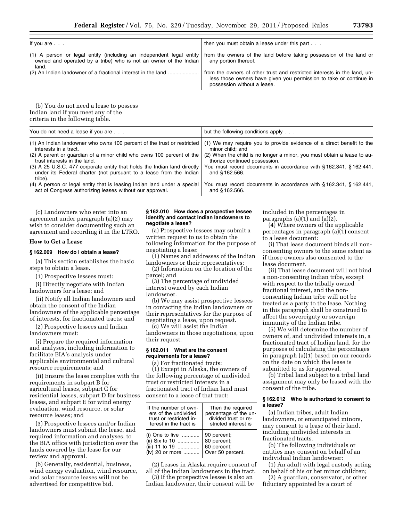| If you are                                                                                                                                       | then you must obtain a lease under this part                                                                                                                                  |
|--------------------------------------------------------------------------------------------------------------------------------------------------|-------------------------------------------------------------------------------------------------------------------------------------------------------------------------------|
| (1) A person or legal entity (including an independent legal entity<br>owned and operated by a tribe) who is not an owner of the Indian<br>land. | from the owners of the land before taking possession of the land or<br>any portion thereof.                                                                                   |
| (2) An Indian landowner of a fractional interest in the land                                                                                     | from the owners of other trust and restricted interests in the land, un-<br>less those owners have given you permission to take or continue in<br>possession without a lease. |

(b) You do not need a lease to possess Indian land if you meet any of the criteria in the following table.

| You do not need a lease if you are                                                                                                                        | but the following conditions apply                                                |
|-----------------------------------------------------------------------------------------------------------------------------------------------------------|-----------------------------------------------------------------------------------|
| (1) An Indian landowner who owns 100 percent of the trust or restricted                                                                                   | (1) We may require you to provide evidence of a direct benefit to the             |
| interests in a tract.                                                                                                                                     | minor child: and                                                                  |
| (2) A parent or quardian of a minor child who owns 100 percent of the                                                                                     | (2) When the child is no longer a minor, you must obtain a lease to au-           |
| trust interests in the land.                                                                                                                              | thorize continued possession.                                                     |
| (3) A 25 U.S.C. 477 corporate entity that holds the Indian land directly<br>under its Federal charter (not pursuant to a lease from the Indian<br>tribe). | You must record documents in accordance with §162.341, §162.441,<br>and §162.566. |
| (4) A person or legal entity that is leasing Indian land under a special                                                                                  | You must record documents in accordance with §162.341, §162.441,                  |
| act of Congress authorizing leases without our approval.                                                                                                  | and §162.566.                                                                     |

(c) Landowners who enter into an agreement under paragraph (a)(2) may wish to consider documenting such an agreement and recording it in the LTRO.

#### **How to Get a Lease**

 $\overline{a}$ 

#### **§ 162.009 How do I obtain a lease?**

(a) This section establishes the basic steps to obtain a lease.

(1) Prospective lessees must:

(i) Directly negotiate with Indian landowners for a lease; and

(ii) Notify all Indian landowners and obtain the consent of the Indian landowners of the applicable percentage of interests, for fractionated tracts; and

(2) Prospective lessees and Indian landowners must:

(i) Prepare the required information and analyses, including information to facilitate BIA's analysis under applicable environmental and cultural resource requirements; and

(ii) Ensure the lease complies with the requirements in subpart B for agricultural leases, subpart C for residential leases, subpart D for business leases, and subpart E for wind energy evaluation, wind resource, or solar resource leases; and

(3) Prospective lessees and/or Indian landowners must submit the lease, and required information and analyses, to the BIA office with jurisdiction over the lands covered by the lease for our review and approval.

(b) Generally, residential, business, wind energy evaluation, wind resource, and solar resource leases will not be advertised for competitive bid.

#### **§ 162.010 How does a prospective lessee identify and contact Indian landowners to negotiate a lease?**

(a) Prospective lessees may submit a written request to us to obtain the following information for the purpose of negotiating a lease:

(1) Names and addresses of the Indian landowners or their representatives;

(2) Information on the location of the parcel; and

(3) The percentage of undivided interest owned by each Indian landowner.

(b) We may assist prospective lessees in contacting the Indian landowners or their representatives for the purpose of negotiating a lease, upon request.

(c) We will assist the Indian landowners in those negotiations, upon their request.

#### **§ 162.011 What are the consent requirements for a lease?**

(a) For fractionated tracts:

(1) Except in Alaska, the owners of the following percentage of undivided trust or restricted interests in a fractionated tract of Indian land must consent to a lease of that tract:

| If the number of own-                          | Then the required     |
|------------------------------------------------|-----------------------|
| ers of the undivided                           | percentage of the un- |
| trust or restricted in-                        | divided trust or re-  |
| terest in the tract is                         | stricted interest is  |
| (i) One to five $\,\ldots\ldots\ldots\ldots\,$ | 90 percent;           |
| (ii) Six to 10                                 | 80 percent;           |
| (iii) 11 to 19                                 | 60 percent;           |
| (iv) 20 or more                                | Over 50 percent.      |

(2) Leases in Alaska require consent of all of the Indian landowners in the tract.

(3) If the prospective lessee is also an Indian landowner, their consent will be included in the percentages in paragraphs  $(a)(1)$  and  $(a)(2)$ .

(4) Where owners of the applicable percentages in paragraph (a)(1) consent to a lease document:

(i) That lease document binds all nonconsenting owners to the same extent as if those owners also consented to the lease document.

(ii) That lease document will not bind a non-consenting Indian tribe, except with respect to the tribally owned fractional interest, and the nonconsenting Indian tribe will not be treated as a party to the lease. Nothing in this paragraph shall be construed to affect the sovereignty or sovereign immunity of the Indian tribe.

(5) We will determine the number of owners of, and undivided interests in, a fractionated tract of Indian land, for the purposes of calculating the percentages in paragraph (a)(1) based on our records on the date on which the lease is submitted to us for approval.

(b) Tribal land subject to a tribal land assignment may only be leased with the consent of the tribe.

#### **§ 162.012 Who is authorized to consent to a lease?**

(a) Indian tribes, adult Indian landowners, or emancipated minors, may consent to a lease of their land, including undivided interests in fractionated tracts.

(b) The following individuals or entities may consent on behalf of an individual Indian landowner:

(1) An adult with legal custody acting on behalf of his or her minor children;

(2) A guardian, conservator, or other fiduciary appointed by a court of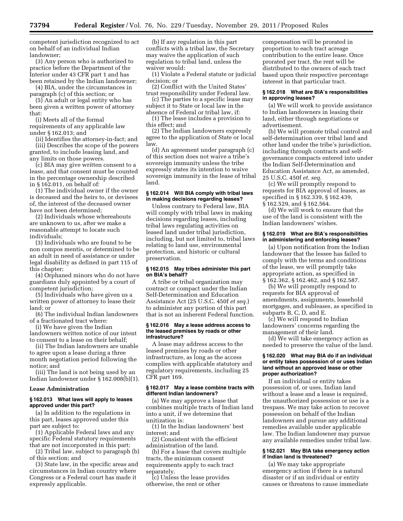competent jurisdiction recognized to act on behalf of an individual Indian landowner;

(3) Any person who is authorized to practice before the Department of the Interior under 43 CFR part 1 and has been retained by the Indian landowner;

(4) BIA, under the circumstances in paragraph (c) of this section; or

(5) An adult or legal entity who has been given a written power of attorney that:

(i) Meets all of the formal requirements of any applicable law under § 162.013; and

(ii) Identifies the attorney-in-fact; and (iii) Describes the scope of the powers granted, to include leasing land, and any limits on those powers.

(c) BIA may give written consent to a lease, and that consent must be counted in the percentage ownership described in § 162.011, on behalf of:

(1) The individual owner if the owner is deceased and the heirs to, or devisees of, the interest of the deceased owner have not been determined;

(2) Individuals whose whereabouts are unknown to us, after we make a reasonable attempt to locate such individuals;

(3) Individuals who are found to be non compos mentis, or determined to be an adult in need of assistance or under legal disability as defined in part 115 of this chapter;

(4) Orphaned minors who do not have guardians duly appointed by a court of competent jurisdiction;

(5) Individuals who have given us a written power of attorney to lease their land; or

(6) The individual Indian landowners of a fractionated tract where:

(i) We have given the Indian landowners written notice of our intent to consent to a lease on their behalf;

(ii) The Indian landowners are unable to agree upon a lease during a three month negotiation period following the notice; and

(iii) The land is not being used by an Indian landowner under § 162.008(b)(1).

#### **Lease Administration**

#### **§ 162.013 What laws will apply to leases approved under this part?**

(a) In addition to the regulations in this part, leases approved under this part are subject to:

(1) Applicable Federal laws and any specific Federal statutory requirements that are not incorporated in this part;

(2) Tribal law, subject to paragraph (b) of this section; and

(3) State law, in the specific areas and circumstances in Indian country where Congress or a Federal court has made it expressly applicable.

(b) If any regulation in this part conflicts with a tribal law, the Secretary may waive the application of such regulation to tribal land, unless the waiver would:

(1) Violate a Federal statute or judicial decision; or

(2) Conflict with the United States' trust responsibility under Federal law.

(c) The parties to a specific lease may subject it to State or local law in the

absence of Federal or tribal law, if: (1) The lease includes a provision to this effect; and

(2) The Indian landowners expressly agree to the application of State or local law.

(d) An agreement under paragraph (c) of this section does not waive a tribe's sovereign immunity unless the tribe expressly states its intention to waive sovereign immunity in the lease of tribal land.

#### **§ 162.014 Will BIA comply with tribal laws in making decisions regarding leases?**

Unless contrary to Federal law, BIA will comply with tribal laws in making decisions regarding leases, including tribal laws regulating activities on leased land under tribal jurisdiction, including, but not limited to, tribal laws relating to land use, environmental protection, and historic or cultural preservation.

#### **§ 162.015 May tribes administer this part on BIA's behalf?**

A tribe or tribal organization may contract or compact under the Indian Self-Determination and Education Assistance Act (25 U.S.C. 450f *et seq.*) to administer any portion of this part that is not an inherent Federal function.

#### **§ 162.016 May a lease address access to the leased premises by roads or other infrastructure?**

A lease may address access to the leased premises by roads or other infrastructure, as long as the access complies with applicable statutory and regulatory requirements, including 25 CFR part 169.

#### **§ 162.017 May a lease combine tracts with different Indian landowners?**

(a) We may approve a lease that combines multiple tracts of Indian land into a unit, if we determine that unitization is:

(1) In the Indian landowners' best interest; and

(2) Consistent with the efficient administration of the land.

(b) For a lease that covers multiple tracts, the minimum consent requirements apply to each tract separately.

(c) Unless the lease provides otherwise, the rent or other

compensation will be prorated in proportion to each tract acreage contribution to the entire lease. Once prorated per tract, the rent will be distributed to the owners of each tract based upon their respective percentage interest in that particular tract.

#### **§ 162.018 What are BIA's responsibilities in approving leases?**

(a) We will work to provide assistance to Indian landowners in leasing their land, either through negotiations or advertisement.

(b) We will promote tribal control and self-determination over tribal land and other land under the tribe's jurisdiction, including through contracts and selfgovernance compacts entered into under the Indian Self-Determination and Education Assistance Act, as amended, 25 U.S.C. 450f *et. seq.* 

(c) We will promptly respond to requests for BIA approval of leases, as specified in § 162.339, § 162.439, § 162.529, and § 162.564.

(d) We will work to ensure that the use of the land is consistent with the Indian landowners' wishes.

#### **§ 162.019 What are BIA's responsibilities in administering and enforcing leases?**

(a) Upon notification from the Indian landowner that the lessee has failed to comply with the terms and conditions of the lease, we will promptly take appropriate action, as specified in § 162.362, § 162.462, and § 162.587.

(b) We will promptly respond to requests for BIA approval of amendments, assignments, leasehold mortgages, and subleases, as specified in subparts B, C, D, and E.

(c) We will respond to Indian landowners' concerns regarding the management of their land.

(d) We will take emergency action as needed to preserve the value of the land.

#### **§ 162.020 What may BIA do if an individual or entity takes possession of or uses Indian land without an approved lease or other proper authorization?**

If an individual or entity takes possession of, or uses, Indian land without a lease and a lease is required, the unauthorized possession or use is a trespass. We may take action to recover possession on behalf of the Indian landowners and pursue any additional remedies available under applicable law. The Indian landowner may pursue any available remedies under tribal law.

#### **§ 162.021 May BIA take emergency action if Indian land is threatened?**

(a) We may take appropriate emergency action if there is a natural disaster or if an individual or entity causes or threatens to cause immediate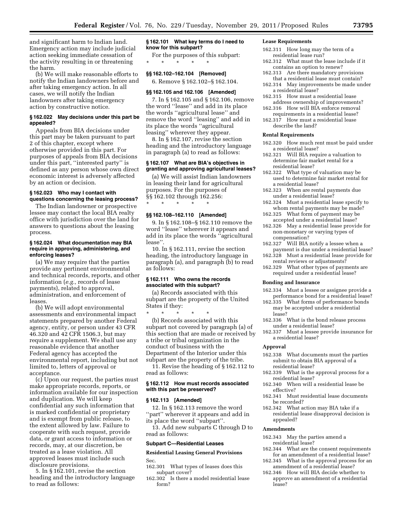and significant harm to Indian land. Emergency action may include judicial action seeking immediate cessation of the activity resulting in or threatening the harm.

(b) We will make reasonable efforts to notify the Indian landowners before and after taking emergency action. In all cases, we will notify the Indian landowners after taking emergency action by constructive notice.

#### **§ 162.022 May decisions under this part be appealed?**

Appeals from BIA decisions under this part may be taken pursuant to part 2 of this chapter, except where otherwise provided in this part. For purposes of appeals from BIA decisions under this part, ''interested party'' is defined as any person whose own direct economic interest is adversely affected by an action or decision.

#### **§ 162.023 Who may I contact with questions concerning the leasing process?**

The Indian landowner or prospective lessee may contact the local BIA realty office with jurisdiction over the land for answers to questions about the leasing process.

#### **§ 162.024 What documentation may BIA require in approving, administering, and enforcing leases?**

(a) We may require that the parties provide any pertinent environmental and technical records, reports, and other information (*e.g.,* records of lease payments), related to approval, administration, and enforcement of leases.

(b) We will adopt environmental assessments and environmental impact statements prepared by another Federal agency, entity, or person under 43 CFR 46.320 and 42 CFR 1506.3, but may require a supplement. We shall use any reasonable evidence that another Federal agency has accepted the environmental report, including but not limited to, letters of approval or acceptance.

(c) Upon our request, the parties must make appropriate records, reports, or information available for our inspection and duplication. We will keep confidential any such information that is marked confidential or proprietary and is exempt from public release, to the extent allowed by law. Failure to cooperate with such request, provide data, or grant access to information or records, may, at our discretion, be treated as a lease violation. All approved leases must include such disclosure provisions.

5. In § 162.101, revise the section heading and the introductory language to read as follows:

#### **§ 162.101 What key terms do I need to know for this subpart?**

For the purposes of this subpart:

#### **§§ 162.102–162.104 [Removed]**

\* \* \* \* \*

6. Remove § 162.102–§ 162.104.

#### **§§ 162.105 and 162.106 [Amended]**

7. In § 162.105 and § 162.106, remove the word ''lease'' and add in its place the words ''agricultural lease'' and remove the word ''leasing'' and add in its place the words ''agricultural leasing'' wherever they appear.

8. In § 162.107, revise the section heading and the introductory language in paragraph (a) to read as follows:

#### **§ 162.107 What are BIA's objectives in granting and approving agricultural leases?**

(a) We will assist Indian landowners in leasing their land for agricultural purposes. For the purposes of §§ 162.102 through 162.256: \* \* \* \* \*

#### **§§ 162.108–162.110 [Amended]**

9. In § 162.108–§ 162.110 remove the word ''lease'' wherever it appears and add in its place the words ''agricultural lease''.

10. In § 162.111, revise the section heading, the introductory language in paragraph (a), and paragraph (b) to read as follows:

#### **§ 162.111 Who owns the records associated with this subpart?**

(a) Records associated with this subpart are the property of the United States if they:

\* \* \* \* \* (b) Records associated with this subpart not covered by paragraph (a) of this section that are made or received by a tribe or tribal organization in the conduct of business with the Department of the Interior under this subpart are the property of the tribe.

11. Revise the heading of § 162.112 to read as follows:

#### **§ 162.112 How must records associated with this part be preserved?**

#### **§ 162.113 [Amended]**

12. In § 162.113 remove the word ''part'' wherever it appears and add in its place the word ''subpart''.

13. Add new subparts C through D to read as follows:

#### **Subpart C—Residential Leases**

**Residential Leasing General Provisions**  Sec.

- 162.301 What types of leases does this subpart cover?
- 162.302 Is there a model residential lease form?

#### **Lease Requirements**

- 162.311 How long may the term of a residential lease run?
- 162.312 What must the lease include if it contains an option to renew?
- 162.313 Are there mandatory provisions that a residential lease must contain?
- 162.314 May improvements be made under a residential lease?
- 162.315 How must a residential lease address ownership of improvements?
- 162.316 How will BIA enforce removal requirements in a residential lease?
- 162.317 How must a residential lease describe the land?

#### **Rental Requirements**

- 162.320 How much rent must be paid under a residential lease?
- 162.321 Will BIA require a valuation to determine fair market rental for a residential lease?
- 162.322 What type of valuation may be used to determine fair market rental for a residential lease?
- 162.323 When are rental payments due under a residential lease?
- 162.324 Must a residential lease specify to whom rental payments may be made?
- 162.325 What form of payment may be accepted under a residential lease?
- 162.326 May a residential lease provide for non-monetary or varying types of compensation?
- 162.327 Will BIA notify a lessee when a payment is due under a residential lease?
- 162.328 Must a residential lease provide for rental reviews or adjustments?
- 162.329 What other types of payments are required under a residential lease?

#### **Bonding and Insurance**

- 162.334 Must a lessee or assignee provide a performance bond for a residential lease?
- 162.335 What forms of performance bonds may be accepted under a residential lease?
- 162.336 What is the bond release process under a residential lease?
- 162.337 Must a lessee provide insurance for a residential lease?

#### **Approval**

- 162.338 What documents must the parties submit to obtain BIA approval of a residential lease?
- 162.339 What is the approval process for a residential lease?
- 162.340 When will a residential lease be effective?
- 162.341 Must residential lease documents be recorded?
- 162.342 What action may BIA take if a residential lease disapproval decision is appealed?

#### **Amendments**

- 162.343 May the parties amend a residential lease?
- 162.344 What are the consent requirements for an amendment of a residential lease?
- 162.345 What is the approval process for an amendment of a residential lease?
- 162.346 How will BIA decide whether to approve an amendment of a residential lease?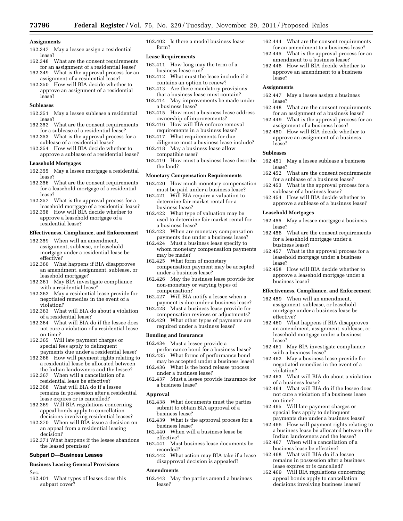#### **Assignments**

- 162.347 May a lessee assign a residential lease?
- 162.348 What are the consent requirements for an assignment of a residential lease? 162.349 What is the approval process for an
- assignment of a residential lease? 162.350 How will BIA decide whether to
- approve an assignment of a residential lease?

#### **Subleases**

- 162.351 May a lessee sublease a residential lease?
- 162.352 What are the consent requirements for a sublease of a residential lease?
- 162.353 What is the approval process for a sublease of a residential lease?
- 162.354 How will BIA decide whether to approve a sublease of a residential lease?

#### **Leasehold Mortgages**

- 162.355 May a lessee mortgage a residential lease?
- 162.356 What are the consent requirements for a leasehold mortgage of a residential lease?
- 162.357 What is the approval process for a leasehold mortgage of a residential lease?
- 162.358 How will BIA decide whether to approve a leasehold mortgage of a residential lease?

#### **Effectiveness, Compliance, and Enforcement**

- 162.359 When will an amendment, assignment, sublease, or leasehold mortgage under a residential lease be effective?
- 162.360 What happens if BIA disapproves an amendment, assignment, sublease, or leasehold mortgage?
- 162.361 May BIA investigate compliance with a residential lease?
- 162.362 May a residential lease provide for negotiated remedies in the event of a violation?
- 162.363 What will BIA do about a violation of a residential lease?
- 162.364 What will BIA do if the lessee does not cure a violation of a residential lease on time?
- 162.365 Will late payment charges or special fees apply to delinquent payments due under a residential lease?
- 162.366 How will payment rights relating to a residential lease be allocated between the Indian landowners and the lessee?
- 162.367 When will a cancellation of a residential lease be effective?
- 162.368 What will BIA do if a lessee remains in possession after a residential lease expires or is cancelled?
- 162.369 Will BIA regulations concerning appeal bonds apply to cancellation decisions involving residential leases?
- 162.370 When will BIA issue a decision on an appeal from a residential leasing decision?
- 162.371 What happens if the lessee abandons the leased premises?

#### **Subpart D—Business Leases**

#### **Business Leasing General Provisions**

Sec.

162.401 What types of leases does this subpart cover?

162.402 Is there a model business lease form?

#### **Lease Requirements**

- 162.411 How long may the term of a business lease run?
- 162.412 What must the lease include if it contains an option to renew?
- 162.413 Are there mandatory provisions that a business lease must contain?
- 162.414 May improvements be made under a business lease?
- 162.415 How must a business lease address ownership of improvements?
- 162.416 How will BIA enforce removal requirements in a business lease?
- 162.417 What requirements for due diligence must a business lease include?
- 162.418 May a business lease allow compatible uses?
- 162.419 How must a business lease describe the land?

#### **Monetary Compensation Requirements**

- 162.420 How much monetary compensation must be paid under a business lease?
- 162.421 Will BIA require a valuation to determine fair market rental for a business lease?
- 162.422 What type of valuation may be used to determine fair market rental for a business lease?
- 162.423 When are monetary compensation payments due under a business lease?
- 162.424 Must a business lease specify to whom monetary compensation payments may be made?
- 162.425 What form of monetary compensation payment may be accepted under a business lease?
- 162.426 May the business lease provide for non-monetary or varying types of compensation?
- 162.427 Will BIA notify a lessee when a payment is due under a business lease?
- 162.428 Must a business lease provide for compensation reviews or adjustments?
- 162.429 What other types of payments are required under a business lease?

#### **Bonding and Insurance**

162.434 Must a lessee provide a performance bond for a business lease?

162.435 What forms of performance bond may be accepted under a business lease?

162.436 What is the bond release process under a business lease?

162.437 Must a lessee provide insurance for a business lease?

#### **Approval**

- 162.438 What documents must the parties submit to obtain BIA approval of a business lease?
- 162.439 What is the approval process for a business lease?
- 162.440 When will a business lease be effective?
- 162.441 Must business lease documents be recorded?
- 162.442 What action may BIA take if a lease disapproval decision is appealed?

#### **Amendments**

162.443 May the parties amend a business lease?

- 162.444 What are the consent requirements for an amendment to a business lease?
- 162.445 What is the approval process for an amendment to a business lease?
- 162.446 How will BIA decide whether to approve an amendment to a business lease?

#### **Assignments**

- 162.447 May a lessee assign a business lease?
- 162.448 What are the consent requirements for an assignment of a business lease?
- 162.449 What is the approval process for an assignment of a business lease?
- 162.450 How will BIA decide whether to approve an assignment of a business lease?

#### **Subleases**

- 162.451 May a lessee sublease a business lease?
- 162.452 What are the consent requirements for a sublease of a business lease?
- 162.453 What is the approval process for a sublease of a business lease?
- 162.454 How will BIA decide whether to approve a sublease of a business lease?

#### **Leasehold Mortgages**

- 162.455 May a lessee mortgage a business lease?
- 162.456 What are the consent requirements for a leasehold mortgage under a business lease?
- 162.457 What is the approval process for a leasehold mortgage under a business lease?
- 162.458 How will BIA decide whether to approve a leasehold mortgage under a business lease?

#### **Effectiveness, Compliance, and Enforcement**

- 162.459 When will an amendment, assignment, sublease, or leasehold mortgage under a business lease be effective?
- 162.460 What happens if BIA disapproves an amendment, assignment, sublease, or leasehold mortgage under a business lease?
- 162.461 May BIA investigate compliance with a business lease?
- 162.462 May a business lease provide for negotiated remedies in the event of a violation?
- 162.463 What will BIA do about a violation of a business lease?
- 162.464 What will BIA do if the lessee does not cure a violation of a business lease on time?
- 162.465 Will late payment charges or special fees apply to delinquent payments due under a business lease?
- 162.466 How will payment rights relating to a business lease be allocated between the
- Indian landowners and the lessee? 162.467 When will a cancellation of a business lease be effective?
- 162.468 What will BIA do if a lessee remains in possession after a business lease expires or is cancelled?
- 162.469 Will BIA regulations concerning appeal bonds apply to cancellation decisions involving business leases?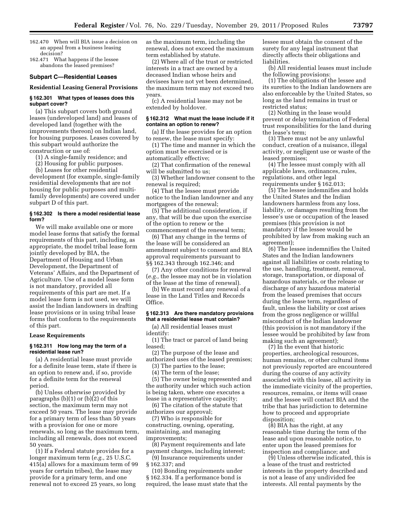- 162.470 When will BIA issue a decision on an appeal from a business leasing decision?
- 162.471 What happens if the lessee abandons the leased premises?

#### **Subpart C—Residential Leases**

#### **Residential Leasing General Provisions**

### **§ 162.301 What types of leases does this subpart cover?**

(a) This subpart covers both ground leases (undeveloped land) and leases of developed land (together with the improvements thereon) on Indian land, for housing purposes. Leases covered by this subpart would authorize the construction or use of:

(1) A single-family residence; and

(2) Housing for public purposes.

(b) Leases for other residential development (for example, single-family residential developments that are not housing for public purposes and multifamily developments) are covered under subpart D of this part.

#### **§ 162.302 Is there a model residential lease form?**

We will make available one or more model lease forms that satisfy the formal requirements of this part, including, as appropriate, the model tribal lease form jointly developed by BIA, the Department of Housing and Urban Development, the Department of Veterans' Affairs, and the Department of Agriculture. Use of a model lease form is not mandatory, provided all requirements of this part are met. If a model lease form is not used, we will assist the Indian landowners in drafting lease provisions or in using tribal lease forms that conform to the requirements of this part.

#### **Lease Requirements**

#### **§ 162.311 How long may the term of a residential lease run?**

(a) A residential lease must provide for a definite lease term, state if there is an option to renew and, if so, provide for a definite term for the renewal period.

(b) Unless otherwise provided by paragraphs (b)(1) or (b)(2) of this section, the maximum term may not exceed 50 years. The lease may provide for a primary term of less than 50 years with a provision for one or more renewals, so long as the maximum term, including all renewals, does not exceed 50 years.

(1) If a Federal statute provides for a longer maximum term (*e.g.,* 25 U.S.C. 415(a) allows for a maximum term of 99 years for certain tribes), the lease may provide for a primary term, and one renewal not to exceed 25 years, so long

as the maximum term, including the renewal, does not exceed the maximum term established by statute.

(2) Where all of the trust or restricted interests in a tract are owned by a deceased Indian whose heirs and devisees have not yet been determined, the maximum term may not exceed two years.

(c) A residential lease may not be extended by holdover.

#### **§ 162.312 What must the lease include if it contains an option to renew?**

(a) If the lease provides for an option to renew, the lease must specify:

(1) The time and manner in which the option must be exercised or is automatically effective;

(2) That confirmation of the renewal will be submitted to us;

(3) Whether landowner consent to the renewal is required;

(4) That the lessee must provide notice to the Indian landowner and any mortgagees of the renewal;

(5) The additional consideration, if any, that will be due upon the exercise of the option to renew or the commencement of the renewal term;

(6) That any change in the terms of the lease will be considered an amendment subject to consent and BIA approval requirements pursuant to §§ 162.343 through 162.346; and

(7) Any other conditions for renewal (*e.g.,* the lessee may not be in violation of the lease at the time of renewal).

(b) We must record any renewal of a lease in the Land Titles and Records Office.

#### **§ 162.313 Are there mandatory provisions that a residential lease must contain?**

(a) All residential leases must identify:

(1) The tract or parcel of land being leased;

(2) The purpose of the lease and authorized uses of the leased premises;

(3) The parties to the lease;

(4) The term of the lease;

(5) The owner being represented and the authority under which such action is being taken, where one executes a lease in a representative capacity;

(6) The citation of the statute that authorizes our approval;

(7) Who is responsible for constructing, owning, operating, maintaining, and managing improvements;

(8) Payment requirements and late payment charges, including interest;

(9) Insurance requirements under § 162.337; and

(10) Bonding requirements under § 162.334. If a performance bond is required, the lease must state that the lessee must obtain the consent of the surety for any legal instrument that directly affects their obligations and liabilities.

(b) All residential leases must include the following provisions:

(1) The obligations of the lessee and its sureties to the Indian landowners are also enforceable by the United States, so long as the land remains in trust or restricted status;

(2) Nothing in the lease would prevent or delay termination of Federal trust responsibilities for the land during the lease's term;

(3) There must not be any unlawful conduct, creation of a nuisance, illegal activity, or negligent use or waste of the leased premises;

(4) The lessee must comply with all applicable laws, ordinances, rules, regulations, and other legal requirements under § 162.013;

(5) The lessee indemnifies and holds the United States and the Indian landowners harmless from any loss, liability, or damages resulting from the lessee's use or occupation of the leased premises (this provision is not mandatory if the lessee would be prohibited by law from making such an agreement);

(6) The lessee indemnifies the United States and the Indian landowners against all liabilities or costs relating to the use, handling, treatment, removal, storage, transportation, or disposal of hazardous materials, or the release or discharge of any hazardous material from the leased premises that occurs during the lease term, regardless of fault, unless the liability or cost arises from the gross negligence or willful misconduct of the Indian landowner (this provision is not mandatory if the lessee would be prohibited by law from making such an agreement);

(7) In the event that historic properties, archeological resources, human remains, or other cultural items not previously reported are encountered during the course of any activity associated with this lease, all activity in the immediate vicinity of the properties, resources, remains, or items will cease and the lessee will contact BIA and the tribe that has jurisdiction to determine how to proceed and appropriate disposition;

(8) BIA has the right, at any reasonable time during the term of the lease and upon reasonable notice, to enter upon the leased premises for inspection and compliance; and

(9) Unless otherwise indicated, this is a lease of the trust and restricted interests in the property described and is not a lease of any undivided fee interests. All rental payments by the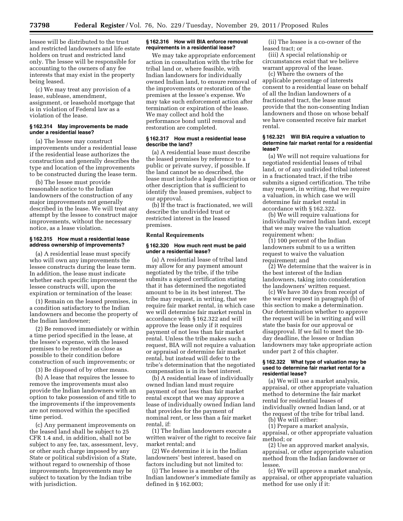lessee will be distributed to the trust and restricted landowners and life estate holders on trust and restricted land only. The lessee will be responsible for accounting to the owners of any fee interests that may exist in the property being leased.

(c) We may treat any provision of a lease, sublease, amendment, assignment, or leasehold mortgage that is in violation of Federal law as a violation of the lease.

#### **§ 162.314 May improvements be made under a residential lease?**

(a) The lessee may construct improvements under a residential lease if the residential lease authorizes the construction and generally describes the type and location of the improvements to be constructed during the lease term.

(b) The lessee must provide reasonable notice to the Indian landowners of the construction of any major improvements not generally described in the lease. We will treat any attempt by the lessee to construct major improvements, without the necessary notice, as a lease violation.

#### **§ 162.315 How must a residential lease address ownership of improvements?**

(a) A residential lease must specify who will own any improvements the lessee constructs during the lease term. In addition, the lease must indicate whether each specific improvement the lessee constructs will, upon the expiration or termination of the lease:

(1) Remain on the leased premises, in a condition satisfactory to the Indian landowners and become the property of the Indian landowner;

(2) Be removed immediately or within a time period specified in the lease, at the lessee's expense, with the leased premises to be restored as close as possible to their condition before construction of such improvements; or

(3) Be disposed of by other means.

(b) A lease that requires the lessee to remove the improvements must also provide the Indian landowners with an option to take possession of and title to the improvements if the improvements are not removed within the specified time period.

(c) Any permanent improvements on the leased land shall be subject to 25 CFR 1.4 and, in addition, shall not be subject to any fee, tax, assessment, levy, or other such charge imposed by any State or political subdivision of a State, without regard to ownership of those improvements. Improvements may be subject to taxation by the Indian tribe with jurisdiction.

#### **§ 162.316 How will BIA enforce removal requirements in a residential lease?**

We may take appropriate enforcement action in consultation with the tribe for tribal land or, where feasible, with Indian landowners for individually owned Indian land, to ensure removal of the improvements or restoration of the premises at the lessee's expense. We may take such enforcement action after termination or expiration of the lease. We may collect and hold the performance bond until removal and restoration are completed.

#### **§ 162.317 How must a residential lease describe the land?**

(a) A residential lease must describe the leased premises by reference to a public or private survey, if possible. If the land cannot be so described, the lease must include a legal description or other description that is sufficient to identify the leased premises, subject to our approval.

(b) If the tract is fractionated, we will describe the undivided trust or restricted interest in the leased premises.

#### **Rental Requirements**

#### **§ 162.320 How much rent must be paid under a residential lease?**

(a) A residential lease of tribal land may allow for any payment amount negotiated by the tribe, if the tribe submits a signed certification stating that it has determined the negotiated amount to be in its best interest. The tribe may request, in writing, that we require fair market rental, in which case we will determine fair market rental in accordance with § 162.322 and will approve the lease only if it requires payment of not less than fair market rental. Unless the tribe makes such a request, BIA will not require a valuation or appraisal or determine fair market rental, but instead will defer to the tribe's determination that the negotiated compensation is in its best interest.

(b) A residential lease of individually owned Indian land must require payment of not less than fair market rental except that we may approve a lease of individually owned Indian land that provides for the payment of nominal rent, or less than a fair market rental, if:

(1) The Indian landowners execute a written waiver of the right to receive fair market rental; and

(2) We determine it is in the Indian landowners' best interest, based on factors including but not limited to:

(i) The lessee is a member of the Indian landowner's immediate family as defined in § 162.003;

(ii) The lessee is a co-owner of the leased tract; or

(iii) A special relationship or circumstances exist that we believe warrant approval of the lease.

(c) Where the owners of the applicable percentage of interests consent to a residential lease on behalf of all the Indian landowners of a fractionated tract, the lease must provide that the non-consenting Indian landowners and those on whose behalf we have consented receive fair market rental.

#### **§ 162.321 Will BIA require a valuation to determine fair market rental for a residential lease?**

(a) We will not require valuations for negotiated residential leases of tribal land, or of any undivided tribal interest in a fractionated tract, if the tribe submits a signed certification. The tribe may request, in writing, that we require a valuation, in which case we will determine fair market rental in accordance with § 162.322.

(b) We will require valuations for individually owned Indian land, except that we may waive the valuation requirement when:

(1) 100 percent of the Indian landowners submit to us a written request to waive the valuation requirement; and

(2) We determine that the waiver is in the best interest of the Indian landowners, taking into consideration the landowners' written request.

(c) We have 30 days from receipt of the waiver request in paragraph (b) of this section to make a determination. Our determination whether to approve the request will be in writing and will state the basis for our approval or disapproval. If we fail to meet the 30 day deadline, the lessee or Indian landowners may take appropriate action under part 2 of this chapter.

#### **§ 162.322 What type of valuation may be used to determine fair market rental for a residential lease?**

(a) We will use a market analysis, appraisal, or other appropriate valuation method to determine the fair market rental for residential leases of individually owned Indian land, or at the request of the tribe for tribal land.

(b) We will either:

(1) Prepare a market analysis, appraisal, or other appropriate valuation method; or

(2) Use an approved market analysis, appraisal, or other appropriate valuation method from the Indian landowner or lessee.

(c) We will approve a market analysis, appraisal, or other appropriate valuation method for use only if it: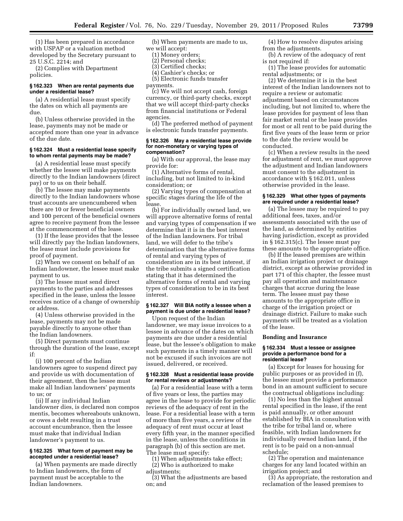(1) Has been prepared in accordance with USPAP or a valuation method developed by the Secretary pursuant to 25 U.S.C. 2214; and

(2) Complies with Department policies.

#### **§ 162.323 When are rental payments due under a residential lease?**

(a) A residential lease must specify the dates on which all payments are due.

(b) Unless otherwise provided in the lease, payments may not be made or accepted more than one year in advance of the due date.

#### **§ 162.324 Must a residential lease specify to whom rental payments may be made?**

(a) A residential lease must specify whether the lessee will make payments directly to the Indian landowners (direct pay) or to us on their behalf.

(b) The lessee may make payments directly to the Indian landowners whose trust accounts are unencumbered when there are 10 or fewer beneficial owners and 100 percent of the beneficial owners agree to receive payment from the lessee at the commencement of the lease.

(1) If the lease provides that the lessee will directly pay the Indian landowners, the lease must include provisions for proof of payment.

(2) When we consent on behalf of an Indian landowner, the lessee must make payment to us.

(3) The lessee must send direct payments to the parties and addresses specified in the lease, unless the lessee receives notice of a change of ownership or address.

(4) Unless otherwise provided in the lease, payments may not be made payable directly to anyone other than the Indian landowners.

(5) Direct payments must continue through the duration of the lease, except if:

(i) 100 percent of the Indian landowners agree to suspend direct pay and provide us with documentation of their agreement, then the lessee must make all Indian landowners' payments to us; or

(ii) If any individual Indian landowner dies, is declared non compos mentis, becomes whereabouts unknown, or owes a debt resulting in a trust account encumbrance, then the lessee must make that individual Indian landowner's payment to us.

#### **§ 162.325 What form of payment may be accepted under a residential lease?**

(a) When payments are made directly to Indian landowners, the form of payment must be acceptable to the Indian landowners.

(b) When payments are made to us, we will accept:

- (1) Money orders;
- (2) Personal checks;
- (3) Certified checks;
- (4) Cashier's checks; or
- (5) Electronic funds transfer

payments.

(c) We will not accept cash, foreign currency, or third-party checks, except that we will accept third-party checks from financial institutions or Federal agencies.

(d) The preferred method of payment is electronic funds transfer payments.

#### **§ 162.326 May a residential lease provide for non-monetary or varying types of compensation?**

(a) With our approval, the lease may provide for:

(1) Alternative forms of rental, including, but not limited to in-kind consideration; or

(2) Varying types of compensation at specific stages during the life of the lease.

(b) For individually owned land, we will approve alternative forms of rental and varying types of compensation if we determine that it is in the best interest of the Indian landowners. For tribal land, we will defer to the tribe's determination that the alternative forms of rental and varying types of consideration are in its best interest, if the tribe submits a signed certification stating that it has determined the alternative forms of rental and varying types of consideration to be in its best interest.

#### **§ 162.327 Will BIA notify a lessee when a payment is due under a residential lease?**

Upon request of the Indian landowner, we may issue invoices to a lessee in advance of the dates on which payments are due under a residential lease, but the lessee's obligation to make such payments in a timely manner will not be excused if such invoices are not issued, delivered, or received.

#### **§ 162.328 Must a residential lease provide for rental reviews or adjustments?**

(a) For a residential lease with a term of five years or less, the parties may agree in the lease to provide for periodic reviews of the adequacy of rent in the lease. For a residential lease with a term of more than five years, a review of the adequacy of rent must occur at least every fifth year, in the manner specified in the lease, unless the conditions in paragraph (b) of this section are met. The lease must specify:

(1) When adjustments take effect;

(2) Who is authorized to make adjustments;

(3) What the adjustments are based on; and

(4) How to resolve disputes arising from the adjustments.

(b) A review of the adequacy of rent is not required if:

(1) The lease provides for automatic rental adjustments; or

(2) We determine it is in the best interest of the Indian landowners not to require a review or automatic adjustment based on circumstances including, but not limited to, where the lease provides for payment of less than fair market rental or the lease provides for most or all rent to be paid during the first five years of the lease term or prior to the date the review would be conducted.

(c) When a review results in the need for adjustment of rent, we must approve the adjustment and Indian landowners must consent to the adjustment in accordance with § 162.011, unless otherwise provided in the lease.

#### **§ 162.329 What other types of payments are required under a residential lease?**

(a) The lessee may be required to pay additional fees, taxes, and/or assessments associated with the use of the land, as determined by entities having jurisdiction, except as provided in § 162.315(c). The lessee must pay these amounts to the appropriate office.

(b) If the leased premises are within an Indian irrigation project or drainage district, except as otherwise provided in part 171 of this chapter, the lessee must pay all operation and maintenance charges that accrue during the lease term. The lessee must pay these amounts to the appropriate office in charge of the irrigation project or drainage district. Failure to make such payments will be treated as a violation of the lease.

#### **Bonding and Insurance**

#### **§ 162.334 Must a lessee or assignee provide a performance bond for a residential lease?**

(a) Except for leases for housing for public purposes or as provided in (f), the lessee must provide a performance bond in an amount sufficient to secure the contractual obligations including:

(1) No less than the highest annual rental specified in the lease, if the rent is paid annually, or other amount established by BIA in consultation with the tribe for tribal land or, where feasible, with Indian landowners for individually owned Indian land, if the rent is to be paid on a non-annual schedule;

(2) The operation and maintenance charges for any land located within an irrigation project; and

(3) As appropriate, the restoration and reclamation of the leased premises to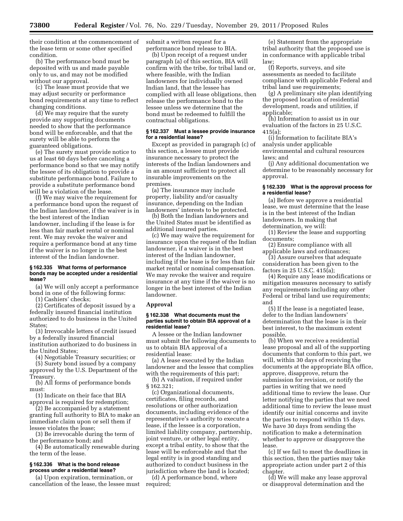their condition at the commencement of the lease term or some other specified condition.

(b) The performance bond must be deposited with us and made payable only to us, and may not be modified without our approval.

(c) The lease must provide that we may adjust security or performance bond requirements at any time to reflect changing conditions.

(d) We may require that the surety provide any supporting documents needed to show that the performance bond will be enforceable, and that the surety will be able to perform the guaranteed obligations.

(e) The surety must provide notice to us at least 60 days before canceling a performance bond so that we may notify the lessee of its obligation to provide a substitute performance bond. Failure to provide a substitute performance bond will be a violation of the lease.

(f) We may waive the requirement for a performance bond upon the request of the Indian landowner, if the waiver is in the best interest of the Indian landowner, including if the lease is for less than fair market rental or nominal rent. We may revoke the waiver and require a performance bond at any time if the waiver is no longer in the best interest of the Indian landowner.

#### **§ 162.335 What forms of performance bonds may be accepted under a residential lease?**

(a) We will only accept a performance bond in one of the following forms:

(1) Cashiers' checks;

(2) Certificates of deposit issued by a federally insured financial institution authorized to do business in the United States;

(3) Irrevocable letters of credit issued by a federally insured financial institution authorized to do business in the United States;

(4) Negotiable Treasury securities; or

(5) Surety bond issued by a company approved by the U.S. Department of the Treasury.

(b) All forms of performance bonds must:

(1) Indicate on their face that BIA approval is required for redemption;

(2) Be accompanied by a statement granting full authority to BIA to make an immediate claim upon or sell them if lessee violates the lease;

(3) Be irrevocable during the term of the performance bond; and

(4) Be automatically renewable during the term of the lease.

#### **§ 162.336 What is the bond release process under a residential lease?**

(a) Upon expiration, termination, or cancellation of the lease, the lessee must submit a written request for a performance bond release to BIA.

(b) Upon receipt of a request under paragraph (a) of this section, BIA will confirm with the tribe, for tribal land or, where feasible, with the Indian landowners for individually owned Indian land, that the lessee has complied with all lease obligations, then release the performance bond to the lessee unless we determine that the bond must be redeemed to fulfill the contractual obligations.

#### **§ 162.337 Must a lessee provide insurance for a residential lease?**

Except as provided in paragraph (c) of this section, a lessee must provide insurance necessary to protect the interests of the Indian landowners and in an amount sufficient to protect all insurable improvements on the premises.

(a) The insurance may include property, liability and/or casualty insurance, depending on the Indian landowners' interests to be protected.

(b) Both the Indian landowners and the United States must be identified as additional insured parties.

(c) We may waive the requirement for insurance upon the request of the Indian landowner, if a waiver is in the best interest of the Indian landowner, including if the lease is for less than fair market rental or nominal compensation. We may revoke the waiver and require insurance at any time if the waiver is no longer in the best interest of the Indian landowner.

#### **Approval**

#### **§ 162.338 What documents must the parties submit to obtain BIA approval of a residential lease?**

A lessee or the Indian landowner must submit the following documents to us to obtain BIA approval of a residential lease:

(a) A lease executed by the Indian landowner and the lessee that complies with the requirements of this part;

(b) A valuation, if required under § 162.321;

(c) Organizational documents, certificates, filing records, and resolutions or other authorization documents, including evidence of the representative's authority to execute a lease, if the lessee is a corporation, limited liability company, partnership, joint venture, or other legal entity, except a tribal entity, to show that the lease will be enforceable and that the legal entity is in good standing and authorized to conduct business in the jurisdiction where the land is located;

(d) A performance bond, where required;

(e) Statement from the appropriate tribal authority that the proposed use is in conformance with applicable tribal law;

(f) Reports, surveys, and site assessments as needed to facilitate compliance with applicable Federal and tribal land use requirements;

(g) A preliminary site plan identifying the proposed location of residential development, roads and utilities, if applicable;

(h) Information to assist us in our evaluation of the factors in 25 U.S.C. 415(a);

(i) Information to facilitate BIA's analysis under applicable environmental and cultural resources laws; and

(j) Any additional documentation we determine to be reasonably necessary for approval.

#### **§ 162.339 What is the approval process for a residential lease?**

(a) Before we approve a residential lease, we must determine that the lease is in the best interest of the Indian landowners. In making that determination, we will:

(1) Review the lease and supporting documents;

(2) Ensure compliance with all applicable laws and ordinances;

(3) Assure ourselves that adequate consideration has been given to the factors in 25 U.S.C. 415(a);

(4) Require any lease modifications or mitigation measures necessary to satisfy any requirements including any other Federal or tribal land use requirements; and

(5) If the lease is a negotiated lease, defer to the Indian landowners' determination that the lease is in their best interest, to the maximum extent possible.

(b) When we receive a residential lease proposal and all of the supporting documents that conform to this part, we will, within 30 days of receiving the documents at the appropriate BIA office, approve, disapprove, return the submission for revision, or notify the parties in writing that we need additional time to review the lease. Our letter notifying the parties that we need additional time to review the lease must identify our initial concerns and invite the parties to respond within 15 days. We have 30 days from sending the notification to make a determination whether to approve or disapprove the lease.

(c) If we fail to meet the deadlines in this section, then the parties may take appropriate action under part 2 of this chapter.

(d) We will make any lease approval or disapproval determination and the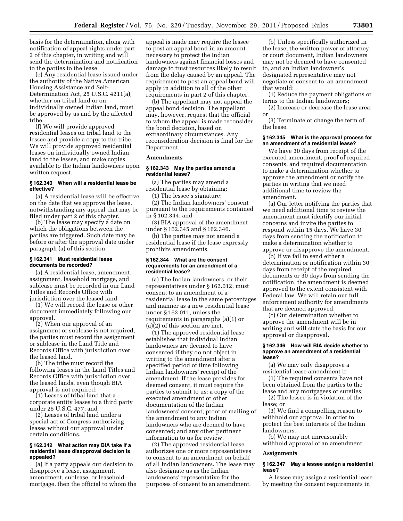basis for the determination, along with notification of appeal rights under part 2 of this chapter, in writing and will send the determination and notification to the parties to the lease.

(e) Any residential lease issued under the authority of the Native American Housing Assistance and Self-Determination Act, 25 U.S.C. 4211(a)*,*  whether on tribal land or on individually owned Indian land, must be approved by us and by the affected tribe.

(f) We will provide approved residential leases on tribal land to the lessee and provide a copy to the tribe. We will provide approved residential leases on individually owned Indian land to the lessee, and make copies available to the Indian landowners upon written request.

#### **§ 162.340 When will a residential lease be effective?**

(a) A residential lease will be effective on the date that we approve the lease, notwithstanding any appeal that may be filed under part 2 of this chapter.

(b) The lease may specify a date on which the obligations between the parties are triggered. Such date may be before or after the approval date under paragraph (a) of this section.

#### **§ 162.341 Must residential lease documents be recorded?**

(a) A residential lease, amendment, assignment, leasehold mortgage, and sublease must be recorded in our Land Titles and Records Office with jurisdiction over the leased land.

(1) We will record the lease or other document immediately following our approval.

(2) When our approval of an assignment or sublease is not required, the parties must record the assignment or sublease in the Land Title and Records Office with jurisdiction over the leased land.

(b) The tribe must record the following leases in the Land Titles and Records Office with jurisdiction over the leased lands, even though BIA approval is not required:

(1) Leases of tribal land that a corporate entity leases to a third party under 25 U.S.C. 477; and

(2) Leases of tribal land under a special act of Congress authorizing leases without our approval under certain conditions.

#### **§ 162.342 What action may BIA take if a residential lease disapproval decision is appealed?**

(a) If a party appeals our decision to disapprove a lease, assignment, amendment, sublease, or leasehold mortgage, then the official to whom the

appeal is made may require the lessee to post an appeal bond in an amount necessary to protect the Indian landowners against financial losses and damage to trust resources likely to result from the delay caused by an appeal. The requirement to post an appeal bond will apply in addition to all of the other requirements in part 2 of this chapter.

(b) The appellant may not appeal the appeal bond decision. The appellant may, however, request that the official to whom the appeal is made reconsider the bond decision, based on extraordinary circumstances. Any reconsideration decision is final for the Department.

#### **Amendments**

#### **§ 162.343 May the parties amend a residential lease?**

(a) The parties may amend a residential lease by obtaining:

(1) The lessee's signature;

(2) The Indian landowners' consent pursuant to the requirements contained in § 162.344; and

(3) BIA approval of the amendment under § 162.345 and § 162.346.

(b) The parties may not amend a residential lease if the lease expressly prohibits amendments.

#### **§ 162.344 What are the consent requirements for an amendment of a residential lease?**

(a) The Indian landowners, or their representatives under § 162.012, must consent to an amendment of a residential lease in the same percentages and manner as a new residential lease under § 162.011, unless the requirements in paragraphs (a)(1) or (a)(2) of this section are met.

(1) The approved residential lease establishes that individual Indian landowners are deemed to have consented if they do not object in writing to the amendment after a specified period of time following Indian landowners' receipt of the amendment. If the lease provides for deemed consent, it must require the parties to submit to us: a copy of the executed amendment or other documentation of the Indian landowners' consent; proof of mailing of the amendment to any Indian landowners who are deemed to have consented; and any other pertinent information to us for review.

(2) The approved residential lease authorizes one or more representatives to consent to an amendment on behalf of all Indian landowners. The lease may also designate us as the Indian landowners' representative for the purposes of consent to an amendment.

(b) Unless specifically authorized in the lease, the written power of attorney, or court document, Indian landowners may not be deemed to have consented to, and an Indian landowner's designated representative may not negotiate or consent to, an amendment that would:

(1) Reduce the payment obligations or terms to the Indian landowners;

(2) Increase or decrease the lease area; or

(3) Terminate or change the term of the lease.

#### **§ 162.345 What is the approval process for an amendment of a residential lease?**

We have 30 days from receipt of the executed amendment, proof of required consents, and required documentation to make a determination whether to approve the amendment or notify the parties in writing that we need additional time to review the amendment.

(a) Our letter notifying the parties that we need additional time to review the amendment must identify our initial concerns and invite the parties to respond within 15 days. We have 30 days from sending the notification to make a determination whether to approve or disapprove the amendment.

(b) If we fail to send either a determination or notification within 30 days from receipt of the required documents or 30 days from sending the notification, the amendment is deemed approved to the extent consistent with Federal law. We will retain our full enforcement authority for amendments that are deemed approved.

(c) Our determination whether to approve the amendment will be in writing and will state the basis for our approval or disapproval.

#### **§ 162.346 How will BIA decide whether to approve an amendment of a residential lease?**

(a) We may only disapprove a residential lease amendment if:

(1) The required consents have not been obtained from the parties to the lease and any mortgagees or sureties;

(2) The lessee is in violation of the lease; or

(3) We find a compelling reason to withhold our approval in order to protect the best interests of the Indian landowners.

(b) We may not unreasonably withhold approval of an amendment.

#### **Assignments**

#### **§ 162.347 May a lessee assign a residential lease?**

A lessee may assign a residential lease by meeting the consent requirements in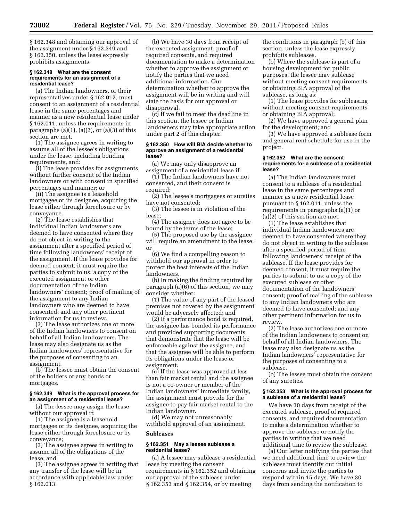§ 162.348 and obtaining our approval of the assignment under § 162.349 and § 162.350, unless the lease expressly prohibits assignments.

#### **§ 162.348 What are the consent requirements for an assignment of a residential lease?**

(a) The Indian landowners, or their representatives under § 162.012, must consent to an assignment of a residential lease in the same percentages and manner as a new residential lease under § 162.011, unless the requirements in paragraphs  $(a)(1)$ ,  $(a)(2)$ , or  $(a)(3)$  of this section are met.

(1) The assignee agrees in writing to assume all of the lessee's obligations under the lease, including bonding requirements, and:

(i) The lease provides for assignments without further consent of the Indian landowners or with consent in specified percentages and manner; or

(ii) The assignee is a leasehold mortgagee or its designee, acquiring the lease either through foreclosure or by conveyance.

(2) The lease establishes that individual Indian landowners are deemed to have consented where they do not object in writing to the assignment after a specified period of time following landowners' receipt of the assignment. If the lease provides for deemed consent, it must require the parties to submit to us: a copy of the executed assignment or other documentation of the Indian landowners' consent; proof of mailing of the assignment to any Indian landowners who are deemed to have consented; and any other pertinent information for us to review.

(3) The lease authorizes one or more of the Indian landowners to consent on behalf of all Indian landowners. The lease may also designate us as the Indian landowners' representative for the purposes of consenting to an assignment.

(b) The lessee must obtain the consent of the holders or any bonds or mortgages.

#### **§ 162.349 What is the approval process for an assignment of a residential lease?**

(a) The lessee may assign the lease without our approval if:

(1) The assignee is a leasehold mortgagee or its designee, acquiring the lease either through foreclosure or by conveyance;

(2) The assignee agrees in writing to assume all of the obligations of the lease; and

(3) The assignee agrees in writing that any transfer of the lease will be in accordance with applicable law under § 162.013.

(b) We have 30 days from receipt of the executed assignment, proof of required consents, and required documentation to make a determination whether to approve the assignment or notify the parties that we need additional information. Our determination whether to approve the assignment will be in writing and will state the basis for our approval or disapproval.

(c) If we fail to meet the deadline in this section, the lessee or Indian landowners may take appropriate action under part 2 of this chapter.

#### **§ 162.350 How will BIA decide whether to approve an assignment of a residential lease?**

(a) We may only disapprove an assignment of a residential lease if:

(1) The Indian landowners have not consented, and their consent is required;

(2) The lessee's mortgagees or sureties have not consented;

(3) The lessee is in violation of the lease;

(4) The assignee does not agree to be bound by the terms of the lease;

(5) The proposed use by the assignee will require an amendment to the lease; or

(6) We find a compelling reason to withhold our approval in order to protect the best interests of the Indian landowners.

(b) In making the finding required by paragraph (a)(6) of this section, we may consider whether:

(1) The value of any part of the leased premises not covered by the assignment would be adversely affected; and

(2) If a performance bond is required, the assignee has bonded its performance and provided supporting documents that demonstrate that the lease will be enforceable against the assignee, and that the assignee will be able to perform its obligations under the lease or assignment.

(c) If the lease was approved at less than fair market rental and the assignee is not a co-owner or member of the Indian landowners' immediate family, the assignment must provide for the assignee to pay fair market rental to the Indian landowner.

(d) We may not unreasonably withhold approval of an assignment.

#### **Subleases**

#### **§ 162.351 May a lessee sublease a residential lease?**

(a) A lessee may sublease a residential lease by meeting the consent requirements in § 162.352 and obtaining our approval of the sublease under § 162.353 and § 162.354, or by meeting

the conditions in paragraph (b) of this section, unless the lease expressly prohibits subleases.

(b) Where the sublease is part of a housing development for public purposes, the lessee may sublease without meeting consent requirements or obtaining BIA approval of the sublease, as long as:

(1) The lease provides for subleasing without meeting consent requirements or obtaining BIA approval;

(2) We have approved a general plan for the development; and

(3) We have approved a sublease form and general rent schedule for use in the project.

#### **§ 162.352 What are the consent requirements for a sublease of a residential lease?**

(a) The Indian landowners must consent to a sublease of a residential lease in the same percentages and manner as a new residential lease pursuant to § 162.011, unless the requirements in paragraphs (a)(1) or (a)(2) of this section are met.

(1) The lease establishes that individual Indian landowners are deemed to have consented where they do not object in writing to the sublease after a specified period of time following landowners' receipt of the sublease. If the lease provides for deemed consent, it must require the parties to submit to us: a copy of the executed sublease or other documentation of the landowners' consent; proof of mailing of the sublease to any Indian landowners who are deemed to have consented; and any other pertinent information for us to review.

(2) The lease authorizes one or more of the Indian landowners to consent on behalf of all Indian landowners. The lease may also designate us as the Indian landowners' representative for the purposes of consenting to a sublease.

(b) The lessee must obtain the consent of any sureties.

#### **§ 162.353 What is the approval process for a sublease of a residential lease?**

We have 30 days from receipt of the executed sublease, proof of required consents, and required documentation to make a determination whether to approve the sublease or notify the parties in writing that we need additional time to review the sublease.

(a) Our letter notifying the parties that we need additional time to review the sublease must identify our initial concerns and invite the parties to respond within 15 days. We have 30 days from sending the notification to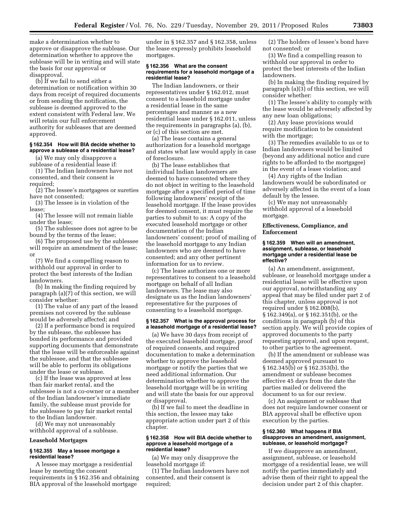make a determination whether to approve or disapprove the sublease. Our determination whether to approve the sublease will be in writing and will state the basis for our approval or disapproval.

(b) If we fail to send either a determination or notification within 30 days from receipt of required documents or from sending the notification, the sublease is deemed approved to the extent consistent with Federal law. We will retain our full enforcement authority for subleases that are deemed approved.

#### **§ 162.354 How will BIA decide whether to approve a sublease of a residential lease?**

(a) We may only disapprove a sublease of a residential lease if:

(1) The Indian landowners have not consented, and their consent is required;

(2) The lessee's mortgagees or sureties have not consented;

(3) The lessee is in violation of the lease;

(4) The lessee will not remain liable under the lease;

(5) The sublessee does not agree to be bound by the terms of the lease;

(6) The proposed use by the sublessee will require an amendment of the lease; or

(7) We find a compelling reason to withhold our approval in order to protect the best interests of the Indian landowners.

(b) In making the finding required by paragraph (a)(7) of this section, we will consider whether:

(1) The value of any part of the leased premises not covered by the sublease would be adversely affected; and

(2) If a performance bond is required by the sublease, the sublessee has bonded its performance and provided supporting documents that demonstrate that the lease will be enforceable against the sublessee, and that the sublessee will be able to perform its obligations under the lease or sublease.

(c) If the lease was approved at less than fair market rental, and the sublessee is not a co-owner or a member of the Indian landowner's immediate family, the sublease must provide for the sublessee to pay fair market rental to the Indian landowner.

(d) We may not unreasonably withhold approval of a sublease.

#### **Leasehold Mortgages**

#### **§ 162.355 May a lessee mortgage a residential lease?**

A lessee may mortgage a residential lease by meeting the consent requirements in § 162.356 and obtaining BIA approval of the leasehold mortgage

under in § 162.357 and § 162.358, unless the lease expressly prohibits leasehold mortgages.

#### **§ 162.356 What are the consent requirements for a leasehold mortgage of a residential lease?**

The Indian landowners, or their representatives under § 162.012, must consent to a leasehold mortgage under a residential lease in the same percentages and manner as a new residential lease under § 162.011, unless the requirements in paragraphs (a), (b), or (c) of this section are met.

(a) The lease contains a general authorization for a leasehold mortgage and states what law would apply in case of foreclosure.

(b) The lease establishes that individual Indian landowners are deemed to have consented where they do not object in writing to the leasehold mortgage after a specified period of time following landowners' receipt of the leasehold mortgage. If the lease provides for deemed consent, it must require the parties to submit to us: A copy of the executed leasehold mortgage or other documentation of the Indian landowners' consent; proof of mailing of the leasehold mortgage to any Indian landowners who are deemed to have consented; and any other pertinent information for us to review.

(c) The lease authorizes one or more representatives to consent to a leasehold mortgage on behalf of all Indian landowners. The lease may also designate us as the Indian landowners' representative for the purposes of consenting to a leasehold mortgage.

#### **§ 162.357 What is the approval process for a leasehold mortgage of a residential lease?**

(a) We have 30 days from receipt of the executed leasehold mortgage, proof of required consents, and required documentation to make a determination whether to approve the leasehold mortgage or notify the parties that we need additional information. Our determination whether to approve the leasehold mortgage will be in writing and will state the basis for our approval or disapproval.

(b) If we fail to meet the deadline in this section, the lessee may take appropriate action under part 2 of this chapter.

#### **§ 162.358 How will BIA decide whether to approve a leasehold mortgage of a residential lease?**

(a) We may only disapprove the leasehold mortgage if:

(1) The Indian landowners have not consented, and their consent is required;

(2) The holders of lessee's bond have not consented; or

(3) We find a compelling reason to withhold our approval in order to protect the best interests of the Indian landowners.

(b) In making the finding required by paragraph (a)(3) of this section, we will consider whether:

(1) The lessee's ability to comply with the lease would be adversely affected by any new loan obligations;

(2) Any lease provisions would require modification to be consistent with the mortgage;

(3) The remedies available to us or to Indian landowners would be limited (beyond any additional notice and cure rights to be afforded to the mortgagee) in the event of a lease violation; and

(4) Any rights of the Indian landowners would be subordinated or adversely affected in the event of a loan default by the lessee.

(c) We may not unreasonably withhold approval of a leasehold mortgage.

#### **Effectiveness, Compliance, and Enforcement**

#### **§ 162.359 When will an amendment, assignment, sublease, or leasehold mortgage under a residential lease be effective?**

(a) An amendment, assignment, sublease, or leasehold mortgage under a residential lease will be effective upon our approval, notwithstanding any appeal that may be filed under part 2 of this chapter, unless approval is not required under § 162.008(b), § 162.349(a), or § 162.351(b), or the conditions in paragraph (b) of this section apply. We will provide copies of approved documents to the party requesting approval, and upon request, to other parties to the agreement.

(b) If the amendment or sublease was deemed approved pursuant to § 162.345(b) or § 162.353(b), the amendment or sublease becomes effective 45 days from the date the parties mailed or delivered the document to us for our review.

(c) An assignment or sublease that does not require landowner consent or BIA approval shall be effective upon execution by the parties.

#### **§ 162.360 What happens if BIA disapproves an amendment, assignment, sublease, or leasehold mortgage?**

If we disapprove an amendment, assignment, sublease, or leasehold mortgage of a residential lease, we will notify the parties immediately and advise them of their right to appeal the decision under part 2 of this chapter.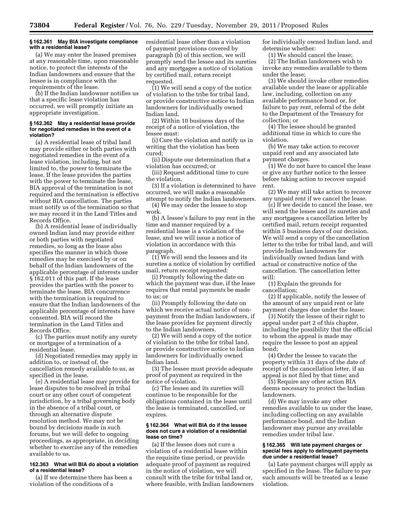#### **§ 162.361 May BIA investigate compliance with a residential lease?**

(a) We may enter the leased premises at any reasonable time, upon reasonable notice, to protect the interests of the Indian landowners and ensure that the lessee is in compliance with the requirements of the lease.

(b) If the Indian landowner notifies us that a specific lease violation has occurred, we will promptly initiate an appropriate investigation.

#### **§ 162.362 May a residential lease provide for negotiated remedies in the event of a violation?**

(a) A residential lease of tribal land may provide either or both parties with negotiated remedies in the event of a lease violation, including, but not limited to, the power to terminate the lease. If the lease provides the parties with the power to terminate the lease, BIA approval of the termination is not required and the termination is effective without BIA cancellation. The parties must notify us of the termination so that we may record it in the Land Titles and Records Office.

(b) A residential lease of individually owned Indian land may provide either or both parties with negotiated remedies, so long as the lease also specifies the manner in which those remedies may be exercised by or on behalf of the Indian landowners of the applicable percentage of interests under § 162.011 of this part. If the lease provides the parties with the power to terminate the lease, BIA concurrence with the termination is required to ensure that the Indian landowners of the applicable percentage of interests have consented. BIA will record the termination in the Land Titles and Records Office.

(c) The parties must notify any surety or mortgagee of a termination of a residential lease.

(d) Negotiated remedies may apply in addition to, or instead of, the cancellation remedy available to us, as specified in the lease.

(e) A residential lease may provide for lease disputes to be resolved in tribal court or any other court of competent jurisdiction, by a tribal governing body in the absence of a tribal court, or through an alternative dispute resolution method. We may not be bound by decisions made in such forums, but we will defer to ongoing proceedings, as appropriate, in deciding whether to exercise any of the remedies available to us.

#### **162.363 What will BIA do about a violation of a residential lease?**

(a) If we determine there has been a violation of the conditions of a

residential lease other than a violation of payment provisions covered by paragraph (b) of this section, we will promptly send the lessee and its sureties and any mortgagee a notice of violation by certified mail, return receipt requested.

(1) We will send a copy of the notice of violation to the tribe for tribal land, or provide constructive notice to Indian landowners for individually owned Indian land.

(2) Within 10 business days of the receipt of a notice of violation, the lessee must:

(i) Cure the violation and notify us in writing that the violation has been cured;

(ii) Dispute our determination that a violation has occurred; or

(iii) Request additional time to cure the violation.

(3) If a violation is determined to have occurred, we will make a reasonable attempt to notify the Indian landowners.

(4) We may order the lessee to stop work.

(b) A lessee's failure to pay rent in the time and manner required by a residential lease is a violation of the lease, and we will issue a notice of violation in accordance with this paragraph.

(1) We will send the lessees and its sureties a notice of violation by certified mail, return receipt requested:

(i) Promptly following the date on which the payment was due, if the lease requires that rental payments be made to us; or

(ii) Promptly following the date on which we receive actual notice of nonpayment from the Indian landowners, if the lease provides for payment directly to the Indian landowners.

(2) We will send a copy of the notice of violation to the tribe for tribal land, or provide constructive notice to Indian landowners for individually owned Indian land.

(3) The lessee must provide adequate proof of payment as required in the notice of violation.

(c) The lessee and its sureties will continue to be responsible for the obligations contained in the lease until the lease is terminated, cancelled, or expires.

#### **§ 162.364 What will BIA do if the lessee does not cure a violation of a residential lease on time?**

(a) If the lessee does not cure a violation of a residential lease within the requisite time period, or provide adequate proof of payment as required in the notice of violation, we will consult with the tribe for tribal land or, where feasible, with Indian landowners for individually owned Indian land, and determine whether:

(1) We should cancel the lease; (2) The Indian landowners wish to invoke any remedies available to them under the lease;

(3) We should invoke other remedies available under the lease or applicable law, including, collection on any available performance bond or, for failure to pay rent, referral of the debt to the Department of the Treasury for collection; or

(4) The lessee should be granted additional time in which to cure the violation.

(b) We may take action to recover unpaid rent and any associated late payment charges.

(1) We do not have to cancel the lease or give any further notice to the lessee before taking action to recover unpaid rent.

(2) We may still take action to recover any unpaid rent if we cancel the lease.

(c) If we decide to cancel the lease, we will send the lessee and its sureties and any mortgagees a cancellation letter by certified mail, return receipt requested within 5 business days of our decision. We will send a copy of the cancellation letter to the tribe for tribal land, and will provide Indian landowners for individually owned Indian land with actual or constructive notice of the cancellation. The cancellation letter will:

(1) Explain the grounds for cancellation;

(2) If applicable, notify the lessee of the amount of any unpaid rent or late payment charges due under the lease;

(3) Notify the lessee of their right to appeal under part 2 of this chapter, including the possibility that the official to whom the appeal is made may require the lessee to post an appeal bond;

(4) Order the lessee to vacate the property within 31 days of the date of receipt of the cancellation letter, if an appeal is not filed by that time; and

(5) Require any other action BIA deems necessary to protect the Indian landowners.

(d) We may invoke any other remedies available to us under the lease, including collecting on any available performance bond, and the Indian landowner may pursue any available remedies under tribal law.

#### **§ 162.365 Will late payment charges or special fees apply to delinquent payments due under a residential lease?**

(a) Late payment charges will apply as specified in the lease. The failure to pay such amounts will be treated as a lease violation.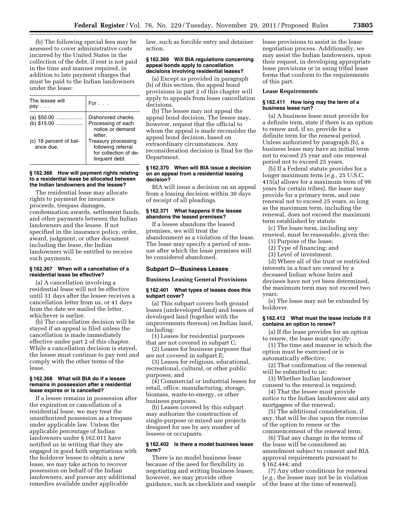(b) The following special fees may be assessed to cover administrative costs incurred by the United States in the collection of the debt, if rent is not paid in the time and manner required, in addition to late payment charges that must be paid to the Indian landowners under the lease:

| The lessee will<br>pav              | For $\ldots$                                                                         |
|-------------------------------------|--------------------------------------------------------------------------------------|
| (a) $$50.00$<br>(b) \$15.00         | Dishonored checks.<br>Processing of each<br>notice or demand<br>letter.              |
| (c) 18 percent of bal-<br>ance due. | Treasury processing<br>following referral<br>for collection of de-<br>linguent debt. |

#### **§ 162.366 How will payment rights relating to a residential lease be allocated between the Indian landowners and the lessee?**

The residential lease may allocate rights to payment for insurance proceeds, trespass damages, condemnation awards, settlement funds, and other payments between the Indian landowners and the lessee. If not specified in the insurance policy, order, award, judgment, or other document including the lease, the Indian landowners will be entitled to receive such payments.

#### **§ 162.367 When will a cancellation of a residential lease be effective?**

(a) A cancellation involving a residential lease will not be effective until 31 days after the lessee receives a cancellation letter from us, or 41 days from the date we mailed the letter, whichever is earlier.

(b) The cancellation decision will be stayed if an appeal is filed unless the cancellation is made immediately effective under part 2 of this chapter. While a cancellation decision is stayed, the lessee must continue to pay rent and comply with the other terms of the lease.

#### **§ 162.368 What will BIA do if a lessee remains in possession after a residential lease expires or is cancelled?**

If a lessee remains in possession after the expiration or cancellation of a residential lease, we may treat the unauthorized possession as a trespass under applicable law. Unless the applicable percentage of Indian landowners under § 162.011 have notified us in writing that they are engaged in good faith negotiations with the holdover lessee to obtain a new lease, we may take action to recover possession on behalf of the Indian landowners, and pursue any additional remedies available under applicable

law, such as forcible entry and detainer action.

#### **§ 162.369 Will BIA regulations concerning appeal bonds apply to cancellation decisions involving residential leases?**

(a) Except as provided in paragraph (b) of this section, the appeal bond provisions in part 2 of this chapter will apply to appeals from lease cancellation decisions.

(b) The lessee may not appeal the appeal bond decision. The lessee may, however, request that the official to whom the appeal is made reconsider the appeal bond decision, based on extraordinary circumstances. Any reconsideration decision is final for the Department.

#### **§ 162.370 When will BIA issue a decision on an appeal from a residential leasing decision?**

BIA will issue a decision on an appeal from a leasing decision within 30 days of receipt of all pleadings.

#### **§ 162.371 What happens if the lessee abandons the leased premises?**

If a lessee abandons the leased premises, we will treat the abandonment as a violation of the lease. The lease may specify a period of nonuse after which the lease premises will be considered abandoned.

#### **Subpart D—Business Leases**

#### **Business Leasing General Provisions**

#### **§ 162.401 What types of leases does this subpart cover?**

(a) This subpart covers both ground leases (undeveloped land) and leases of developed land (together with the improvements thereon) on Indian land, including:

(1) Leases for residential purposes that are not covered in subpart C;

(2) Leases for business purposes that are not covered in subpart E;

(3) Leases for religious, educational, recreational, cultural, or other public purposes; and

(4) Commercial or industrial leases for retail, office, manufacturing, storage, biomass, waste-to-energy, or other business purposes.

(b) Leases covered by this subpart may authorize the construction of single-purpose or mixed use projects designed for use by any number of lessees or occupants.

#### **§ 162.402 Is there a model business lease form?**

There is no model business lease because of the need for flexibility in negotiating and writing business leases; however, we may provide other guidance, such as checklists and sample lease provisions to assist in the lease negotiation process. Additionally, we may assist the Indian landowners, upon their request, in developing appropriate lease provisions or in using tribal lease forms that conform to the requirements of this part.

#### **Lease Requirements**

#### **§ 162.411 How long may the term of a business lease run?**

(a) A business lease must provide for a definite term, state if there is an option to renew and, if so, provide for a definite term for the renewal period. Unless authorized by paragraph (b), a business lease may have an initial term not to exceed 25 year and one renewal period not to exceed 25 years.

(b) If a Federal statute provides for a longer maximum term (*e.g.,* 25 U.S.C. 415(a) allows for a maximum term of 99 years for certain tribes), the lease may provide for a primary term, and one renewal not to exceed 25 years, so long as the maximum term, including the renewal, does not exceed the maximum term established by statute.

(c) The lease term, including any renewal, must be reasonable, given the:

- (1) Purpose of the lease;
- (2) Type of financing; and
- (3) Level of investment.

(d) Where all of the trust or restricted interests in a tract are owned by a deceased Indian whose heirs and devisees have not yet been determined, the maximum term may not exceed two years.

(e) The lease may not be extended by holdover.

#### **§ 162.412 What must the lease include if it contains an option to renew?**

(a) If the lease provides for an option to renew, the lease must specify:

(1) The time and manner in which the option must be exercised or is automatically effective;

(2) That confirmation of the renewal will be submitted to us;

(3) Whether Indian landowner consent to the renewal is required;

(4) That the lessee must provide

notice to the Indian landowner and any mortgagees of the renewal;

(5) The additional consideration, if any, that will be due upon the exercise of the option to renew or the commencement of the renewal term;

(6) That any change in the terms of the lease will be considered an amendment subject to consent and BIA approval requirements pursuant to § 162.444; and

(7) Any other conditions for renewal (*e.g.,* the lessee may not be in violation of the lease at the time of renewal).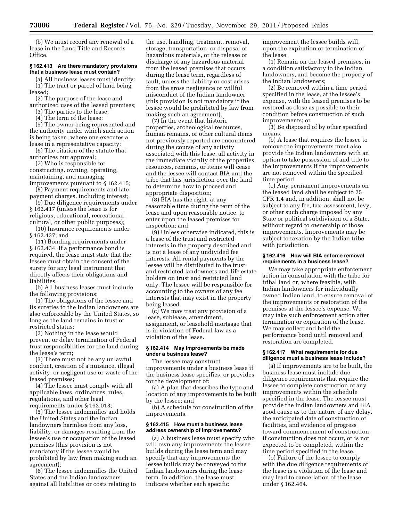(b) We must record any renewal of a lease in the Land Title and Records Office.

#### **§ 162.413 Are there mandatory provisions that a business lease must contain?**

(a) All business leases must identify: (1) The tract or parcel of land being leased;

(2) The purpose of the lease and authorized uses of the leased premises;

(3) The parties to the lease; (4) The term of the lease;

(5) The owner being represented and the authority under which such action is being taken, where one executes a lease in a representative capacity;

(6) The citation of the statute that authorizes our approval;

(7) Who is responsible for constructing, owning, operating, maintaining, and managing improvements pursuant to § 162.415;

(8) Payment requirements and late payment charges, including interest;

(9) Due diligence requirements under § 162.417 (unless the lease is for religious, educational, recreational, cultural, or other public purposes);

(10) Insurance requirements under § 162.437; and

(11) Bonding requirements under § 162.434. If a performance bond is required, the lease must state that the lessee must obtain the consent of the surety for any legal instrument that directly affects their obligations and liabilities.

(b) All business leases must include the following provisions:

(1) The obligations of the lessee and its sureties to the Indian landowners are also enforceable by the United States, so long as the land remains in trust or restricted status;

(2) Nothing in the lease would prevent or delay termination of Federal trust responsibilities for the land during the lease's term;

(3) There must not be any unlawful conduct, creation of a nuisance, illegal activity, or negligent use or waste of the leased premises;

(4) The lessee must comply with all applicable laws, ordinances, rules, regulations, and other legal requirements under § 162.013;

(5) The lessee indemnifies and holds the United States and the Indian landowners harmless from any loss, liability, or damages resulting from the lessee's use or occupation of the leased premises (this provision is not mandatory if the lessee would be prohibited by law from making such an agreement);

(6) The lessee indemnifies the United States and the Indian landowners against all liabilities or costs relating to

the use, handling, treatment, removal, storage, transportation, or disposal of hazardous materials, or the release or discharge of any hazardous material from the leased premises that occurs during the lease term, regardless of fault, unless the liability or cost arises from the gross negligence or willful misconduct of the Indian landowner (this provision is not mandatory if the lessee would be prohibited by law from making such an agreement);

(7) In the event that historic properties, archeological resources, human remains, or other cultural items not previously reported are encountered during the course of any activity associated with this lease, all activity in the immediate vicinity of the properties, resources, remains, or items will cease and the lessee will contact BIA and the tribe that has jurisdiction over the land to determine how to proceed and appropriate disposition;

(8) BIA has the right, at any reasonable time during the term of the lease and upon reasonable notice, to enter upon the leased premises for inspection; and

(9) Unless otherwise indicated, this is a lease of the trust and restricted interests in the property described and is not a lease of any undivided fee interests. All rental payments by the lessee will be distributed to the trust and restricted landowners and life estate holders on trust and restricted land only. The lessee will be responsible for accounting to the owners of any fee interests that may exist in the property being leased.

(c) We may treat any provision of a lease, sublease, amendment, assignment, or leasehold mortgage that is in violation of Federal law as a violation of the lease.

#### **§ 162.414 May improvements be made under a business lease?**

The lessee may construct improvements under a business lease if the business lease specifies, or provides for the development of:

(a) A plan that describes the type and location of any improvements to be built by the lessee; and

(b) A schedule for construction of the improvements.

#### **§ 162.415 How must a business lease address ownership of improvements?**

(a) A business lease must specify who will own any improvements the lessee builds during the lease term and may specify that any improvements the lessee builds may be conveyed to the Indian landowners during the lease term. In addition, the lease must indicate whether each specific

improvement the lessee builds will, upon the expiration or termination of the lease:

(1) Remain on the leased premises, in a condition satisfactory to the Indian landowners, and become the property of the Indian landowners;

(2) Be removed within a time period specified in the lease, at the lessee's expense, with the leased premises to be restored as close as possible to their condition before construction of such improvements; or

(3) Be disposed of by other specified means.

(b) A lease that requires the lessee to remove the improvements must also provide the Indian landowners with an option to take possession of and title to the improvements if the improvements are not removed within the specified time period.

(c) Any permanent improvements on the leased land shall be subject to 25 CFR 1.4 and, in addition, shall not be subject to any fee, tax, assessment, levy, or other such charge imposed by any State or political subdivision of a State, without regard to ownership of those improvements. Improvements may be subject to taxation by the Indian tribe with jurisdiction.

#### **§ 162.416 How will BIA enforce removal requirements in a business lease?**

We may take appropriate enforcement action in consultation with the tribe for tribal land or, where feasible, with Indian landowners for individually owned Indian land, to ensure removal of the improvements or restoration of the premises at the lessee's expense. We may take such enforcement action after termination or expiration of the lease. We may collect and hold the performance bond until removal and restoration are completed.

#### **§ 162.417 What requirements for due diligence must a business lease include?**

(a) If improvements are to be built, the business lease must include due diligence requirements that require the lessee to complete construction of any improvements within the schedule specified in the lease. The lessee must provide the Indian landowners and BIA good cause as to the nature of any delay, the anticipated date of construction of facilities, and evidence of progress toward commencement of construction, if construction does not occur, or is not expected to be completed, within the time period specified in the lease.

(b) Failure of the lessee to comply with the due diligence requirements of the lease is a violation of the lease and may lead to cancellation of the lease under § 162.464.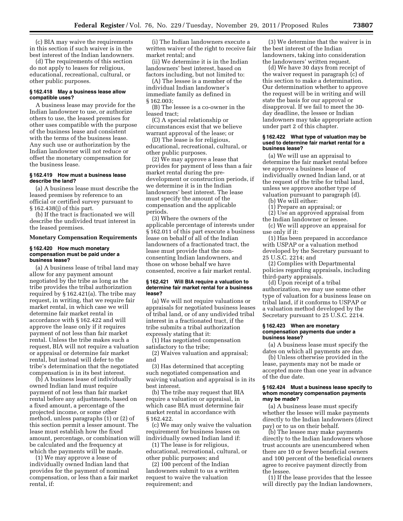(c) BIA may waive the requirements in this section if such waiver is in the best interest of the Indian landowners.

(d) The requirements of this section do not apply to leases for religious, educational, recreational, cultural, or other public purposes.

#### **§ 162.418 May a business lease allow compatible uses?**

A business lease may provide for the Indian landowner to use, or authorize others to use, the leased premises for other uses compatible with the purpose of the business lease and consistent with the terms of the business lease. Any such use or authorization by the Indian landowner will not reduce or offset the monetary compensation for the business lease.

#### **§ 162.419 How must a business lease describe the land?**

(a) A business lease must describe the leased premises by reference to an official or certified survey pursuant to § 162.438(j) of this part.

(b) If the tract is fractionated we will describe the undivided trust interest in the leased premises.

#### **Monetary Compensation Requirements**

#### **§ 162.420 How much monetary compensation must be paid under a business lease?**

(a) A business lease of tribal land may allow for any payment amount negotiated by the tribe as long as the tribe provides the tribal authorization required by § 162.421(a). The tribe may request, in writing, that we require fair market rental, in which case we will determine fair market rental in accordance with § 162.422 and will approve the lease only if it requires payment of not less than fair market rental. Unless the tribe makes such a request, BIA will not require a valuation or appraisal or determine fair market rental, but instead will defer to the tribe's determination that the negotiated compensation is in its best interest.

(b) A business lease of individually owned Indian land must require payment of not less than fair market rental before any adjustments, based on a fixed amount, a percentage of the projected income, or some other method, unless paragraphs (1) or (2) of this section permit a lesser amount. The lease must establish how the fixed amount, percentage, or combination will be calculated and the frequency at which the payments will be made.

(1) We may approve a lease of individually owned Indian land that provides for the payment of nominal compensation, or less than a fair market rental, if:

(i) The Indian landowners execute a written waiver of the right to receive fair market rental; and

(ii) We determine it is in the Indian landowners' best interest, based on factors including, but not limited to:

(A) The lessee is a member of the individual Indian landowner's immediate family as defined in § 162.003;

(B) The lessee is a co-owner in the leased tract;

(C) A special relationship or circumstances exist that we believe warrant approval of the lease; or

(D) The lease is for religious, educational, recreational, cultural, or other public purposes.

(2) We may approve a lease that provides for payment of less than a fair market rental during the predevelopment or construction periods, if we determine it is in the Indian landowners' best interest. The lease must specify the amount of the compensation and the applicable periods.

(3) Where the owners of the applicable percentage of interests under § 162.011 of this part execute a business lease on behalf of all of the Indian landowners of a fractionated tract, the lease must provide that the nonconsenting Indian landowners, and those on whose behalf we have consented, receive a fair market rental.

#### **§ 162.421 Will BIA require a valuation to determine fair market rental for a business lease?**

(a) We will not require valuations or appraisals for negotiated business leases of tribal land, or of any undivided tribal interest in a fractionated tract, if the tribe submits a tribal authorization expressly stating that it:

(1) Has negotiated compensation satisfactory to the tribe;

(2) Waives valuation and appraisal; and

(3) Has determined that accepting such negotiated compensation and waiving valuation and appraisal is in its best interest.

(b) The tribe may request that BIA require a valuation or appraisal, in which case BIA must determine fair market rental in accordance with § 162.422.

(c) We may only waive the valuation requirement for business leases on individually owned Indian land if:

(1) The lease is for religious, educational, recreational, cultural, or other public purposes; and

(2) 100 percent of the Indian landowners submit to us a written request to waive the valuation requirement; and

(3) We determine that the waiver is in the best interest of the Indian landowners, taking into consideration the landowners' written request.

(d) We have 30 days from receipt of the waiver request in paragraph (c) of this section to make a determination. Our determination whether to approve the request will be in writing and will state the basis for our approval or disapproval. If we fail to meet the 30 day deadline, the lessee or Indian landowners may take appropriate action under part 2 of this chapter.

#### **§ 162.422 What type of valuation may be used to determine fair market rental for a business lease?**

(a) We will use an appraisal to determine the fair market rental before we approve a business lease of individually owned Indian land, or at the request of the tribe for tribal land, unless we approve another type of valuation pursuant to paragraph (d).

(b) We will either:

(1) Prepare an appraisal; or

(2) Use an approved appraisal from the Indian landowner or lessee.

(c) We will approve an appraisal for use only if it:

(1) Has been prepared in accordance with USPAP or a valuation method developed by the Secretary pursuant to 25 U.S.C. 2214; and

(2) Complies with Departmental policies regarding appraisals, including third-party appraisals.

(d) Upon receipt of a tribal authorization, we may use some other type of valuation for a business lease on tribal land, if it conforms to USPAP or a valuation method developed by the Secretary pursuant to 25 U.S.C. 2214.

#### **§ 162.423 When are monetary compensation payments due under a business lease?**

(a) A business lease must specify the dates on which all payments are due.

(b) Unless otherwise provided in the lease, payments may not be made or accepted more than one year in advance of the due date.

#### **§ 162.424 Must a business lease specify to whom monetary compensation payments may be made?**

(a) A business lease must specify whether the lessee will make payments directly to the Indian landowners (direct pay) or to us on their behalf.

(b) The lessee may make payments directly to the Indian landowners whose trust accounts are unencumbered when there are 10 or fewer beneficial owners and 100 percent of the beneficial owners agree to receive payment directly from the lessee.

(1) If the lease provides that the lessee will directly pay the Indian landowners,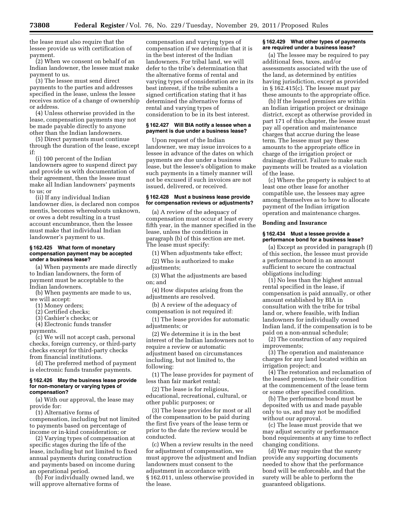the lease must also require that the lessee provide us with certification of payment.

(2) When we consent on behalf of an Indian landowner, the lessee must make payment to us.

(3) The lessee must send direct payments to the parties and addresses specified in the lease, unless the lessee receives notice of a change of ownership or address.

(4) Unless otherwise provided in the lease, compensation payments may not be made payable directly to anyone other than the Indian landowners.

(5) Direct payments must continue through the duration of the lease, except if:

(i) 100 percent of the Indian landowners agree to suspend direct pay and provide us with documentation of their agreement, then the lessee must make all Indian landowners' payments to us; or

(ii) If any individual Indian landowner dies, is declared non compos mentis, becomes whereabouts unknown, or owes a debt resulting in a trust account encumbrance, then the lessee must make that individual Indian landowner's payment to us.

#### **§ 162.425 What form of monetary compensation payment may be accepted under a business lease?**

(a) When payments are made directly to Indian landowners, the form of payment must be acceptable to the Indian landowners.

(b) When payments are made to us, we will accept:

- (1) Money orders;
- (2) Certified checks;
- (3) Cashier's checks; or
- (4) Electronic funds transfer

payments.

(c) We will not accept cash, personal checks, foreign currency, or third-party checks except for third-party checks from financial institutions.

(d) The preferred method of payment is electronic funds transfer payments.

#### **§ 162.426 May the business lease provide for non-monetary or varying types of compensation?**

(a) With our approval, the lease may provide for:

(1) Alternative forms of

compensation, including but not limited to payments based on percentage of income or in-kind consideration; or

(2) Varying types of compensation at specific stages during the life of the lease, including but not limited to fixed annual payments during construction and payments based on income during an operational period.

(b) For individually owned land, we will approve alternative forms of

compensation and varying types of compensation if we determine that it is in the best interest of the Indian landowners. For tribal land, we will defer to the tribe's determination that the alternative forms of rental and varying types of consideration are in its best interest, if the tribe submits a signed certification stating that it has determined the alternative forms of rental and varying types of consideration to be in its best interest.

#### **§ 162.427 Will BIA notify a lessee when a payment is due under a business lease?**

Upon request of the Indian landowner, we may issue invoices to a lessee in advance of the dates on which payments are due under a business lease, but the lessee's obligation to make such payments in a timely manner will not be excused if such invoices are not issued, delivered, or received.

#### **§ 162.428 Must a business lease provide for compensation reviews or adjustments?**

(a) A review of the adequacy of compensation must occur at least every fifth year, in the manner specified in the lease, unless the conditions in paragraph (b) of this section are met. The lease must specify:

(1) When adjustments take effect;

(2) Who is authorized to make adjustments;

(3) What the adjustments are based on; and

(4) How disputes arising from the adjustments are resolved.

(b) A review of the adequacy of compensation is not required if:

(1) The lease provides for automatic adjustments; or

(2) We determine it is in the best interest of the Indian landowners not to require a review or automatic adjustment based on circumstances including, but not limited to, the following:

(1) The lease provides for payment of less than fair market rental;

(2) The lease is for religious, educational, recreational, cultural, or other public purposes; or

(3) The lease provides for most or all of the compensation to be paid during the first five years of the lease term or prior to the date the review would be conducted.

(c) When a review results in the need for adjustment of compensation, we must approve the adjustment and Indian landowners must consent to the adjustment in accordance with § 162.011, unless otherwise provided in the lease.

#### **§ 162.429 What other types of payments are required under a business lease?**

(a) The lessee may be required to pay additional fees, taxes, and/or assessments associated with the use of the land, as determined by entities having jurisdiction, except as provided in § 162.415(c). The lessee must pay these amounts to the appropriate office.

(b) If the leased premises are within an Indian irrigation project or drainage district, except as otherwise provided in part 171 of this chapter, the lessee must pay all operation and maintenance charges that accrue during the lease term. The lessee must pay these amounts to the appropriate office in charge of the irrigation project or drainage district. Failure to make such payments will be treated as a violation of the lease.

(c) Where the property is subject to at least one other lease for another compatible use, the lessees may agree among themselves as to how to allocate payment of the Indian irrigation operation and maintenance charges.

#### **Bonding and Insurance**

#### **§ 162.434 Must a lessee provide a performance bond for a business lease?**

(a) Except as provided in paragraph (f) of this section, the lessee must provide a performance bond in an amount sufficient to secure the contractual obligations including:

(1) No less than the highest annual rental specified in the lease, if compensation is paid annually, or other amount established by BIA in consultation with the tribe for tribal land or, where feasible, with Indian landowners for individually owned Indian land, if the compensation is to be paid on a non-annual schedule;

(2) The construction of any required improvements;

(3) The operation and maintenance charges for any land located within an irrigation project; and

(4) The restoration and reclamation of the leased premises, to their condition at the commencement of the lease term or some other specified condition.

(b) The performance bond must be deposited with us and made payable only to us, and may not be modified without our approval.

(c) The lease must provide that we may adjust security or performance bond requirements at any time to reflect changing conditions.

(d) We may require that the surety provide any supporting documents needed to show that the performance bond will be enforceable, and that the surety will be able to perform the guaranteed obligations.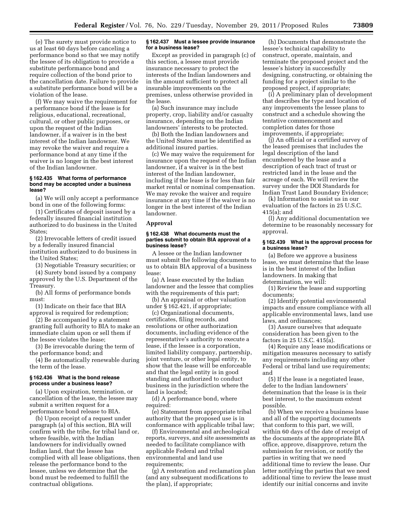(e) The surety must provide notice to us at least 60 days before canceling a performance bond so that we may notify the lessee of its obligation to provide a substitute performance bond and require collection of the bond prior to the cancellation date. Failure to provide a substitute performance bond will be a violation of the lease.

(f) We may waive the requirement for a performance bond if the lease is for religious, educational, recreational, cultural, or other public purposes, or upon the request of the Indian landowner, if a waiver is in the best interest of the Indian landowner. We may revoke the waiver and require a performance bond at any time if the waiver is no longer in the best interest of the Indian landowner.

#### **§ 162.435 What forms of performance bond may be accepted under a business lease?**

(a) We will only accept a performance bond in one of the following forms:

(1) Certificates of deposit issued by a federally insured financial institution authorized to do business in the United States;

(2) Irrevocable letters of credit issued by a federally insured financial institution authorized to do business in the United States;

(3) Negotiable Treasury securities; or

(4) Surety bond issued by a company approved by the U.S. Department of the Treasury.

(b) All forms of performance bonds must:

(1) Indicate on their face that BIA approval is required for redemption;

(2) Be accompanied by a statement granting full authority to BIA to make an immediate claim upon or sell them if the lessee violates the lease;

(3) Be irrevocable during the term of the performance bond; and

(4) Be automatically renewable during the term of the lease.

#### **§ 162.436 What is the bond release process under a business lease?**

(a) Upon expiration, termination, or cancellation of the lease, the lessee may submit a written request for a performance bond release to BIA.

(b) Upon receipt of a request under paragraph (a) of this section, BIA will confirm with the tribe, for tribal land or, where feasible, with the Indian landowners for individually owned Indian land, that the lessee has complied with all lease obligations, then release the performance bond to the lessee, unless we determine that the bond must be redeemed to fulfill the contractual obligations.

#### **§ 162.437 Must a lessee provide insurance for a business lease?**

Except as provided in paragraph (c) of this section, a lessee must provide insurance necessary to protect the interests of the Indian landowners and in the amount sufficient to protect all insurable improvements on the premises, unless otherwise provided in the lease.

(a) Such insurance may include property, crop, liability and/or casualty insurance, depending on the Indian landowners' interests to be protected.

(b) Both the Indian landowners and the United States must be identified as additional insured parties.

(c) We may waive the requirement for insurance upon the request of the Indian landowner, if a waiver is in the best interest of the Indian landowner, including if the lease is for less than fair market rental or nominal compensation. We may revoke the waiver and require insurance at any time if the waiver is no longer in the best interest of the Indian landowner.

#### **Approval**

#### **§ 162.438 What documents must the parties submit to obtain BIA approval of a business lease?**

A lessee or the Indian landowner must submit the following documents to us to obtain BIA approval of a business lease:

(a) A lease executed by the Indian landowner and the lessee that complies with the requirements of this part;

(b) An appraisal or other valuation under § 162.421, if appropriate;

(c) Organizational documents, certificates, filing records, and resolutions or other authorization documents, including evidence of the representative's authority to execute a lease, if the lessee is a corporation, limited liability company, partnership, joint venture, or other legal entity, to show that the lease will be enforceable and that the legal entity is in good standing and authorized to conduct business in the jurisdiction where the land is located;

(d) A performance bond, where required:

(e) Statement from appropriate tribal authority that the proposed use is in conformance with applicable tribal law;

(f) Environmental and archeological reports, surveys, and site assessments as needed to facilitate compliance with applicable Federal and tribal environmental and land use requirements;

(g) A restoration and reclamation plan (and any subsequent modifications to the plan), if appropriate;

(h) Documents that demonstrate the lessee's technical capability to construct, operate, maintain, and terminate the proposed project and the lessee's history in successfully designing, constructing, or obtaining the funding for a project similar to the proposed project, if appropriate;

(i) A preliminary plan of development that describes the type and location of any improvements the lessee plans to construct and a schedule showing the tentative commencement and completion dates for those improvements, if appropriate;

(j) An official or a certified survey of the leased premises that includes the legal description of the land encumbered by the lease and a description of each tract of trust or restricted land in the lease and the acreage of each. We will review the survey under the DOI Standards for Indian Trust Land Boundary Evidence;

(k) Information to assist us in our evaluation of the factors in 25 U.S.C. 415(a); and

(l) Any additional documentation we determine to be reasonably necessary for approval.

#### **§ 162.439 What is the approval process for a business lease?**

(a) Before we approve a business lease, we must determine that the lease is in the best interest of the Indian landowners. In making that determination, we will:

(1) Review the lease and supporting documents;

(2) Identify potential environmental impacts and ensure compliance with all applicable environmental laws, land use laws, and ordinances;

(3) Assure ourselves that adequate consideration has been given to the factors in 25 U.S.C. 415(a).

(4) Require any lease modifications or mitigation measures necessary to satisfy any requirements including any other Federal or tribal land use requirements; and

(5) If the lease is a negotiated lease, defer to the Indian landowners' determination that the lease is in their best interest, to the maximum extent possible.

(b) When we receive a business lease and all of the supporting documents that conform to this part, we will, within 60 days of the date of receipt of the documents at the appropriate BIA office, approve, disapprove, return the submission for revision, or notify the parties in writing that we need additional time to review the lease. Our letter notifying the parties that we need additional time to review the lease must identify our initial concerns and invite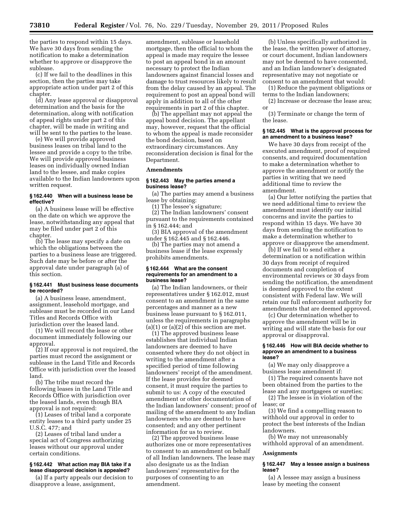the parties to respond within 15 days. We have 30 days from sending the notification to make a determination whether to approve or disapprove the sublease.

(c) If we fail to the deadlines in this section, then the parties may take appropriate action under part 2 of this chapter.

(d) Any lease approval or disapproval determination and the basis for the determination, along with notification of appeal rights under part 2 of this chapter, will be made in writing and will be sent to the parties to the lease.

(e) We will provide approved business leases on tribal land to the lessee and provide a copy to the tribe. We will provide approved business leases on individually owned Indian land to the lessee, and make copies available to the Indian landowners upon written request.

#### **§ 162.440 When will a business lease be effective?**

(a) A business lease will be effective on the date on which we approve the lease, notwithstanding any appeal that may be filed under part 2 of this chapter.

(b) The lease may specify a date on which the obligations between the parties to a business lease are triggered. Such date may be before or after the approval date under paragraph (a) of this section.

#### **§ 162.441 Must business lease documents be recorded?**

(a) A business lease, amendment, assignment, leasehold mortgage, and sublease must be recorded in our Land Titles and Records Office with jurisdiction over the leased land.

(1) We will record the lease or other document immediately following our approval.

(2) If our approval is not required, the parties must record the assignment or sublease in the Land Title and Records Office with jurisdiction over the leased land.

(b) The tribe must record the following leases in the Land Title and Records Office with jurisdiction over the leased lands, even though BIA approval is not required:

(1) Leases of tribal land a corporate entity leases to a third party under 25 U.S.C. 477; and

(2) Leases of tribal land under a special act of Congress authorizing leases without our approval under certain conditions.

#### **§ 162.442 What action may BIA take if a lease disapproval decision is appealed?**

(a) If a party appeals our decision to disapprove a lease, assignment,

amendment, sublease or leasehold mortgage, then the official to whom the appeal is made may require the lessee to post an appeal bond in an amount necessary to protect the Indian landowners against financial losses and damage to trust resources likely to result from the delay caused by an appeal. The requirement to post an appeal bond will apply in addition to all of the other requirements in part 2 of this chapter.

(b) The appellant may not appeal the appeal bond decision. The appellant may, however, request that the official to whom the appeal is made reconsider the bond decision, based on extraordinary circumstances. Any reconsideration decision is final for the Department.

#### **Amendments**

#### **§ 162.443 May the parties amend a business lease?**

(a) The parties may amend a business lease by obtaining:

(1) The lessee's signature;

(2) The Indian landowners' consent pursuant to the requirements contained in § 162.444; and

(3) BIA approval of the amendment under § 162.445 and § 162.446.

(b) The parties may not amend a business lease if the lease expressly prohibits amendments.

#### **§ 162.444 What are the consent requirements for an amendment to a business lease?**

(a) The Indian landowners, or their representatives under § 162.012, must consent to an amendment in the same percentages and manner as a new business lease pursuant to § 162.011, unless the requirements in paragraphs  $(a)(1)$  or  $(a)(2)$  of this section are met.

(1) The approved business lease establishes that individual Indian landowners are deemed to have consented where they do not object in writing to the amendment after a specified period of time following landowners' receipt of the amendment. If the lease provides for deemed consent, it must require the parties to submit to us: A copy of the executed amendment or other documentation of the Indian landowners' consent; proof of mailing of the amendment to any Indian landowners who are deemed to have consented; and any other pertinent information for us to review.

(2) The approved business lease authorizes one or more representatives to consent to an amendment on behalf of all Indian landowners. The lease may also designate us as the Indian landowners' representative for the purposes of consenting to an amendment.

(b) Unless specifically authorized in the lease, the written power of attorney, or court document, Indian landowners may not be deemed to have consented, and an Indian landowner's designated representative may not negotiate or consent to an amendment that would:

(1) Reduce the payment obligations or terms to the Indian landowners;

(2) Increase or decrease the lease area; or

(3) Terminate or change the term of the lease.

#### **§ 162.445 What is the approval process for an amendment to a business lease?**

We have 30 days from receipt of the executed amendment, proof of required consents, and required documentation to make a determination whether to approve the amendment or notify the parties in writing that we need additional time to review the amendment.

(a) Our letter notifying the parties that we need additional time to review the amendment must identify our initial concerns and invite the parties to respond within 15 days. We have 30 days from sending the notification to make a determination whether to approve or disapprove the amendment.

(b) If we fail to send either a determination or a notification within 30 days from receipt of required documents and completion of environmental reviews or 30 days from sending the notification, the amendment is deemed approved to the extent consistent with Federal law. We will retain our full enforcement authority for amendments that are deemed approved.

(c) Our determination whether to approve the amendment will be in writing and will state the basis for our approval or disapproval.

#### **§ 162.446 How will BIA decide whether to approve an amendment to a business lease?**

(a) We may only disapprove a business lease amendment if:

(1) The required consents have not been obtained from the parties to the lease and any mortgagees or sureties;

(2) The lessee is in violation of the lease; or

(3) We find a compelling reason to withhold our approval in order to protect the best interests of the Indian landowners.

(b) We may not unreasonably withhold approval of an amendment.

#### **Assignments**

#### **§ 162.447 May a lessee assign a business lease?**

(a) A lessee may assign a business lease by meeting the consent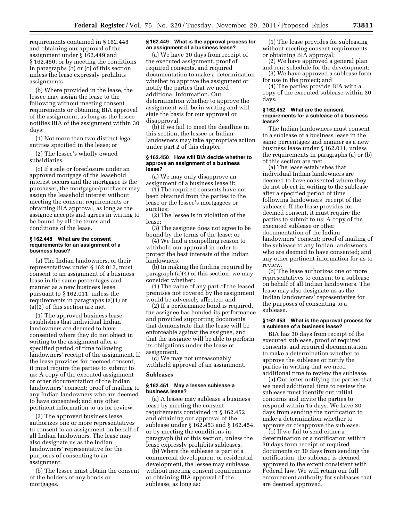requirements contained in § 162.448 and obtaining our approval of the assignment under § 162.449 and § 162.450, or by meeting the conditions in paragraphs (b) or (c) of this section, unless the lease expressly prohibits assignments.

(b) Where provided in the lease, the lessee may assign the lease to the following without meeting consent requirements or obtaining BIA approval of the assignment, as long as the lessee notifies BIA of the assignment within 30 days:

(1) Not more than two distinct legal entities specified in the lease; or

(2) The lessee's wholly owned subsidiaries.

(c) If a sale or foreclosure under an approved mortgage of the leasehold interest occurs and the mortgagee is the purchaser, the mortgagee/purchaser may assign the leasehold interest without meeting the consent requirements or obtaining BIA approval, as long as the assignee accepts and agrees in writing to be bound by all the terms and conditions of the lease.

#### **§ 162.448 What are the consent requirements for an assignment of a business lease?**

(a) The Indian landowners, or their representatives under § 162.012, must consent to an assignment of a business lease in the same percentages and manner as a new business lease pursuant to § 162.011, unless the requirements in paragraphs (a)(1) or (a)(2) of this section are met.

(1) The approved business lease establishes that individual Indian landowners are deemed to have consented where they do not object in writing to the assignment after a specified period of time following landowners' receipt of the assignment. If the lease provides for deemed consent, it must require the parties to submit to us: A copy of the executed assignment or other documentation of the Indian landowners' consent; proof of mailing to any Indian landowners who are deemed to have consented; and any other pertinent information to us for review.

(2) The approved business lease authorizes one or more representatives to consent to an assignment on behalf of all Indian landowners. The lease may also designate us as the Indian landowners' representative for the purposes of consenting to an assignment.

(b) The lessee must obtain the consent of the holders of any bonds or mortgages.

#### **§ 162.449 What is the approval process for an assignment of a business lease?**

(a) We have 30 days from receipt of the executed assignment, proof of required consents, and required documentation to make a determination whether to approve the assignment or notify the parties that we need additional information. Our determination whether to approve the assignment will be in writing and will state the basis for our approval or disapproval.

(b) If we fail to meet the deadline in this section, the lessee or Indian landowners may take appropriate action under part 2 of this chapter.

#### **§ 162.450 How will BIA decide whether to approve an assignment of a business lease?**

(a) We may only disapprove an assignment of a business lease if:

(1) The required consents have not been obtained from the parties to the lease or the lessee's mortgagees or sureties;

(2) The lessee is in violation of the lease;

(3) The assignee does not agree to be bound by the terms of the lease; or

(4) We find a compelling reason to withhold our approval in order to protect the best interests of the Indian landowners.

(b) In making the finding required by paragraph (a)(4) of this section, we may consider whether:

(1) The value of any part of the leased premises not covered by the assignment would be adversely affected; and

(2) If a performance bond is required, the assignee has bonded its performance and provided supporting documents that demonstrate that the lease will be enforceable against the assignee, and that the assignee will be able to perform its obligations under the lease or assignment.

(c) We may not unreasonably withhold approval of an assignment.

#### **Subleases**

#### **§ 162.451 May a lessee sublease a business lease?**

(a) A lessee may sublease a business lease by meeting the consent requirements contained in § 162.452 and obtaining our approval of the sublease under § 162.453 and § 162.454, or by meeting the conditions in paragraph (b) of this section, unless the lease expressly prohibits subleases.

(b) Where the sublease is part of a commercial development or residential development, the lessee may sublease without meeting consent requirements or obtaining BIA approval of the sublease, as long as:

(1) The lease provides for subleasing without meeting consent requirements or obtaining BIA approval;

(2) We have approved a general plan and rent schedule for the development;

(3) We have approved a sublease form for use in the project; and

(4) The parties provide BIA with a copy of the executed sublease within 30 days.

#### **§ 162.452 What are the consent requirements for a sublease of a business lease?**

The Indian landowners must consent to a sublease of a business lease in the same percentages and manner as a new business lease under § 162.011, unless the requirements in paragraphs (a) or (b) of this section are met.

(a) The lease establishes that individual Indian landowners are deemed to have consented where they do not object in writing to the sublease after a specified period of time following landowners' receipt of the sublease. If the lease provides for deemed consent, it must require the parties to submit to us: A copy of the executed sublease or other documentation of the Indian landowners' consent; proof of mailing of the sublease to any Indian landowners who are deemed to have consented; and any other pertinent information for us to review.

(b) The lease authorizes one or more representatives to consent to a sublease on behalf of all Indian landowners. The lease may also designate us as the Indian landowners' representative for the purposes of consenting to a sublease.

#### **§ 162.453 What is the approval process for a sublease of a business lease?**

BIA has 30 days from receipt of the executed sublease, proof of required consents, and required documentation to make a determination whether to approve the sublease or notify the parties in writing that we need additional time to review the sublease.

(a) Our letter notifying the parties that we need additional time to review the sublease must identify our initial concerns and invite the parties to respond within 15 days. We have 30 days from sending the notification to make a determination whether to approve or disapprove the sublease.

(b) If we fail to send either a determination or a notification within 30 days from receipt of required documents or 30 days from sending the notification, the sublease is deemed approved to the extent consistent with Federal law. We will retain our full enforcement authority for subleases that are deemed approved.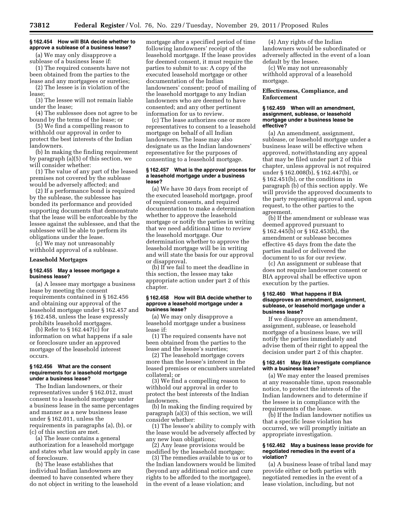#### **§ 162.454 How will BIA decide whether to approve a sublease of a business lease?**

(a) We may only disapprove a sublease of a business lease if:

(1) The required consents have not been obtained from the parties to the lease and any mortgagees or sureties;

(2) The lessee is in violation of the lease;

(3) The lessee will not remain liable under the lease;

(4) The sublessee does not agree to be bound by the terms of the lease; or

(5) We find a compelling reason to withhold our approval in order to protect the best interests of the Indian landowners.

(b) In making the finding requirement by paragraph (a)(5) of this section, we will consider whether:

(1) The value of any part of the leased premises not covered by the sublease would be adversely affected; and

(2) If a performance bond is required by the sublease, the sublessee has bonded its performance and provided supporting documents that demonstrate that the lease will be enforceable by the lessee against the sublessee, and that the sublessee will be able to perform its obligations under the lease.

(c) We may not unreasonably withhold approval of a sublease.

#### **Leasehold Mortgages**

#### **§ 162.455 May a lessee mortgage a business lease?**

(a) A lessee may mortgage a business lease by meeting the consent requirements contained in § 162.456 and obtaining our approval of the leasehold mortgage under § 162.457 and § 162.458, unless the lease expressly prohibits leasehold mortgages.

(b) Refer to § 162.447(c) for information on what happens if a sale or foreclosure under an approved mortgage of the leasehold interest occurs.

#### **§ 162.456 What are the consent requirements for a leasehold mortgage under a business lease?**

The Indian landowners, or their representatives under § 162.012, must consent to a leasehold mortgage under a business lease in the same percentages and manner as a new business lease under § 162.011, unless the requirements in paragraphs (a), (b), or (c) of this section are met.

(a) The lease contains a general authorization for a leasehold mortgage and states what law would apply in case of foreclosure.

(b) The lease establishes that individual Indian landowners are deemed to have consented where they do not object in writing to the leasehold

mortgage after a specified period of time following landowners' receipt of the leasehold mortgage. If the lease provides for deemed consent, it must require the parties to submit to us: A copy of the executed leasehold mortgage or other documentation of the Indian landowners' consent; proof of mailing of the leasehold mortgage to any Indian landowners who are deemed to have consented; and any other pertinent information for us to review.

(c) The lease authorizes one or more representatives to consent to a leasehold mortgage on behalf of all Indian landowners. The lease may also designate us as the Indian landowners' representative for the purposes of consenting to a leasehold mortgage.

#### **§ 162.457 What is the approval process for a leasehold mortgage under a business lease?**

(a) We have 30 days from receipt of the executed leasehold mortgage, proof of required consents, and required documentation to make a determination whether to approve the leasehold mortgage or notify the parties in writing that we need additional time to review the leasehold mortgage. Our determination whether to approve the leasehold mortgage will be in writing and will state the basis for our approval or disapproval.

(b) If we fail to meet the deadline in this section, the lessee may take appropriate action under part 2 of this chapter.

#### **§ 162.458 How will BIA decide whether to approve a leasehold mortgage under a business lease?**

(a) We may only disapprove a leasehold mortgage under a business lease if:

(1) The required consents have not been obtained from the parties to the lease and the lessee's sureties;

(2) The leasehold mortgage covers more than the lessee's interest in the leased premises or encumbers unrelated collateral; or

(3) We find a compelling reason to withhold our approval in order to protect the best interests of the Indian landowners.

(b) In making the finding required by paragraph (a)(3) of this section, we will consider whether:

(1) The lessee's ability to comply with the lease would be adversely affected by any new loan obligations;

(2) Any lease provisions would be modified by the leasehold mortgage;

(3) The remedies available to us or to the Indian landowners would be limited (beyond any additional notice and cure rights to be afforded to the mortgagee), in the event of a lease violation; and

(4) Any rights of the Indian landowners would be subordinated or adversely affected in the event of a loan default by the lessee.

(c) We may not unreasonably withhold approval of a leasehold mortgage.

**Effectiveness, Compliance, and Enforcement** 

#### **§ 162.459 When will an amendment, assignment, sublease, or leasehold mortgage under a business lease be effective?**

(a) An amendment, assignment, sublease, or leasehold mortgage under a business lease will be effective when approved, notwithstanding any appeal that may be filed under part 2 of this chapter, unless approval is not required under § 162.008(b), § 162.447(b), or § 162.451(b), or the conditions in paragraph (b) of this section apply. We will provide the approved documents to the party requesting approval and, upon request, to the other parties to the agreement.

(b) If the amendment or sublease was deemed approved pursuant to § 162.445(b) or § 162.453(b), the amendment or sublease becomes effective 45 days from the date the parties mailed or delivered the document to us for our review.

(c) An assignment or sublease that does not require landowner consent or BIA approval shall be effective upon execution by the parties.

#### **§ 162.460 What happens if BIA disapproves an amendment, assignment, sublease, or leasehold mortgage under a business lease?**

If we disapprove an amendment, assignment, sublease, or leasehold mortgage of a business lease, we will notify the parties immediately and advise them of their right to appeal the decision under part 2 of this chapter.

#### **§ 162.461 May BIA investigate compliance with a business lease?**

(a) We may enter the leased premises at any reasonable time, upon reasonable notice, to protect the interests of the Indian landowners and to determine if the lessee is in compliance with the requirements of the lease.

(b) If the Indian landowner notifies us that a specific lease violation has occurred, we will promptly initiate an appropriate investigation.

#### **§ 162.462 May a business lease provide for negotiated remedies in the event of a violation?**

(a) A business lease of tribal land may provide either or both parties with negotiated remedies in the event of a lease violation, including, but not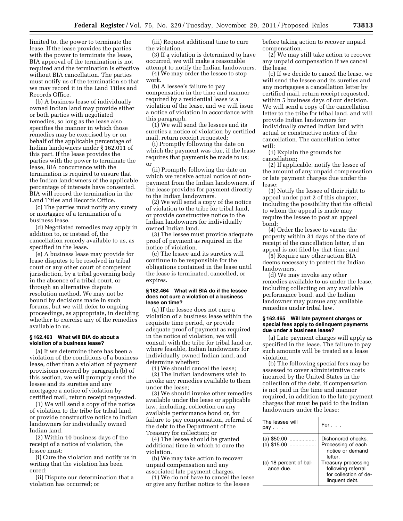limited to, the power to terminate the lease. If the lease provides the parties with the power to terminate the lease, BIA approval of the termination is not required and the termination is effective without BIA cancellation. The parties must notify us of the termination so that we may record it in the Land Titles and Records Office.

(b) A business lease of individually owned Indian land may provide either or both parties with negotiated remedies, so long as the lease also specifies the manner in which those remedies may be exercised by or on behalf of the applicable percentage of Indian landowners under § 162.011 of this part. If the lease provides the parties with the power to terminate the lease, BIA concurrence with the termination is required to ensure that the Indian landowners of the applicable percentage of interests have consented. BIA will record the termination in the Land Titles and Records Office.

(c) The parties must notify any surety or mortgagee of a termination of a business lease.

(d) Negotiated remedies may apply in addition to, or instead of, the cancellation remedy available to us, as specified in the lease.

(e) A business lease may provide for lease disputes to be resolved in tribal court or any other court of competent jurisdiction, by a tribal governing body in the absence of a tribal court, or through an alternative dispute resolution method. We may not be bound by decisions made in such forums, but we will defer to ongoing proceedings, as appropriate, in deciding whether to exercise any of the remedies available to us.

#### **§ 162.463 What will BIA do about a violation of a business lease?**

(a) If we determine there has been a violation of the conditions of a business lease, other than a violation of payment provisions covered by paragraph (b) of this section, we will promptly send the lessee and its sureties and any mortgagee a notice of violation by certified mail, return receipt requested.

(1) We will send a copy of the notice of violation to the tribe for tribal land, or provide constructive notice to Indian landowners for individually owned Indian land.

(2) Within 10 business days of the receipt of a notice of violation, the lessee must:

(i) Cure the violation and notify us in writing that the violation has been cured;

(ii) Dispute our determination that a violation has occurred; or

(iii) Request additional time to cure the violation.

(3) If a violation is determined to have occurred, we will make a reasonable attempt to notify the Indian landowners.

(4) We may order the lessee to stop work.

(b) A lessee's failure to pay compensation in the time and manner required by a residential lease is a violation of the lease, and we will issue a notice of violation in accordance with this paragraph.

(1) We will send the lessees and its sureties a notice of violation by certified mail, return receipt requested:

(i) Promptly following the date on which the payment was due, if the lease requires that payments be made to us; or

(ii) Promptly following the date on which we receive actual notice of nonpayment from the Indian landowners, if the lease provides for payment directly to the Indian landowners.

(2) We will send a copy of the notice of violation to the tribe for tribal land, or provide constructive notice to the Indian landowners for individually owned Indian land.

(3) The lessee must provide adequate proof of payment as required in the notice of violation.

(c) The lessee and its sureties will continue to be responsible for the obligations contained in the lease until the lease is terminated, cancelled, or expires.

#### **§ 162.464 What will BIA do if the lessee does not cure a violation of a business lease on time?**

(a) If the lessee does not cure a violation of a business lease within the requisite time period, or provide adequate proof of payment as required in the notice of violation, we will consult with the tribe for tribal land or, where feasible, Indian landowners for individually owned Indian land, and determine whether:

(1) We should cancel the lease;

(2) The Indian landowners wish to invoke any remedies available to them under the lease;

(3) We should invoke other remedies available under the lease or applicable law, including, collection on any available performance bond or, for failure to pay compensation, referral of the debt to the Department of the Treasury for collection; or

(4) The lessee should be granted additional time in which to cure the violation.

(b) We may take action to recover unpaid compensation and any associated late payment charges.

(1) We do not have to cancel the lease or give any further notice to the lessee

before taking action to recover unpaid compensation.

 $(2)$  We may still take action to recover any unpaid compensation if we cancel the lease.

(c) If we decide to cancel the lease, we will send the lessee and its sureties and any mortgagees a cancellation letter by certified mail, return receipt requested, within 5 business days of our decision. We will send a copy of the cancellation letter to the tribe for tribal land, and will provide Indian landowners for individually owned Indian land with actual or constructive notice of the cancellation. The cancellation letter will:

(1) Explain the grounds for cancellation;

(2) If applicable, notify the lessee of the amount of any unpaid compensation or late payment charges due under the lease;

(3) Notify the lessee of their right to appeal under part 2 of this chapter, including the possibility that the official to whom the appeal is made may require the lessee to post an appeal bond;

(4) Order the lessee to vacate the property within 31 days of the date of receipt of the cancellation letter, if an appeal is not filed by that time; and

(5) Require any other action BIA deems necessary to protect the Indian landowners.

(d) We may invoke any other remedies available to us under the lease, including collecting on any available performance bond, and the Indian landowner may pursue any available remedies under tribal law.

#### **§ 162.465 Will late payment charges or special fees apply to delinquent payments due under a business lease?**

(a) Late payment charges will apply as specified in the lease. The failure to pay such amounts will be treated as a lease violation.

(b) The following special fees may be assessed to cover administrative costs incurred by the United States in the collection of the debt, if compensation is not paid in the time and manner required, in addition to the late payment charges that must be paid to the Indian landowners under the lease:

| The lessee will<br>pav              | For $\ldots$                                                                         |
|-------------------------------------|--------------------------------------------------------------------------------------|
| (a) $$50.00$<br>(b) \$15.00         | Dishonored checks.<br>Processing of each<br>notice or demand<br>letter               |
| (c) 18 percent of bal-<br>ance due. | Treasury processing<br>following referral<br>for collection of de-<br>linguent debt. |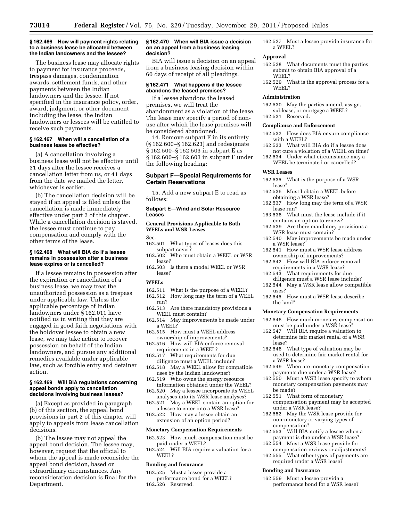#### **§ 162.466 How will payment rights relating to a business lease be allocated between the Indian landowners and the lessee?**

The business lease may allocate rights to payment for insurance proceeds, trespass damages, condemnation awards, settlement funds, and other payments between the Indian landowners and the lessee. If not specified in the insurance policy, order, award, judgment, or other document including the lease, the Indian landowners or lessees will be entitled to receive such payments.

#### **§ 162.467 When will a cancellation of a business lease be effective?**

(a) A cancellation involving a business lease will not be effective until 31 days after the lessee receives a cancellation letter from us, or 41 days from the date we mailed the letter, whichever is earlier.

(b) The cancellation decision will be stayed if an appeal is filed unless the cancellation is made immediately effective under part 2 of this chapter. While a cancellation decision is stayed, the lessee must continue to pay compensation and comply with the other terms of the lease.

#### **§ 162.468 What will BIA do if a lessee remains in possession after a business lease expires or is cancelled?**

If a lessee remains in possession after the expiration or cancellation of a business lease, we may treat the unauthorized possession as a trespass under applicable law. Unless the applicable percentage of Indian landowners under § 162.011 have notified us in writing that they are engaged in good faith negotiations with the holdover lessee to obtain a new lease, we may take action to recover possession on behalf of the Indian landowners, and pursue any additional remedies available under applicable law, such as forcible entry and detainer action.

#### **§ 162.469 Will BIA regulations concerning appeal bonds apply to cancellation decisions involving business leases?**

(a) Except as provided in paragraph (b) of this section, the appeal bond provisions in part 2 of this chapter will apply to appeals from lease cancellation decisions.

(b) The lessee may not appeal the appeal bond decision. The lessee may, however, request that the official to whom the appeal is made reconsider the appeal bond decision, based on extraordinary circumstances. Any reconsideration decision is final for the Department.

#### **§ 162.470 When will BIA issue a decision on an appeal from a business leasing decision?**

BIA will issue a decision on an appeal from a business leasing decision within 60 days of receipt of all pleadings.

#### **§ 162.471 What happens if the lessee abandons the leased premises?**

If a lessee abandons the leased premises, we will treat the abandonment as a violation of the lease. The lease may specify a period of nonuse after which the lease premises will be considered abandoned.

14. Remove subpart F in its entirety (§ 162.600–§ 162.623) and redesignate § 162.500–§ 162.503 in subpart E as § 162.600–§ 162.603 in subpart F under the following heading:

#### **Subpart F—Special Requirements for Certain Reservations**

15. Add a new subpart E to read as follows:

#### **Subpart E—Wind and Solar Resource Leases**

#### **General Provisions Applicable to Both WEELs and WSR Leases**

Sec.

- 162.501 What types of leases does this subpart cover?
- 162.502 Who must obtain a WEEL or WSR lease?
- 162.503 Is there a model WEEL or WSR lease?

#### **WEELs**

- 162.511 What is the purpose of a WEEL? 162.512 How long may the term of a WEEL run?
- 162.513 Are there mandatory provisions a WEEL must contain?
- 162.514 May improvements be made under a WEEL?
- 162.515 How must a WEEL address ownership of improvements?
- 162.516 How will BIA enforce removal requirements in a WEEL?
- 162.517 What requirements for due diligence must a WEEL include?
- 162.518 May a WEEL allow for compatible uses by the Indian landowner?
- 162.519 Who owns the energy resource information obtained under the WEEL?
- 162.520 May a lessee incorporate its WEEL analyses into its WSR lease analyses?
- 162.521 May a WEEL contain an option for a lessee to enter into a WSR lease?
- 162.522 How may a lessee obtain an extension of an option period?

#### **Monetary Compensation Requirements**

- 162.523 How much compensation must be paid under a WEEL?
- 162.524 Will BIA require a valuation for a WEEL?

#### **Bonding and Insurance**

- 162.525 Must a lessee provide a
- performance bond for a WEEL? 162.526 Reserved.

162.527 Must a lessee provide insurance for a WEEL?

#### **Approval**

- 162.528 What documents must the parties submit to obtain BIA approval of a WEEL?
- 162.529 What is the approval process for a WEEL?

#### **Administration**

162.530 May the parties amend, assign, sublease, or mortgage a WEEL? 162.531 Reserved.

#### **Compliance and Enforcement**

- 162.532 How does BIA ensure compliance with a WEEL?
- 162.533 What will BIA do if a lessee does not cure a violation of a WEEL on time?
- 162.534 Under what circumstance may a WEEL be terminated or cancelled?

#### **WSR Leases**

- 162.535 What is the purpose of a WSR lease?
- 162.536 Must I obtain a WEEL before obtaining a WSR lease?
- 162.537 How long may the term of a WSR lease run?
- 163.538 What must the lease include if it contains an option to renew?
- 162.539 Are there mandatory provisions a WSR lease must contain?
- 162.540 May improvements be made under a WSR lease?
- 162.541 How must a WSR lease address ownership of improvements?
- 162.542 How will BIA enforce removal requirements in a WSR lease?
- 162.543 What requirements for due diligence must a WSR lease include?
- 162.544 May a WSR lease allow compatible uses?
- 162.545 How must a WSR lease describe the land?

#### **Monetary Compensation Requirements**

- 162.546 How much monetary compensation must be paid under a WSR lease?
- 162.547 Will BIA require a valuation to determine fair market rental of a WSR lease?
- 162.548 What type of valuation may be used to determine fair market rental for a WSR lease?
- 162.549 When are monetary compensation payments due under a WSR lease?
- 162.550 Must a WSR lease specify to whom monetary compensation payments may be made?
- 162.551 What form of monetary compensation payment may be accepted under a WSR lease?
- 162.552 May the WSR lease provide for non-monetary or varying types of compensation?
- 162.553 Will BIA notify a lessee when a payment is due under a WSR lease?
- 162.554 Must a WSR lease provide for compensation reviews or adjustments?
- 162.555 What other types of payments are required under a WSR lease?

#### **Bonding and Insurance**

162.559 Must a lessee provide a performance bond for a WSR lease?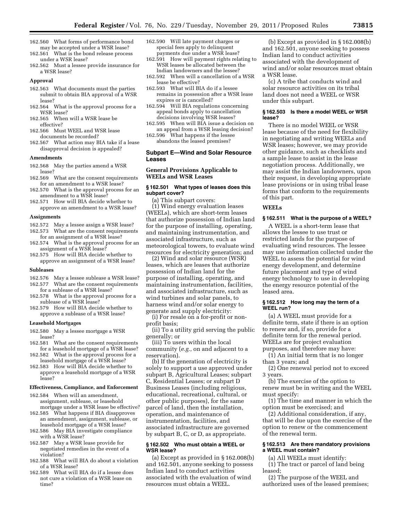- 162.560 What forms of performance bond may be accepted under a WSR lease? 162.561 What is the bond release process
- under a WSR lease?
- 162.562 Must a lessee provide insurance for a WSR lease?

#### **Approval**

- 162.563 What documents must the parties submit to obtain BIA approval of a WSR lease?
- 162.564 What is the approval process for a WSR lease?
- 162.565 When will a WSR lease be effective?
- 162.566 Must WEEL and WSR lease documents be recorded?
- 162.567 What action may BIA take if a lease disapproval decision is appealed?

#### **Amendments**

- 162.568 May the parties amend a WSR lease?
- 162.569 What are the consent requirements for an amendment to a WSR lease?
- 162.570 What is the approval process for an amendment to a WSR lease?
- 162.571 How will BIA decide whether to approve an amendment to a WSR lease?

#### **Assignments**

- 162.572 May a lessee assign a WSR lease? 162.573 What are the consent requirements
- for an assignment of a WSR lease? 162.574 What is the approval process for an
- assignment of a WSR lease? 162.575 How will BIA decide whether to
- approve an assignment of a WSR lease?

#### **Subleases**

- 162.576 May a lessee sublease a WSR lease? 162.577 What are the consent requirements
- for a sublease of a WSR lease? 162.578 What is the approval process for a
- sublease of a WSR lease? 162.579 How will BIA decide whether to
- approve a sublease of a WSR lease?

#### **Leasehold Mortgages**

- 162.580 May a lessee mortgage a WSR lease?
- 162.581 What are the consent requirements for a leasehold mortgage of a WSR lease? 162.582 What is the approval process for a
- leasehold mortgage of a WSR lease? 162.583 How will BIA decide whether to
- approve a leasehold mortgage of a WSR lease?

#### **Effectiveness, Compliance, and Enforcement**

- 162.584 When will an amendment, assignment, sublease, or leasehold mortgage under a WSR lease be effective?
- 162.585 What happens if BIA disapproves an amendment, assignment, sublease, or leasehold mortgage of a WSR lease?
- 162.586 May BIA investigate compliance with a WSR lease?
- 162.587 May a WSR lease provide for negotiated remedies in the event of a violation?
- 162.588 What will BIA do about a violation of a WSR lease?
- 162.589 What will BIA do if a lessee does not cure a violation of a WSR lease on time?
- 162.590 Will late payment charges or special fees apply to delinquent payments due under a WSR lease?
- 162.591 How will payment rights relating to WSR leases be allocated between the Indian landowners and the lessee?
- 162.592 When will a cancellation of a WSR lease be effective?
- 162.593 What will BIA do if a lessee remains in possession after a WSR lease expires or is cancelled?
- 162.594 Will BIA regulations concerning appeal bonds apply to cancellation decisions involving WSR leases?
- 162.595 When will BIA issue a decision on an appeal from a WSR leasing decision?
- 162.596 What happens if the lessee abandons the leased premises?

#### **Subpart E—Wind and Solar Resource Leases**

#### **General Provisions Applicable to WEELs and WSR Leases**

#### **§ 162.501 What types of leases does this subpart cover?**

(a) This subpart covers:

(1) Wind energy evaluation leases (WEELs), which are short-term leases that authorize possession of Indian land for the purpose of installing, operating, and maintaining instrumentation, and associated infrastructure, such as meteorological towers, to evaluate wind resources for electricity generation; and

(2) Wind and solar resource (WSR) leases, which are leases that authorize possession of Indian land for the purpose of installing, operating, and maintaining instrumentation, facilities, and associated infrastructure, such as wind turbines and solar panels, to harness wind and/or solar energy to generate and supply electricity:

(i) For resale on a for-profit or nonprofit basis;

(ii) To a utility grid serving the public generally; or

(iii) To users within the local community (*e.g.,* on and adjacent to a reservation).

(b) If the generation of electricity is solely to support a use approved under subpart B, Agricultural Leases; subpart C, Residential Leases; or subpart D Business Leases (including religious, educational, recreational, cultural, or other public purposes), for the same parcel of land, then the installation, operation, and maintenance of instrumentation, facilities, and associated infrastructure are governed by subpart B, C, or D, as appropriate.

#### **§ 162.502 Who must obtain a WEEL or WSR lease?**

(a) Except as provided in § 162.008(b) and 162.501, anyone seeking to possess Indian land to conduct activities associated with the evaluation of wind resources must obtain a WEEL.

(b) Except as provided in § 162.008(b) and 162.501, anyone seeking to possess Indian land to conduct activities associated with the development of wind and/or solar resources must obtain a WSR lease.

(c) A tribe that conducts wind and solar resource activities on its tribal land does not need a WEEL or WSR under this subpart.

#### **§ 162.503 Is there a model WEEL or WSR lease?**

There is no model WEEL or WSR lease because of the need for flexibility in negotiating and writing WEELs and WSR leases; however, we may provide other guidance, such as checklists and a sample lease to assist in the lease negotiation process. Additionally, we may assist the Indian landowners, upon their request, in developing appropriate lease provisions or in using tribal lease forms that conform to the requirements of this part.

#### **WEELs**

#### **§ 162.511 What is the purpose of a WEEL?**

A WEEL is a short-term lease that allows the lessee to use trust or restricted lands for the purpose of evaluating wind resources. The lessee may use information collected under the WEEL to assess the potential for wind energy development, and determine future placement and type of wind energy technology to use in developing the energy resource potential of the leased area.

#### **§ 162.512 How long may the term of a WEEL run?**

(a) A WEEL must provide for a definite term, state if there is an option to renew and, if so, provide for a definite term for the renewal period. WEELs are for project evaluation purposes, and therefore may have:

(1) An initial term that is no longer than 3 years; and

(2) One renewal period not to exceed 3 years.

(b) The exercise of the option to renew must be in writing and the WEEL must specify:

(1) The time and manner in which the option must be exercised; and

(2) Additional consideration, if any, that will be due upon the exercise of the option to renew or the commencement of the renewal term.

#### **§ 162.513 Are there mandatory provisions a WEEL must contain?**

(a) All WEELs must identify:

(1) The tract or parcel of land being leased;

(2) The purpose of the WEEL and authorized uses of the leased premises;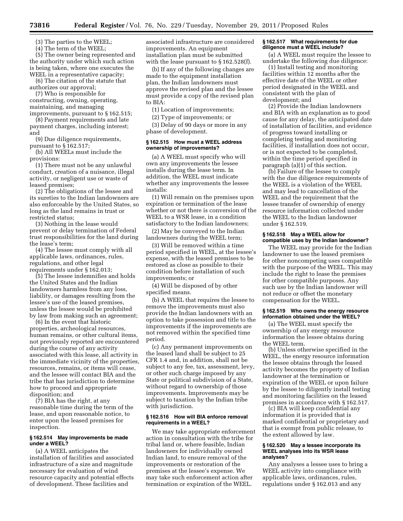**73816 Federal Register** / Vol. 76, No. 229 / Tuesday, November 29, 2011 / Proposed Rules

(3) The parties to the WEEL;

(4) The term of the WEEL;

(5) The owner being represented and the authority under which such action is being taken, where one executes the WEEL in a representative capacity;

(6) The citation of the statute that authorizes our approval;

(7) Who is responsible for constructing, owning, operating, maintaining, and managing

improvements, pursuant to § 162.515; (8) Payment requirements and late payment charges, including interest; and

(9) Due diligence requirements, pursuant to § 162.517;

(b) All WEELs must include the provisions:

(1) There must not be any unlawful conduct, creation of a nuisance, illegal activity, or negligent use or waste of leased premises;

(2) The obligations of the lessee and its sureties to the Indian landowners are also enforceable by the United States, so long as the land remains in trust or restricted status;

(3) Nothing in the lease would prevent or delay termination of Federal trust responsibilities for the land during the lease's term;

(4) The lessee must comply with all applicable laws, ordinances, rules, regulations, and other legal requirements under § 162.013;

(5) The lessee indemnifies and holds the United States and the Indian landowners harmless from any loss, liability, or damages resulting from the lessee's use of the leased premises, unless the lessee would be prohibited by law from making such an agreement;

(6) In the event that historic properties, archeological resources, human remains, or other cultural items, not previously reported are encountered during the course of any activity associated with this lease, all activity in the immediate vicinity of the properties, resources, remains, or items will cease, and the lessee will contact BIA and the tribe that has jurisdiction to determine how to proceed and appropriate disposition; and

(7) BIA has the right, at any reasonable time during the term of the lease, and upon reasonable notice, to enter upon the leased premises for inspection.

#### **§ 162.514 May improvements be made under a WEEL?**

(a) A WEEL anticipates the installation of facilities and associated infrastructure of a size and magnitude necessary for evaluation of wind resource capacity and potential effects of development. These facilities and

associated infrastructure are considered improvements. An equipment installation plan must be submitted with the lease pursuant to § 162.528(f).

(b) If any of the following changes are made to the equipment installation plan, the Indian landowners must approve the revised plan and the lessee must provide a copy of the revised plan to BIA:

(1) Location of improvements;

(2) Type of improvements; or

(3) Delay of 90 days or more in any phase of development.

#### **§ 162.515 How must a WEEL address ownership of improvements?**

(a) A WEEL must specify who will own any improvements the lessee installs during the lease term. In addition, the WEEL must indicate whether any improvements the lessee installs:

(1) Will remain on the premises upon expiration or termination of the lease whether or not there is conversion of the WEEL to a WSR lease, in a condition satisfactory to the Indian landowners;

(2) May be conveyed to the Indian landowners during the WEEL term;

(3) Will be removed within a time period specified in WEEL, at the lessee's expense, with the leased premises to be restored as close as possible to their condition before installation of such improvements; or

(4) Will be disposed of by other specified means.

(b) A WEEL that requires the lessee to remove the improvements must also provide the Indian landowners with an option to take possession and title to the improvements if the improvements are not removed within the specified time period.

(c) Any permanent improvements on the leased land shall be subject to 25 CFR 1.4 and, in addition, shall not be subject to any fee, tax, assessment, levy, or other such charge imposed by any State or political subdivision of a State, without regard to ownership of those improvements. Improvements may be subject to taxation by the Indian tribe with jurisdiction.

#### **§ 162.516 How will BIA enforce removal requirements in a WEEL?**

We may take appropriate enforcement action in consultation with the tribe for tribal land or, where feasible, Indian landowners for individually owned Indian land, to ensure removal of the improvements or restoration of the premises at the lessee's expense. We may take such enforcement action after termination or expiration of the WEEL.

#### **§ 162.517 What requirements for due diligence must a WEEL include?**

(a) A WEEL must require the lessee to undertake the following due diligence:

(1) Install testing and monitoring facilities within 12 months after the effective date of the WEEL or other period designated in the WEEL and consistent with the plan of development; and

(2) Provide the Indian landowners and BIA with an explanation as to good cause for any delay, the anticipated date of installation of facilities, and evidence of progress toward installing or completing testing and monitoring facilities, if installation does not occur, or is not expected to be completed, within the time period specified in paragraph (a)(1) of this section.

(b) Failure of the lessee to comply with the due diligence requirements of the WEEL is a violation of the WEEL and may lead to cancellation of the WEEL and the requirement that the lessee transfer of ownership of energy resource information collected under the WEEL to the Indian landowner under § 162.519.

#### **§ 162.518 May a WEEL allow for compatible uses by the Indian landowner?**

The WEEL may provide for the Indian landowner to use the leased premises for other noncompeting uses compatible with the purpose of the WEEL. This may include the right to lease the premises for other compatible purposes. Any such use by the Indian landowner will not reduce or offset the monetary compensation for the WEEL.

#### **§ 162.519 Who owns the energy resource information obtained under the WEEL?**

(a) The WEEL must specify the ownership of any energy resource information the lessee obtains during the WEEL term.

(b) Unless otherwise specified in the WEEL, the energy resource information the lessee obtains through the leased activity becomes the property of Indian landowner at the termination or expiration of the WEEL or upon failure by the lessee to diligently install testing and monitoring facilities on the leased premises in accordance with § 162.517.

(c) BIA will keep confidential any information it is provided that is marked confidential or proprietary and that is exempt from public release, to the extent allowed by law.

#### **§ 162.520 May a lessee incorporate its WEEL analyses into its WSR lease analyses?**

Any analyses a lessee uses to bring a WEEL activity into compliance with applicable laws, ordinances, rules, regulations under § 162.013 and any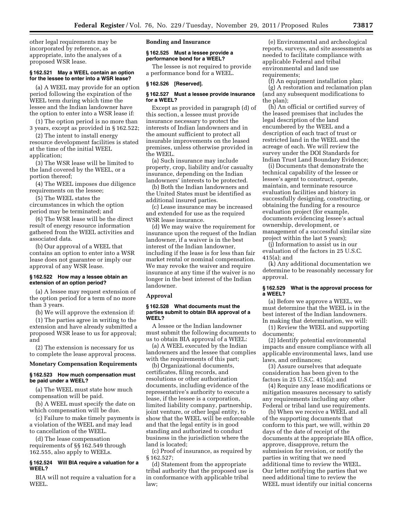other legal requirements may be incorporated by reference, as appropriate, into the analyses of a proposed WSR lease.

#### **§ 162.521 May a WEEL contain an option for the lessee to enter into a WSR lease?**

(a) A WEEL may provide for an option period following the expiration of the WEEL term during which time the lessee and the Indian landowner have the option to enter into a WSR lease if:

(1) The option period is no more than 3 years, except as provided in § 162.522;

(2) The intent to install energy resource development facilities is stated at the time of the initial WEEL application;

(3) The WSR lease will be limited to the land covered by the WEEL, or a portion thereof;

(4) The WEEL imposes due diligence requirements on the lessee;

(5) The WEEL states the circumstances in which the option period may be terminated; and

(6) The WSR lease will be the direct result of energy resource information gathered from the WEEL activities and associated data.

(b) Our approval of a WEEL that contains an option to enter into a WSR lease does not guarantee or imply our approval of any WSR lease.

#### **§ 162.522 How may a lessee obtain an extension of an option period?**

(a) A lessee may request extension of the option period for a term of no more than 3 years.

(b) We will approve the extension if:

(1) The parties agree in writing to the extension and have already submitted a proposed WSR lease to us for approval; and

(2) The extension is necessary for us to complete the lease approval process.

#### **Monetary Compensation Requirements**

#### **§ 162.523 How much compensation must be paid under a WEEL?**

(a) The WEEL must state how much compensation will be paid.

(b) A WEEL must specify the date on which compensation will be due.

(c) Failure to make timely payments is a violation of the WEEL and may lead to cancellation of the WEEL.

(d) The lease compensation requirements of §§ 162.549 through 162.555, also apply to WEELs.

#### **§ 162.524 Will BIA require a valuation for a WEEL?**

BIA will not require a valuation for a WEEL.

**Bonding and Insurance** 

#### **§ 162.525 Must a lessee provide a performance bond for a WEEL?**

The lessee is not required to provide a performance bond for a WEEL.

#### **§ 162.526 [Reserved].**

#### **§ 162.527 Must a lessee provide insurance for a WEEL?**

Except as provided in paragraph (d) of this section, a lessee must provide insurance necessary to protect the interests of Indian landowners and in the amount sufficient to protect all insurable improvements on the leased premises, unless otherwise provided in the WEEL.

(a) Such insurance may include property, crop, liability and/or casualty insurance, depending on the Indian landowners' interests to be protected.

(b) Both the Indian landowners and the United States must be identified as additional insured parties.

(c) Lease insurance may be increased and extended for use as the required WSR lease insurance.

(d) We may waive the requirement for insurance upon the request of the Indian landowner, if a waiver is in the best interest of the Indian landowner, including if the lease is for less than fair market rental or nominal compensation. We may revoke the waiver and require insurance at any time if the waiver is no longer in the best interest of the Indian landowner.

#### **Approval**

#### **§ 162.528 What documents must the parties submit to obtain BIA approval of a WEEL?**

A lessee or the Indian landowner must submit the following documents to us to obtain BIA approval of a WEEL:

(a) A WEEL executed by the Indian landowners and the lessee that complies with the requirements of this part;

(b) Organizational documents, certificates, filing records, and resolutions or other authorization documents, including evidence of the representative's authority to execute a lease, if the lessee is a corporation, limited liability company, partnership, joint venture, or other legal entity, to show that the WEEL will be enforceable and that the legal entity is in good standing and authorized to conduct business in the jurisdiction where the land is located;

(c) Proof of insurance, as required by § 162.527;

(d) Statement from the appropriate tribal authority that the proposed use is in conformance with applicable tribal law;

(e) Environmental and archeological reports, surveys, and site assessments as needed to facilitate compliance with applicable Federal and tribal environmental and land use requirements;

(f) An equipment installation plan; (g) A restoration and reclamation plan (and any subsequent modifications to the plan);

(h) An official or certified survey of the leased premises that includes the legal description of the land encumbered by the WEEL and a description of each tract of trust or restricted land in the WEEL and the acreage of each. We will review the survey under the DOI Standards for Indian Trust Land Boundary Evidence;

(i) Documents that demonstrate the technical capability of the lessee or lessee's agent to construct, operate, maintain, and terminate resource evaluation facilities and history in successfully designing, constructing, or obtaining the funding for a resource evaluation project (for example, documents evidencing lessee's actual ownership, development, or management of a successful similar size project within the last 5 years);

(j) Information to assist us in our evaluation of the factors in 25 U.S.C. 415(a); and

(k) Any additional documentation we determine to be reasonably necessary for approval.

#### **§ 162.529 What is the approval process for a WEEL?**

(a) Before we approve a WEEL, we must determine that the WEEL is in the best interest of the Indian landowners. In making that determination, we will:

(1) Review the WEEL and supporting documents;

(2) Identify potential environmental impacts and ensure compliance with all applicable environmental laws, land use laws, and ordinances;

(3) Assure ourselves that adequate consideration has been given to the factors in 25 U.S.C. 415(a); and

(4) Require any lease modifications or mitigation measures necessary to satisfy any requirements including any other Federal or tribal land use requirements.

(b) When we receive a WEEL and all of the supporting documents that conform to this part, we will, within 20 days of the date of receipt of the documents at the appropriate BIA office, approve, disapprove, return the submission for revision, or notify the parties in writing that we need additional time to review the WEEL. Our letter notifying the parties that we need additional time to review the WEEL must identify our initial concerns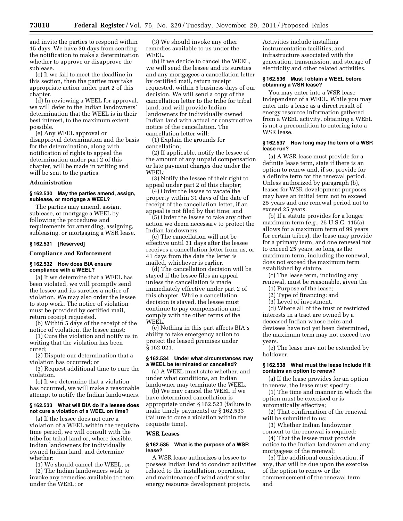and invite the parties to respond within 15 days. We have 30 days from sending the notification to make a determination whether to approve or disapprove the sublease.

(c) If we fail to meet the deadline in this section, then the parties may take appropriate action under part 2 of this chapter.

(d) In reviewing a WEEL for approval, we will defer to the Indian landowners' determination that the WEEL is in their best interest, to the maximum extent possible.

(e) Any WEEL approval or disapproval determination and the basis for the determination, along with notification of rights to appeal the determination under part 2 of this chapter, will be made in writing and will be sent to the parties.

#### **Administration**

#### **§ 162.530 May the parties amend, assign, sublease, or mortgage a WEEL?**

The parties may amend, assign, sublease, or mortgage a WEEL by following the procedures and requirements for amending, assigning, subleasing, or mortgaging a WSR lease.

#### **§ 162.531 [Reserved]**

#### **Compliance and Enforcement**

#### **§ 162.532 How does BIA ensure compliance with a WEEL?**

(a) If we determine that a WEEL has been violated, we will promptly send the lessee and its sureties a notice of violation. We may also order the lessee to stop work. The notice of violation must be provided by certified mail, return receipt requested.

(b) Within 5 days of the receipt of the notice of violation, the lessee must:

(1) Cure the violation and notify us in writing that the violation has been cured;

(2) Dispute our determination that a violation has occurred; or

(3) Request additional time to cure the violation.

(c) If we determine that a violation has occurred, we will make a reasonable attempt to notify the Indian landowners.

#### **§ 162.533 What will BIA do if a lessee does not cure a violation of a WEEL on time?**

(a) If the lessee does not cure a violation of a WEEL within the requisite time period, we will consult with the tribe for tribal land or, where feasible, Indian landowners for individually owned Indian land, and determine whether:

(1) We should cancel the WEEL, or

(2) The Indian landowners wish to invoke any remedies available to them under the WEEL; or

(3) We should invoke any other remedies available to us under the WEEL.

(b) If we decide to cancel the WEEL, we will send the lessee and its sureties and any mortgagees a cancellation letter by certified mail, return receipt requested, within 5 business days of our decision. We will send a copy of the cancellation letter to the tribe for tribal land, and will provide Indian landowners for individually owned Indian land with actual or constructive notice of the cancellation. The cancellation letter will:

(1) Explain the grounds for cancellation;

(2) If applicable, notify the lessee of the amount of any unpaid compensation or late payment charges due under the WEEL;

(3) Notify the lessee of their right to appeal under part 2 of this chapter;

(4) Order the lessee to vacate the property within 31 days of the date of receipt of the cancellation letter, if an appeal is not filed by that time; and

(5) Order the lessee to take any other action we deem necessary to protect the Indian landowners.

(c) The cancellation will not be effective until 31 days after the lessee receives a cancellation letter from us, or 41 days from the date the letter is mailed, whichever is earlier.

(d) The cancellation decision will be stayed if the lessee files an appeal unless the cancellation is made immediately effective under part 2 of this chapter. While a cancellation decision is stayed, the lessee must continue to pay compensation and comply with the other terms of the WEEL.

(e) Nothing in this part affects BIA's ability to take emergency action to protect the leased premises under § 162.021.

#### **§ 162.534 Under what circumstances may a WEEL be terminated or cancelled?**

(a) A WEEL must state whether, and under what conditions, an Indian landowner may terminate the WEEL.

(b) We may cancel the WEEL if we have determined cancellation is appropriate under § 162.523 (failure to make timely payments) or § 162.533 (failure to cure a violation within the requisite time).

#### **WSR Leases**

#### **§ 162.535 What is the purpose of a WSR lease?**

A WSR lease authorizes a lessee to possess Indian land to conduct activities related to the installation, operation, and maintenance of wind and/or solar energy resource development projects.

Activities include installing instrumentation facilities, and infrastructure associated with the generation, transmission, and storage of electricity and other related activities.

#### **§ 162.536 Must I obtain a WEEL before obtaining a WSR lease?**

You may enter into a WSR lease independent of a WEEL. While you may enter into a lease as a direct result of energy resource information gathered from a WEEL activity, obtaining a WEEL is not a precondition to entering into a WSR lease.

#### **§ 162.537 How long may the term of a WSR lease run?**

(a) A WSR lease must provide for a definite lease term, state if there is an option to renew and, if so, provide for a definite term for the renewal period. Unless authorized by paragraph (b), leases for WSR development purposes may have an initial term not to exceed 25 years and one renewal period not to exceed 25 years.

(b) If a statute provides for a longer maximum term (*e.g.,* 25 U.S.C. 415(a) allows for a maximum term of 99 years for certain tribes), the lease may provide for a primary term, and one renewal not to exceed 25 years, so long as the maximum term, including the renewal, does not exceed the maximum term established by statute.

(c) The lease term, including any renewal, must be reasonable, given the

- (1) Purpose of the lease;
- (2) Type of financing; and

(3) Level of investment.

(d) Where all of the trust or restricted interests in a tract are owned by a deceased Indian whose heirs and devisees have not yet been determined, the maximum term may not exceed two years.

(e) The lease may not be extended by holdover.

#### **§ 162.538 What must the lease include if it contains an option to renew?**

(a) If the lease provides for an option to renew, the lease must specify:

(1) The time and manner in which the option must be exercised or is automatically effective;

(2) That confirmation of the renewal will be submitted to us;

(3) Whether Indian landowner consent to the renewal is required;

(4) That the lessee must provide notice to the Indian landowner and any mortgagees of the renewal;

(5) The additional consideration, if any, that will be due upon the exercise of the option to renew or the commencement of the renewal term; and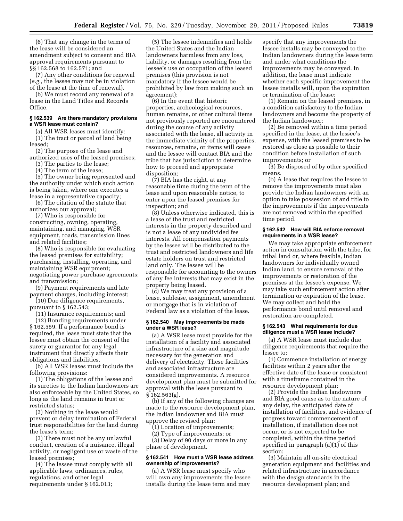(6) That any change in the terms of the lease will be considered an amendment subject to consent and BIA approval requirements pursuant to §§ 162.568 to 162.571; and

(7) Any other conditions for renewal (*e.g.,* the lessee may not be in violation of the lease at the time of renewal).

(b) We must record any renewal of a lease in the Land Titles and Records Office.

#### **§ 162.539 Are there mandatory provisions a WSR lease must contain?**

(a) All WSR leases must identify: (1) The tract or parcel of land being

leased; (2) The purpose of the lease and

authorized uses of the leased premises; (3) The parties to the lease;

(4) The term of the lease;

(5) The owner being represented and the authority under which such action is being taken, where one executes a lease in a representative capacity;

(6) The citation of the statute that authorizes our approval;

(7) Who is responsible for

constructing, owning, operating, maintaining, and managing, WSR equipment, roads, transmission lines and related facilities;

(8) Who is responsible for evaluating the leased premises for suitability; purchasing, installing, operating, and maintaining WSR equipment; negotiating power purchase agreements; and transmission;

(9) Payment requirements and late payment charges, including interest;

(10) Due diligence requirements, pursuant to § 162.543;

(11) Insurance requirements; and

(12) Bonding requirements under § 162.559. If a performance bond is required, the lease must state that the lessee must obtain the consent of the surety or guarantor for any legal instrument that directly affects their obligations and liabilities.

(b) All WSR leases must include the following provisions:

(1) The obligations of the lessee and its sureties to the Indian landowners are also enforceable by the United States, so long as the land remains in trust or restricted status;

(2) Nothing in the lease would prevent or delay termination of Federal trust responsibilities for the land during the lease's term;

(3) There must not be any unlawful conduct, creation of a nuisance, illegal activity, or negligent use or waste of the leased premises;

(4) The lessee must comply with all applicable laws, ordinances, rules, regulations, and other legal requirements under § 162.013;

(5) The lessee indemnifies and holds the United States and the Indian landowners harmless from any loss, liability, or damages resulting from the lessee's use or occupation of the leased premises (this provision is not mandatory if the lessee would be prohibited by law from making such an agreement);

(6) In the event that historic properties, archeological resources, human remains, or other cultural items not previously reported are encountered during the course of any activity associated with the lease, all activity in the immediate vicinity of the properties, resources, remains, or items will cease and the lessee will contact BIA and the tribe that has jurisdiction to determine how to proceed and appropriate disposition;

(7) BIA has the right, at any reasonable time during the term of the lease and upon reasonable notice, to enter upon the leased premises for inspection; and

(8) Unless otherwise indicated, this is a lease of the trust and restricted interests in the property described and is not a lease of any undivided fee interests. All compensation payments by the lessee will be distributed to the trust and restricted landowners and life estate holders on trust and restricted land only. The lessee will be responsible for accounting to the owners of any fee interests that may exist in the property being leased.

(c) We may treat any provision of a lease, sublease, assignment, amendment or mortgage that is in violation of Federal law as a violation of the lease.

#### **§ 162.540 May improvements be made under a WSR lease?**

(a) A WSR lease must provide for the installation of a facility and associated infrastructure of a size and magnitude necessary for the generation and delivery of electricity. These facilities and associated infrastructure are considered improvements. A resource development plan must be submitted for approval with the lease pursuant to § 162.563(g).

(b) If any of the following changes are made to the resource development plan, the Indian landowner and BIA must approve the revised plan:

(1) Location of improvements;

(2) Type of improvements; or

(3) Delay of 90 days or more in any phase of development.

#### **§ 162.541 How must a WSR lease address ownership of improvements?**

(a) A WSR lease must specify who will own any improvements the lessee installs during the lease term and may

specify that any improvements the lessee installs may be conveyed to the Indian landowners during the lease term and under what conditions the improvements may be conveyed. In addition, the lease must indicate whether each specific improvement the lessee installs will, upon the expiration or termination of the lease:

(1) Remain on the leased premises, in a condition satisfactory to the Indian landowners and become the property of the Indian landowner;

(2) Be removed within a time period specified in the lease, at the lessee's expense, with the leased premises to be restored as close as possible to their condition before installation of such improvements; or

(3) Be disposed of by other specified means.

(b) A lease that requires the lessee to remove the improvements must also provide the Indian landowners with an option to take possession of and title to the improvements if the improvements are not removed within the specified time period.

#### **§ 162.542 How will BIA enforce removal requirements in a WSR lease?**

We may take appropriate enforcement action in consultation with the tribe, for tribal land or, where feasible, Indian landowners for individually owned Indian land, to ensure removal of the improvements or restoration of the premises at the lessee's expense. We may take such enforcement action after termination or expiration of the lease. We may collect and hold the performance bond until removal and restoration are completed.

#### **§ 162.543 What requirements for due diligence must a WSR lease include?**

(a) A WSR lease must include due diligence requirements that require the lessee to:

(1) Commence installation of energy facilities within 2 years after the effective date of the lease or consistent with a timeframe contained in the resource development plan;

(2) Provide the Indian landowners and BIA good cause as to the nature of any delay, the anticipated date of installation of facilities, and evidence of progress toward commencement of installation, if installation does not occur, or is not expected to be completed, within the time period specified in paragraph (a)(1) of this section;

(3) Maintain all on-site electrical generation equipment and facilities and related infrastructure in accordance with the design standards in the resource development plan; and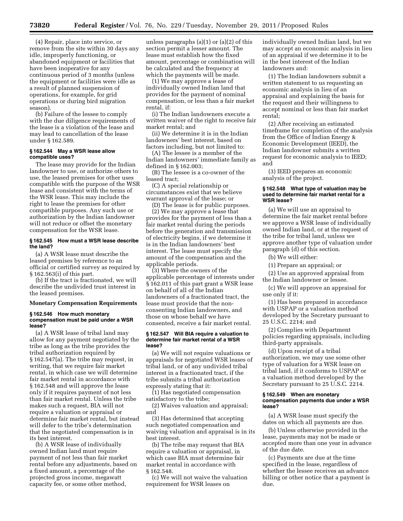(4) Repair, place into service, or remove from the site within 30 days any idle, improperly functioning, or abandoned equipment or facilities that have been inoperative for any continuous period of 3 months (unless the equipment or facilities were idle as a result of planned suspension of operations, for example, for grid operations or during bird migration season).

(b) Failure of the lessee to comply with the due diligence requirements of the lease is a violation of the lease and may lead to cancellation of the lease under § 162.589.

#### **§ 162.544 May a WSR lease allow compatible uses?**

The lease may provide for the Indian landowner to use, or authorize others to use, the leased premises for other uses compatible with the purpose of the WSR lease and consistent with the terms of the WSR lease. This may include the right to lease the premises for other compatible purposes. Any such use or authorization by the Indian landowner will not reduce or offset the monetary compensation for the WSR lease.

#### **§ 162.545 How must a WSR lease describe the land?**

(a) A WSR lease must describe the leased premises by reference to an official or certified survey as required by § 162.563(i) of this part.

(b) If the tract is fractionated, we will describe the undivided trust interest in the leased premises.

#### **Monetary Compensation Requirements**

#### **§ 162.546 How much monetary compensation must be paid under a WSR lease?**

(a) A WSR lease of tribal land may allow for any payment negotiated by the tribe as long as the tribe provides the tribal authorization required by § 162.547(a). The tribe may request, in writing, that we require fair market rental, in which case we will determine fair market rental in accordance with § 162.548 and will approve the lease only if it requires payment of not less than fair market rental. Unless the tribe makes such a request, BIA will not require a valuation or appraisal or determine fair market rental, but instead will defer to the tribe's determination that the negotiated compensation is in its best interest.

(b) A WSR lease of individually owned Indian land must require payment of not less than fair market rental before any adjustments, based on a fixed amount, a percentage of the projected gross income, megawatt capacity fee, or some other method,

unless paragraphs  $(a)(1)$  or  $(a)(2)$  of this section permit a lesser amount. The lease must establish how the fixed amount, percentage or combination will be calculated and the frequency at which the payments will be made.

(1) We may approve a lease of individually owned Indian land that provides for the payment of nominal compensation, or less than a fair market rental, if:

(i) The Indian landowners execute a written waiver of the right to receive fair market rental; and

(ii) We determine it is in the Indian landowners' best interest, based on factors including, but not limited to:

(A) The lessee is a member of the Indian landowners' immediate family as defined in § 162.003;

(B) The lessee is a co-owner of the leased tract;

(C) A special relationship or circumstances exist that we believe warrant approval of the lease; or

(D) The lease is for public purposes.

(2) We may approve a lease that provides for the payment of less than a fair market rental during the periods before the generation and transmission of electricity begins, if we determine it is in the Indian landowners' best interest. The lease must specify the amount of the compensation and the applicable periods.

(3) Where the owners of the applicable percentage of interests under § 162.011 of this part grant a WSR lease on behalf of all of the Indian landowners of a fractionated tract, the lease must provide that the nonconsenting Indian landowners, and those on whose behalf we have consented, receive a fair market rental.

#### **§ 162.547 Will BIA require a valuation to determine fair market rental of a WSR lease?**

(a) We will not require valuations or appraisals for negotiated WSR leases of tribal land, or of any undivided tribal interest in a fractionated tract, if the tribe submits a tribal authorization expressly stating that it:

(1) Has negotiated compensation satisfactory to the tribe;

(2) Waives valuation and appraisal; and

(3) Has determined that accepting such negotiated compensation and waiving valuation and appraisal is in its best interest.

(b) The tribe may request that BIA require a valuation or appraisal, in which case BIA must determine fair market rental in accordance with § 162.548.

(c) We will not waive the valuation requirement for WSR leases on

individually owned Indian land, but we may accept an economic analysis in lieu of an appraisal if we determine it to be in the best interest of the Indian landowners and:

(1) The Indian landowners submit a written statement to us requesting an economic analysis in lieu of an appraisal and explaining the basis for the request and their willingness to accept nominal or less than fair market rental;

(2) After receiving an estimated timeframe for completion of the analysis from the Office of Indian Energy & Economic Development (IEED), the Indian landowner submits a written request for economic analysis to IEED; and

(3) IEED prepares an economic analysis of the project.

#### **§ 162.548 What type of valuation may be used to determine fair market rental for a WSR lease?**

(a) We will use an appraisal to determine the fair market rental before we approve a WSR lease of individually owned Indian land, or at the request of the tribe for tribal land, unless we approve another type of valuation under paragraph (d) of this section.

(b) We will either:

(1) Prepare an appraisal; or

(2) Use an approved appraisal from the Indian landowner or lessee.

(c) We will approve an appraisal for use only if it:

(1) Has been prepared in accordance with USPAP or a valuation method developed by the Secretary pursuant to 25 U.S.C. 2214; and

(2) Complies with Department policies regarding appraisals, including third-party appraisals.

(d) Upon receipt of a tribal authorization, we may use some other type of valuation for a WSR lease on tribal land, if it conforms to USPAP or a valuation method developed by the Secretary pursuant to 25 U.S.C. 2214.

#### **§ 162.549 When are monetary compensation payments due under a WSR lease?**

(a) A WSR lease must specify the dates on which all payments are due.

(b) Unless otherwise provided in the lease, payments may not be made or accepted more than one year in advance of the due date.

(c) Payments are due at the time specified in the lease, regardless of whether the lessee receives an advance billing or other notice that a payment is due.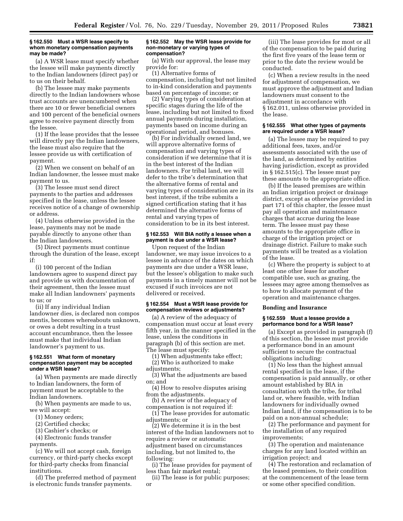#### **§ 162.550 Must a WSR lease specify to whom monetary compensation payments may be made?**

(a) A WSR lease must specify whether the lessee will make payments directly to the Indian landowners (direct pay) or to us on their behalf.

(b) The lessee may make payments directly to the Indian landowners whose trust accounts are unencumbered when there are 10 or fewer beneficial owners and 100 percent of the beneficial owners agree to receive payment directly from the lessee.

(1) If the lease provides that the lessee will directly pay the Indian landowners, the lease must also require that the lessee provide us with certification of payment.

(2) When we consent on behalf of an Indian landowner, the lessee must make payment to us.

(3) The lessee must send direct payments to the parties and addresses specified in the lease, unless the lessee receives notice of a change of ownership or address.

(4) Unless otherwise provided in the lease, payments may not be made payable directly to anyone other than the Indian landowners.

(5) Direct payments must continue through the duration of the lease, except if:

(i) 100 percent of the Indian landowners agree to suspend direct pay and provide us with documentation of their agreement, then the lessee must make all Indian landowners' payments to us; or

(ii) If any individual Indian landowner dies, is declared non compos mentis, becomes whereabouts unknown, or owes a debt resulting in a trust account encumbrance, then the lessee must make that individual Indian landowner's payment to us.

#### **§ 162.551 What form of monetary compensation payment may be accepted under a WSR lease?**

(a) When payments are made directly to Indian landowners, the form of payment must be acceptable to the

Indian landowners.

(b) When payments are made to us, we will accept:

(1) Money orders;

(2) Certified checks;

(3) Cashier's checks; or

(4) Electronic funds transfer

payments.

(c) We will not accept cash, foreign currency, or third-party checks except for third-party checks from financial institutions.

(d) The preferred method of payment is electronic funds transfer payments.

#### **§ 162.552 May the WSR lease provide for non-monetary or varying types of compensation?**

(a) With our approval, the lease may provide for:

(1) Alternative forms of compensation, including but not limited to in-kind consideration and payments based on percentage of income; or

(2) Varying types of consideration at specific stages during the life of the lease, including but not limited to fixed annual payments during installation, payments based on income during an operational period, and bonuses.

(b) For individually owned land, we will approve alternative forms of compensation and varying types of consideration if we determine that it is in the best interest of the Indian landowners. For tribal land, we will defer to the tribe's determination that the alternative forms of rental and varying types of consideration are in its best interest, if the tribe submits a signed certification stating that it has determined the alternative forms of rental and varying types of consideration to be in its best interest.

#### **§ 162.553 Will BIA notify a lessee when a payment is due under a WSR lease?**

Upon request of the Indian landowner, we may issue invoices to a lessee in advance of the dates on which payments are due under a WSR lease, but the lessee's obligation to make such payments in a timely manner will not be excused if such invoices are not delivered or received.

#### **§ 162.554 Must a WSR lease provide for compensation reviews or adjustments?**

(a) A review of the adequacy of compensation must occur at least every fifth year, in the manner specified in the lease, unless the conditions in paragraph (b) of this section are met. The lease must specify:

(1) When adjustments take effect; (2) Who is authorized to make

adjustments;

(3) What the adjustments are based on; and

(4) How to resolve disputes arising from the adjustments.

(b) A review of the adequacy of compensation is not required if:

(1) The lease provides for automatic adjustments; or

(2) We determine it is in the best interest of the Indian landowners not to require a review or automatic adjustment based on circumstances including, but not limited to, the following:

(i) The lease provides for payment of less than fair market rental;

(ii) The lease is for public purposes; or

(iii) The lease provides for most or all of the compensation to be paid during the first five years of the lease term or prior to the date the review would be conducted.

(c) When a review results in the need for adjustment of compensation, we must approve the adjustment and Indian landowners must consent to the adjustment in accordance with § 162.011, unless otherwise provided in the lease.

#### **§ 162.555 What other types of payments are required under a WSR lease?**

(a) The lessee may be required to pay additional fees, taxes, and/or assessments associated with the use of the land, as determined by entities having jurisdiction, except as provided in § 162.515(c). The lessee must pay these amounts to the appropriate office.

(b) If the leased premises are within an Indian irrigation project or drainage district, except as otherwise provided in part 171 of this chapter, the lessee must pay all operation and maintenance charges that accrue during the lease term. The lessee must pay these amounts to the appropriate office in charge of the irrigation project or drainage district. Failure to make such payments will be treated as a violation of the lease.

(c) Where the property is subject to at least one other lease for another compatible use, such as grazing, the lessees may agree among themselves as to how to allocate payment of the operation and maintenance charges.

#### **Bonding and Insurance**

#### **§ 162.559 Must a lessee provide a performance bond for a WSR lease?**

(a) Except as provided in paragraph (f) of this section, the lessee must provide a performance bond in an amount sufficient to secure the contractual obligations including:

(1) No less than the highest annual rental specified in the lease, if the compensation is paid annually, or other amount established by BIA in consultation with the tribe, for tribal land or, where feasible, with Indian landowners for individually owned Indian land, if the compensation is to be paid on a non-annual schedule;

(2) The performance and payment for the installation of any required improvements;

(3) The operation and maintenance charges for any land located within an irrigation project; and

(4) The restoration and reclamation of the leased premises, to their condition at the commencement of the lease term or some other specified condition.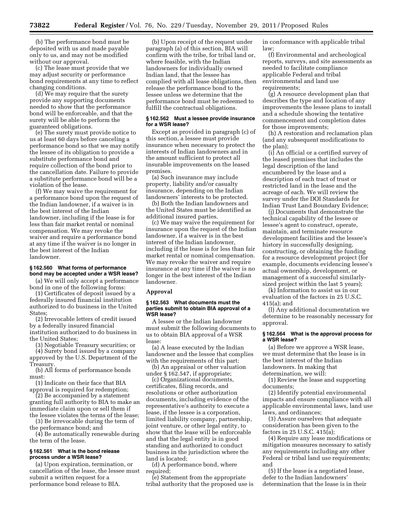(b) The performance bond must be deposited with us and made payable only to us, and may not be modified without our approval.

(c) The lease must provide that we may adjust security or performance bond requirements at any time to reflect changing conditions.

(d) We may require that the surety provide any supporting documents needed to show that the performance bond will be enforceable, and that the surety will be able to perform the guaranteed obligations.

(e) The surety must provide notice to us at least 60 days before canceling a performance bond so that we may notify the lessee of its obligation to provide a substitute performance bond and require collection of the bond prior to the cancellation date. Failure to provide a substitute performance bond will be a violation of the lease.

(f) We may waive the requirement for a performance bond upon the request of the Indian landowner, if a waiver is in the best interest of the Indian landowner, including if the lease is for less than fair market rental or nominal compensation. We may revoke the waiver and require a performance bond at any time if the waiver is no longer in the best interest of the Indian landowner.

#### **§ 162.560 What forms of performance bond may be accepted under a WSR lease?**

(a) We will only accept a performance bond in one of the following forms:

(1) Certificates of deposit issued by a federally insured financial institution authorized to do business in the United States;

(2) Irrevocable letters of credit issued by a federally insured financial institution authorized to do business in the United States;

(3) Negotiable Treasury securities; or

(4) Surety bond issued by a company approved by the U.S. Department of the Treasury.

(b) All forms of performance bonds must:

(1) Indicate on their face that BIA approval is required for redemption;

(2) Be accompanied by a statement granting full authority to BIA to make an immediate claim upon or sell them if the lessee violates the terms of the lease;

(3) Be irrevocable during the term of the performance bond; and

(4) Be automatically renewable during the term of the lease.

#### **§ 162.561 What is the bond release process under a WSR lease?**

(a) Upon expiration, termination, or cancellation of the lease, the lessee must submit a written request for a performance bond release to BIA.

(b) Upon receipt of the request under paragraph (a) of this section, BIA will confirm with the tribe, for tribal land or, where feasible, with the Indian landowners for individually owned Indian land, that the lessee has complied with all lease obligations, then release the performance bond to the lessee unless we determine that the performance bond must be redeemed to fulfill the contractual obligations.

#### **§ 162.562 Must a lessee provide insurance for a WSR lease?**

Except as provided in paragraph (c) of this section, a lessee must provide insurance when necessary to protect the interests of Indian landowners and in the amount sufficient to protect all insurable improvements on the leased premises.

(a) Such insurance may include property, liability and/or casualty insurance, depending on the Indian landowners' interests to be protected.

(b) Both the Indian landowners and the United States must be identified as additional insured parties.

(c) We may waive the requirement for insurance upon the request of the Indian landowner, if a waiver is in the best interest of the Indian landowner, including if the lease is for less than fair market rental or nominal compensation. We may revoke the waiver and require insurance at any time if the waiver is no longer in the best interest of the Indian landowner.

#### **Approval**

#### **§ 162.563 What documents must the parties submit to obtain BIA approval of a WSR lease?**

A lessee or the Indian landowner must submit the following documents to us to obtain BIA approval of a WSR lease:

(a) A lease executed by the Indian landowner and the lessee that complies with the requirements of this part;

(b) An appraisal or other valuation under § 162.547, if appropriate;

(c) Organizational documents, certificates, filing records, and resolutions or other authorization documents, including evidence of the representative's authority to execute a lease, if the lessee is a corporation, limited liability company, partnership, joint venture, or other legal entity, to show that the lease will be enforceable and that the legal entity is in good standing and authorized to conduct business in the jurisdiction where the land is located;

(d) A performance bond, where required;

(e) Statement from the appropriate tribal authority that the proposed use is in conformance with applicable tribal law;

(f) Environmental and archeological reports, surveys, and site assessments as needed to facilitate compliance applicable Federal and tribal environmental and land use requirements:

(g) A resource development plan that describes the type and location of any improvements the lessee plans to install and a schedule showing the tentative commencement and completion dates for those improvements;

(h) A restoration and reclamation plan (and any subsequent modifications to the plan);

(i) An official or a certified survey of the leased premises that includes the legal description of the land encumbered by the lease and a description of each tract of trust or restricted land in the lease and the acreage of each. We will review the survey under the DOI Standards for Indian Trust Land Boundary Evidence;

(j) Documents that demonstrate the technical capability of the lessee or lessee's agent to construct, operate, maintain, and terminate resource development facilities and the lessee's history in successfully designing, constructing, or obtaining the funding for a resource development project (for example, documents evidencing lessee's actual ownership, development, or management of a successful similarlysized project within the last 5 years);

(k) Information to assist us in our evaluation of the factors in 25 U.S.C. 415(a); and

(l) Any additional documentation we determine to be reasonably necessary for approval.

#### **§ 162.564 What is the approval process for a WSR lease?**

(a) Before we approve a WSR lease, we must determine that the lease is in the best interest of the Indian landowners. In making that determination, we will:

(1) Review the lease and supporting documents;

(2) Identify potential environmental impacts and ensure compliance with all applicable environmental laws, land use laws, and ordinances;

(3) Assure ourselves that adequate consideration has been given to the factors in 25 U.S.C. 415(a);

(4) Require any lease modifications or mitigation measures necessary to satisfy any requirements including any other Federal or tribal land use requirements; and

(5) If the lease is a negotiated lease, defer to the Indian landowners' determination that the lease is in their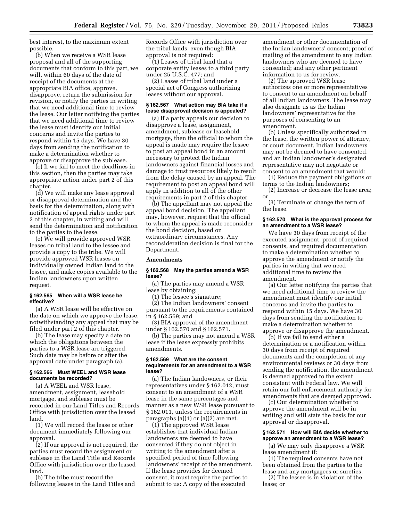best interest, to the maximum extent possible.

(b) When we receive a WSR lease proposal and all of the supporting documents that conform to this part, we will, within 60 days of the date of receipt of the documents at the appropriate BIA office, approve, disapprove, return the submission for revision, or notify the parties in writing that we need additional time to review the lease. Our letter notifying the parties that we need additional time to review the lease must identify our initial concerns and invite the parties to respond within 15 days. We have 30 days from sending the notification to make a determination whether to approve or disapprove the sublease.

(c) If we fail to meet the deadlines in this section, then the parties may take appropriate action under part 2 of this chapter.

(d) We will make any lease approval or disapproval determination and the basis for the determination, along with notification of appeal rights under part 2 of this chapter, in writing and will send the determination and notification to the parties to the lease.

(e) We will provide approved WSR leases on tribal land to the lessee and provide a copy to the tribe. We will provide approved WSR leases on individually owned Indian land to the lessee, and make copies available to the Indian landowners upon written request.

#### **§ 162.565 When will a WSR lease be effective?**

(a) A WSR lease will be effective on the date on which we approve the lease, notwithstanding any appeal that may be filed under part 2 of this chapter.

(b) The lease may specify a date on which the obligations between the parties to a WSR lease are triggered. Such date may be before or after the approval date under paragraph (a).

#### **§ 162.566 Must WEEL and WSR lease documents be recorded?**

(a) A WEEL and WSR lease, amendment, assignment, leasehold mortgage, and sublease must be recorded in our Land Titles and Records Office with jurisdiction over the leased land.

(1) We will record the lease or other document immediately following our approval.

(2) If our approval is not required, the parties must record the assignment or sublease in the Land Title and Records Office with jurisdiction over the leased land.

(b) The tribe must record the following leases in the Land Titles and Records Office with jurisdiction over the tribal lands, even though BIA approval is not required:

(1) Leases of tribal land that a corporate entity leases to a third party under 25 U.S.C. 477; and

(2) Leases of tribal land under a special act of Congress authorizing leases without our approval.

#### **§ 162.567 What action may BIA take if a lease disapproval decision is appealed?**

(a) If a party appeals our decision to disapprove a lease, assignment, amendment, sublease or leasehold mortgage, then the official to whom the appeal is made may require the lessee to post an appeal bond in an amount necessary to protect the Indian landowners against financial losses and damage to trust resources likely to result from the delay caused by an appeal. The requirement to post an appeal bond will apply in addition to all of the other requirements in part 2 of this chapter.

(b) The appellant may not appeal the appeal bond decision. The appellant may, however, request that the official to whom the appeal is made reconsider the bond decision, based on extraordinary circumstances. Any reconsideration decision is final for the Department.

#### **Amendments**

#### **§ 162.568 May the parties amend a WSR lease?**

(a) The parties may amend a WSR lease by obtaining:

(1) The lessee's signature;

(2) The Indian landowners' consent pursuant to the requirements contained in § 162.569; and

(3) BIA approval of the amendment under § 162.570 and § 162.571.

(b) The parties may not amend a WSR lease if the lease expressly prohibits amendments.

#### **§ 162.569 What are the consent requirements for an amendment to a WSR lease?**

(a) The Indian landowners, or their representatives under § 162.012, must consent to an amendment of a WSR lease in the same percentages and manner as a new WSR lease pursuant to § 162.011, unless the requirements in paragraphs  $(a)(1)$  or  $(a)(2)$  are met.

(1) The approved WSR lease establishes that individual Indian landowners are deemed to have consented if they do not object in writing to the amendment after a specified period of time following landowners' receipt of the amendment. If the lease provides for deemed consent, it must require the parties to submit to us: A copy of the executed

amendment or other documentation of the Indian landowners' consent; proof of mailing of the amendment to any Indian landowners who are deemed to have consented; and any other pertinent information to us for review.

(2) The approved WSR lease authorizes one or more representatives to consent to an amendment on behalf of all Indian landowners. The lease may also designate us as the Indian landowners' representative for the purposes of consenting to an amendment.

(b) Unless specifically authorized in the lease, the written power of attorney, or court document, Indian landowners may not be deemed to have consented, and an Indian landowner's designated representative may not negotiate or consent to an amendment that would:

(1) Reduce the payment obligations or terms to the Indian landowners;

(2) Increase or decrease the lease area; or

(3) Terminate or change the term of the lease.

#### **§ 162.570 What is the approval process for an amendment to a WSR lease?**

We have 30 days from receipt of the executed assignment, proof of required consents, and required documentation to make a determination whether to approve the amendment or notify the parties in writing that we need additional time to review the amendment.

(a) Our letter notifying the parties that we need additional time to review the amendment must identify our initial concerns and invite the parties to respond within 15 days. We have 30 days from sending the notification to make a determination whether to approve or disapprove the amendment.

(b) If we fail to send either a determination or a notification within 30 days from receipt of required documents and the completion of any environmental reviews or 30 days from sending the notification, the amendment is deemed approved to the extent consistent with Federal law. We will retain our full enforcement authority for amendments that are deemed approved.

(c) Our determination whether to approve the amendment will be in writing and will state the basis for our approval or disapproval.

#### **§ 162.571 How will BIA decide whether to approve an amendment to a WSR lease?**

(a) We may only disapprove a WSR lease amendment if:

(1) The required consents have not been obtained from the parties to the lease and any mortgagees or sureties;

(2) The lessee is in violation of the lease; or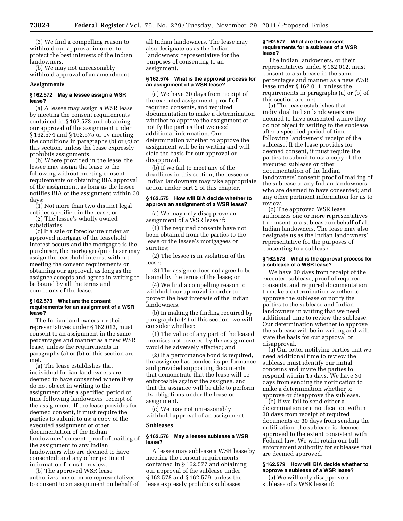(3) We find a compelling reason to withhold our approval in order to protect the best interests of the Indian landowners.

(b) We may not unreasonably withhold approval of an amendment.

#### **Assignments**

#### **§ 162.572 May a lessee assign a WSR lease?**

(a) A lessee may assign a WSR lease by meeting the consent requirements contained in § 162.573 and obtaining our approval of the assignment under § 162.574 and § 162.575 or by meeting the conditions in paragraphs (b) or (c) of this section, unless the lease expressly prohibits assignments.

(b) Where provided in the lease, the lessee may assign the lease to the following without meeting consent requirements or obtaining BIA approval of the assignment, as long as the lessee notifies BIA of the assignment within 30 days:

(1) Not more than two distinct legal entities specified in the lease; or (2) The lessee's wholly owned

subsidiaries.

(c) If a sale or foreclosure under an approved mortgage of the leasehold interest occurs and the mortgagee is the purchaser, the mortgagee/purchaser may assign the leasehold interest without meeting the consent requirements or obtaining our approval, as long as the assignee accepts and agrees in writing to be bound by all the terms and conditions of the lease.

#### **§ 162.573 What are the consent requirements for an assignment of a WSR lease?**

The Indian landowners, or their representatives under § 162.012, must consent to an assignment in the same percentages and manner as a new WSR lease, unless the requirements in paragraphs (a) or (b) of this section are met.

(a) The lease establishes that individual Indian landowners are deemed to have consented where they do not object in writing to the assignment after a specified period of time following landowners' receipt of the assignment. If the lease provides for deemed consent, it must require the parties to submit to us: a copy of the executed assignment or other documentation of the Indian landowners' consent; proof of mailing of the assignment to any Indian landowners who are deemed to have consented; and any other pertinent information for us to review.

(b) The approved WSR lease authorizes one or more representatives to consent to an assignment on behalf of all Indian landowners. The lease may also designate us as the Indian landowners' representative for the purposes of consenting to an assignment.

#### **§ 162.574 What is the approval process for an assignment of a WSR lease?**

(a) We have 30 days from receipt of the executed assignment, proof of required consents, and required documentation to make a determination whether to approve the assignment or notify the parties that we need additional information. Our determination whether to approve the assignment will be in writing and will state the basis for our approval or disapproval.

(b) If we fail to meet any of the deadlines in this section, the lessee or Indian landowners may take appropriate action under part 2 of this chapter.

#### **§ 162.575 How will BIA decide whether to approve an assignment of a WSR lease?**

(a) We may only disapprove an assignment of a WSR lease if:

(1) The required consents have not been obtained from the parties to the lease or the lessee's mortgagees or sureties;

(2) The lessee is in violation of the lease;

(3) The assignee does not agree to be bound by the terms of the lease; or

(4) We find a compelling reason to withhold our approval in order to protect the best interests of the Indian landowners.

(b) In making the finding required by paragraph (a)(4) of this section, we will consider whether:

(1) The value of any part of the leased premises not covered by the assignment would be adversely affected; and

(2) If a performance bond is required, the assignee has bonded its performance and provided supporting documents that demonstrate that the lease will be enforceable against the assignee, and that the assignee will be able to perform its obligations under the lease or assignment.

(c) We may not unreasonably withhold approval of an assignment.

#### **Subleases**

#### **§ 162.576 May a lessee sublease a WSR lease?**

A lessee may sublease a WSR lease by meeting the consent requirements contained in § 162.577 and obtaining our approval of the sublease under § 162.578 and § 162.579, unless the lease expressly prohibits subleases.

#### **§ 162.577 What are the consent requirements for a sublease of a WSR lease?**

The Indian landowners, or their representatives under § 162.012, must consent to a sublease in the same percentages and manner as a new WSR lease under § 162.011, unless the requirements in paragraphs (a) or (b) of this section are met.

(a) The lease establishes that individual Indian landowners are deemed to have consented where they do not object in writing to the sublease after a specified period of time following landowners' receipt of the sublease. If the lease provides for deemed consent, it must require the parties to submit to us: a copy of the executed sublease or other documentation of the Indian landowners' consent; proof of mailing of the sublease to any Indian landowners who are deemed to have consented; and any other pertinent information for us to review.

(b) The approved WSR lease authorizes one or more representatives to consent to a sublease on behalf of all Indian landowners. The lease may also designate us as the Indian landowners' representative for the purposes of consenting to a sublease.

#### **§ 162.578 What is the approval process for a sublease of a WSR lease?**

We have 30 days from receipt of the executed sublease, proof of required consents, and required documentation to make a determination whether to approve the sublease or notify the parties to the sublease and Indian landowners in writing that we need additional time to review the sublease. Our determination whether to approve the sublease will be in writing and will state the basis for our approval or disapproval.

(a) Our letter notifying parties that we need additional time to review the sublease must identify our initial concerns and invite the parties to respond within 15 days. We have 30 days from sending the notification to make a determination whether to approve or disapprove the sublease.

(b) If we fail to send either a determination or a notification within 30 days from receipt of required documents or 30 days from sending the notification, the sublease is deemed approved to the extent consistent with Federal law. We will retain our full enforcement authority for subleases that are deemed approved.

#### **§ 162.579 How will BIA decide whether to approve a sublease of a WSR lease?**

(a) We will only disapprove a sublease of a WSR lease if: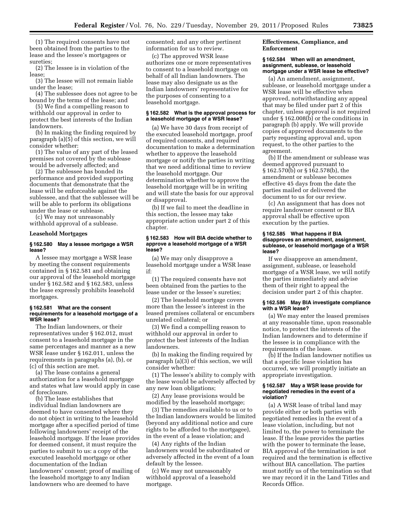(1) The required consents have not been obtained from the parties to the lease and the lessee's mortgagees or sureties;

(2) The lessee is in violation of the lease;

(3) The lessee will not remain liable under the lease;

(4) The sublessee does not agree to be bound by the terms of the lease; and

(5) We find a compelling reason to withhold our approval in order to protect the best interests of the Indian landowners.

(b) In making the finding required by paragraph (a)(5) of this section, we will consider whether:

(1) The value of any part of the leased premises not covered by the sublease would be adversely affected; and

(2) The sublessee has bonded its performance and provided supporting documents that demonstrate that the lease will be enforceable against the sublessee, and that the sublessee will be will be able to perform its obligations under the lease or sublease.

(c) We may not unreasonably withhold approval of a sublease.

#### **Leasehold Mortgages**

#### **§ 162.580 May a lessee mortgage a WSR lease?**

A lessee may mortgage a WSR lease by meeting the consent requirements contained in § 162.581 and obtaining our approval of the leasehold mortgage under § 162.582 and § 162.583, unless the lease expressly prohibits leasehold mortgages.

#### **§ 162.581 What are the consent requirements for a leasehold mortgage of a WSR lease?**

The Indian landowners, or their representatives under § 162.012, must consent to a leasehold mortgage in the same percentages and manner as a new WSR lease under § 162.011, unless the requirements in paragraphs (a), (b), or (c) of this section are met.

(a) The lease contains a general authorization for a leasehold mortgage and states what law would apply in case of foreclosure.

(b) The lease establishes that individual Indian landowners are deemed to have consented where they do not object in writing to the leasehold mortgage after a specified period of time following landowners' receipt of the leasehold mortgage. If the lease provides for deemed consent, it must require the parties to submit to us: a copy of the executed leasehold mortgage or other documentation of the Indian landowners' consent; proof of mailing of the leasehold mortgage to any Indian landowners who are deemed to have

consented; and any other pertinent information for us to review.

(c) The approved WSR lease authorizes one or more representatives to consent to a leasehold mortgage on behalf of all Indian landowners. The lease may also designate us as the Indian landowners' representative for the purposes of consenting to a leasehold mortgage.

#### **§ 162.582 What is the approval process for a leasehold mortgage of a WSR lease?**

(a) We have 30 days from receipt of the executed leasehold mortgage, proof of required consents, and required documentation to make a determination whether to approve the leasehold mortgage or notify the parties in writing that we need additional time to review the leasehold mortgage. Our determination whether to approve the leasehold mortgage will be in writing and will state the basis for our approval or disapproval.

(b) If we fail to meet the deadline in this section, the lessee may take appropriate action under part 2 of this chapter.

#### **§ 162.583 How will BIA decide whether to approve a leasehold mortgage of a WSR lease?**

(a) We may only disapprove a leasehold mortgage under a WSR lease if:

(1) The required consents have not been obtained from the parties to the lease under or the lessee's sureties;

(2) The leasehold mortgage covers more than the lessee's interest in the leased premises collateral or encumbers unrelated collateral; or

(3) We find a compelling reason to withhold our approval in order to protect the best interests of the Indian landowners.

(b) In making the finding required by paragraph (a)(3) of this section, we will consider whether:

(1) The lessee's ability to comply with the lease would be adversely affected by any new loan obligations;

(2) Any lease provisions would be modified by the leasehold mortgage;

(3) The remedies available to us or to the Indian landowners would be limited (beyond any additional notice and cure rights to be afforded to the mortgagee), in the event of a lease violation; and

(4) Any rights of the Indian landowners would be subordinated or adversely affected in the event of a loan default by the lessee.

(c) We may not unreasonably withhold approval of a leasehold mortgage.

#### **Effectiveness, Compliance, and Enforcement**

#### **§ 162.584 When will an amendment, assignment, sublease, or leasehold mortgage under a WSR lease be effective?**

(a) An amendment, assignment, sublease, or leasehold mortgage under a WSR lease will be effective when approved, notwithstanding any appeal that may be filed under part 2 of this chapter, unless approval is not required under § 162.008(b) or the conditions in paragraph (b) apply. We will provide copies of approved documents to the party requesting approval and, upon request, to the other parties to the agreement.

(b) If the amendment or sublease was deemed approved pursuant to § 162.570(b) or § 162.578(b), the amendment or sublease becomes effective 45 days from the date the parties mailed or delivered the document to us for our review.

(c) An assignment that has does not require landowner consent or BIA approval shall be effective upon execution by the parties.

#### **§ 162.585 What happens if BIA disapproves an amendment, assignment, sublease, or leasehold mortgage of a WSR lease?**

If we disapprove an amendment, assignment, sublease, or leasehold mortgage of a WSR lease, we will notify the parties immediately and advise them of their right to appeal the decision under part 2 of this chapter.

#### **§ 162.586 May BIA investigate compliance with a WSR lease?**

(a) We may enter the leased premises at any reasonable time, upon reasonable notice, to protect the interests of the Indian landowners and to determine if the lessee is in compliance with the requirements of the lease.

(b) If the Indian landowner notifies us that a specific lease violation has occurred, we will promptly initiate an appropriate investigation.

#### **§ 162.587 May a WSR lease provide for negotiated remedies in the event of a violation?**

(a) A WSR lease of tribal land may provide either or both parties with negotiated remedies in the event of a lease violation, including, but not limited to, the power to terminate the lease. If the lease provides the parties with the power to terminate the lease, BIA approval of the termination is not required and the termination is effective without BIA cancellation. The parties must notify us of the termination so that we may record it in the Land Titles and Records Office.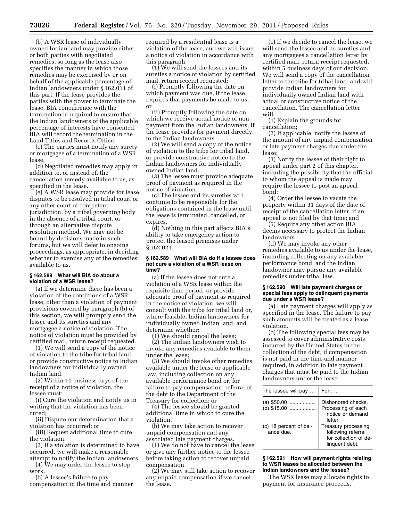(b) A WSR lease of individually owned Indian land may provide either or both parties with negotiated remedies, so long as the lease also specifies the manner in which those remedies may be exercised by or on behalf of the applicable percentage of Indian landowners under § 162.011 of this part. If the lease provides the parties with the power to terminate the lease, BIA concurrence with the termination is required to ensure that the Indian landowners of the applicable percentage of interests have consented. BIA will record the termination in the Land Titles and Records Office.

(c) The parties must notify any surety or mortgagee of a termination of a WSR lease.

(d) Negotiated remedies may apply in addition to, or instead of, the cancellation remedy available to us, as specified in the lease.

(e) A WSR lease may provide for lease disputes to be resolved in tribal court or any other court of competent jurisdiction, by a tribal governing body in the absence of a tribal court, or through an alternative dispute resolution method. We may not be bound by decisions made in such forums, but we will defer to ongoing proceedings, as appropriate, in deciding whether to exercise any of the remedies available to us.

#### **§ 162.588 What will BIA do about a violation of a WSR lease?**

(a) If we determine there has been a violation of the conditions of a WSR lease, other than a violation of payment provisions covered by paragraph (b) of this section, we will promptly send the lessee and its sureties and any mortgagee a notice of violation. The notice of violation must be provided by certified mail, return receipt requested.

(1) We will send a copy of the notice of violation to the tribe for tribal land, or provide constructive notice to Indian landowners for individually owned Indian land.

(2) Within 10 business days of the receipt of a notice of violation, the lessee must:

(i) Cure the violation and notify us in writing that the violation has been cured;

(ii) Dispute our determination that a violation has occurred; or

(iii) Request additional time to cure the violation.

(3) If a violation is determined to have occurred, we will make a reasonable attempt to notify the Indian landowners.

(4) We may order the lessee to stop work.

(b) A lessee's failure to pay compensation in the time and manner required by a residential lease is a violation of the lease, and we will issue a notice of violation in accordance with this paragraph.

(1) We will send the lessees and its sureties a notice of violation by certified mail, return receipt requested:

(i) Promptly following the date on which payment was due, if the lease requires that payments be made to us; or

(ii) Promptly following the date on which we receive actual notice of nonpayment from the Indian landowners, if the lease provides for payment directly to the Indian landowners.

(2) We will send a copy of the notice of violation to the tribe for tribal land, or provide constructive notice to the Indian landowners for individually owned Indian land.

(3) The lessee must provide adequate proof of payment as required in the notice of violation.

(c) The lessee and its sureties will continue to be responsible for the obligations contained in the lease until the lease is terminated, cancelled, or expires.

(d) Nothing in this part affects BIA's ability to take emergency action to protect the leased premises under § 162.021.

#### **§ 162.589 What will BIA do if a lessee does not cure a violation of a WSR lease on time?**

(a) If the lessee does not cure a violation of a WSR lease within the requisite time period, or provide adequate proof of payment as required in the notice of violation, we will consult with the tribe for tribal land or, where feasible, Indian landowners for individually owned Indian land, and determine whether:

(1) We should cancel the lease;

(2) The Indian landowners wish to invoke any remedies available to them under the lease;

(3) We should invoke other remedies available under the lease or applicable law, including collection on any available performance bond or, for failure to pay compensation, referral of the debt to the Department of the Treasury for collection; or

(4) The lessee should be granted additional time in which to cure the violation.

(b) We may take action to recover unpaid compensation and any associated late payment charges.

(1) We do not have to cancel the lease or give any further notice to the lessee before taking action to recover unpaid compensation.

(2) We may still take action to recover any unpaid compensation if we cancel the lease.

(c) If we decide to cancel the lease, we will send the lessee and its sureties and any mortgagees a cancellation letter by certified mail, return receipt requested, within 5 business days of our decision. We will send a copy of the cancellation letter to the tribe for tribal land, and will provide Indian landowners for individually owned Indian land with actual or constructive notice of the cancellation. The cancellation letter will:

(1) Explain the grounds for cancellation;

(2) If applicable, notify the lessee of the amount of any unpaid compensation or late payment charges due under the lease;

(3) Notify the lessee of their right to appeal under part 2 of this chapter, including the possibility that the official to whom the appeal is made may require the lessee to post an appeal bond;

(4) Order the lessee to vacate the property within 31 days of the date of receipt of the cancellation letter, if an appeal is not filed by that time; and

(5) Require any other action BIA deems necessary to protect the Indian landowners.

(d) We may invoke any other remedies available to us under the lease, including collecting on any available performance bond, and the Indian landowner may pursue any available remedies under tribal law.

#### **§ 162.590 Will late payment charges or special fees apply to delinquent payments due under a WSR lease?**

(a) Late payment charges will apply as specified in the lease. The failure to pay such amounts will be treated as a lease violation.

(b) The following special fees may be assessed to cover administrative costs incurred by the United States in the collection of the debt, if compensation is not paid in the time and manner required, in addition to late payment charges that must be paid to the Indian landowners under the lease:

| The lessee will pay                 | For $\dots$                                                                          |
|-------------------------------------|--------------------------------------------------------------------------------------|
| (a) \$50.00                         | Dishonored checks.                                                                   |
| (b) \$15.00                         | Processing of each<br>notice or demand<br>letter.                                    |
| (c) 18 percent of bal-<br>ance due. | Treasury processing<br>following referral<br>for collection of de-<br>linguent debt. |

**§ 162.591 How will payment rights relating to WSR leases be allocated between the Indian landowners and the lessee?** 

The WSR lease may allocate rights to payment for insurance proceeds,